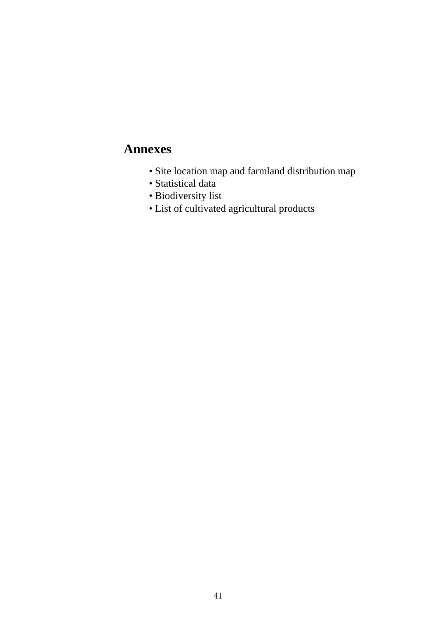# **Annexes**

- Site location map and farmland distribution map
- Statistical data
- Biodiversity list
- List of cultivated agricultural products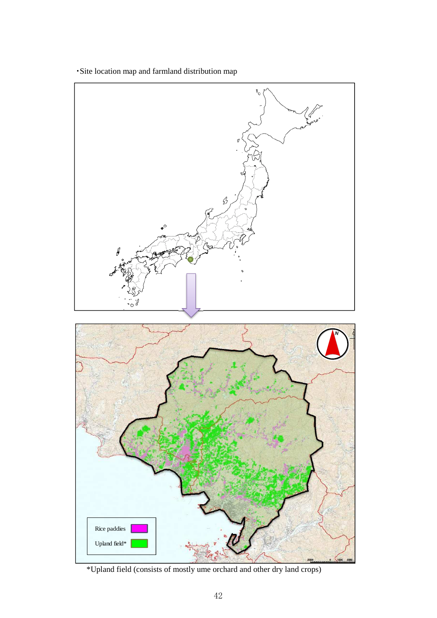䞉Site location map and farmland distribution map



䚷䚷\*Upland field (consists of mostly ume orchard and other dry land crops)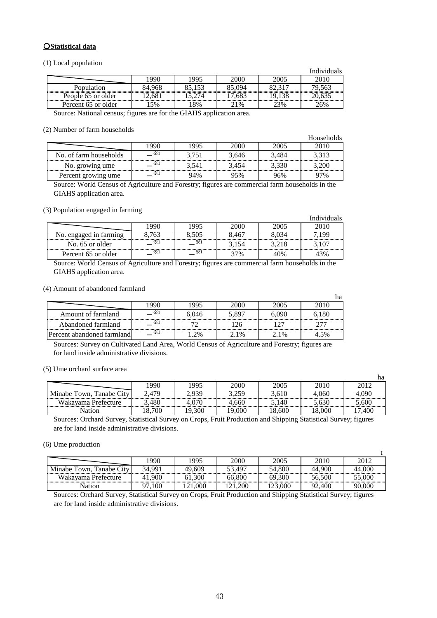## **OStatistical data**

(1) Local population

|                              |        |        |          |       | Individuals |
|------------------------------|--------|--------|----------|-------|-------------|
|                              | 990    | 1995   | 2000     | 2005  | 201C        |
| Population                   | 84.968 | 85.153 | 85.094   |       | 79,563      |
| People 65 or older           | 2.681  |        | '.683    | 9.138 | 20.635      |
| Percent 65 or older          | 5%     | 8%     | 21%      | 23%   | 26%         |
| <b>CONTRACTOR</b><br>.<br>__ |        |        | $\cdots$ |       |             |

Source: National census; figures are for the GIAHS application area.

#### (2) Number of farm households

|                        |            |       |       |       | Households |
|------------------------|------------|-------|-------|-------|------------|
|                        | 990        | 1995  | 2000  | 2005  | 2010       |
| No. of farm households | $\times1$  | 3.751 | 3.646 | 3.484 | 3.313      |
| No. growing ume        | $\times 1$ | 3.541 | 3.454 | 3.330 | .200       |
| Percent growing ume    | X.         | 94%   | 95%   | 96%   | 97%        |

Source: World Census of Agriculture and Forestry; figures are commercial farm households in the GIAHS application area.

Individuals

ha

t

#### (3) Population engaged in farming

|                                          |          |      | Individuals |
|------------------------------------------|----------|------|-------------|
|                                          | 995      | ,000 |             |
| No. engaged in farming<br>. <del>.</del> |          | .46  |             |
| No. 65 or older                          | $\times$ |      |             |
| Percent 65 or older                      | X.       | 7%   | 3%          |

Source: World Census of Agriculture and Forestry; figures are commercial farm households in the GIAHS application area.

(4) Amount of abandoned farmland

|                            |           |       |         |         | na    |
|----------------------------|-----------|-------|---------|---------|-------|
|                            |           | .995  | 2000    |         | 2010  |
| Amount of farmland         | $\times1$ | 6.046 | 5.897   | 6.090   | 6.180 |
| Abandoned farmland         |           |       |         |         |       |
| Percent abandoned farmland |           | 2%    | $2.1\%$ | $2.1\%$ | 4.5%  |

Sources: Survey on Cultivated Land Area, World Census of Agriculture and Forestry; figures are for land inside administrative divisions.

(5) Ume orchard surface area

|                                              |     |        |         |           |       | на  |
|----------------------------------------------|-----|--------|---------|-----------|-------|-----|
|                                              | 990 | $QQ^2$ | 2000    | 2005      |       |     |
| $\gamma_{\rm{itv}}$<br>Minabe Town, Tanabe ( | 70  |        | າເດ     |           | 4.060 |     |
| Wakayama Prefecture                          | 180 |        | nni<br> | l 40.<br> |       |     |
|                                              |     |        |         | 600       |       | 400 |

Sources: Orchard Survey, Statistical Survey on Crops, Fruit Production and Shipping Statistical Survey; figures are for land inside administrative divisions.

### (6) Ume production

|                                             | 990    | 1995     | 2000    | 2005    | 2010 | 2012   |
|---------------------------------------------|--------|----------|---------|---------|------|--------|
| Tanahe City<br>Minabe <sup>*</sup><br>Town. | 34.991 | 49.609   | 3.497   | 54.800  | .900 | 44.000 |
| Wakayama Prefecture                         | 900    | $\Omega$ | <br>800 | <br>300 | 500  | .000   |
|                                             |        |          |         |         |      | .000   |

Sources: Orchard Survey, Statistical Survey on Crops, Fruit Production and Shipping Statistical Survey; figures are for land inside administrative divisions.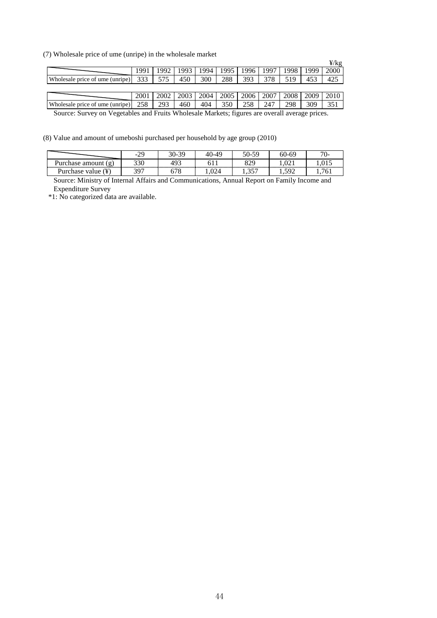(7) Wholesale price of ume (unripe) in the wholesale market

| $\mu$ , wholesale price of allie (allripe) in the wholesale market |      |       |      |      |      |      |      |      |      |      |  |
|--------------------------------------------------------------------|------|-------|------|------|------|------|------|------|------|------|--|
|                                                                    |      |       |      |      |      |      |      |      |      | ¥/kg |  |
|                                                                    | 1991 | 1992. | 1993 | 1994 | 1995 | 1996 | 1997 | 1998 | 1999 | 2000 |  |
| Wholesale price of ume (unripe)                                    | 333  | 575   | 450  | 300  | 288  | 393  | 378  | 519  | 453  | 425  |  |
|                                                                    |      |       |      |      |      |      |      |      |      |      |  |
|                                                                    | 2001 | 2002  | 2003 | 2004 | 2005 | 2006 | 2007 | 2008 | 2009 | 2010 |  |
| Wholesale price of ume (unripe)                                    | 258  | 293   | 460  | 404  | 350  | 258  | 247  | 298  | 309  | 351  |  |

Source: Survey on Vegetables and Fruits Wholesale Markets; figures are overall average prices.

(8) Value and amount of umeboshi purchased per household by age group (2010)

|                            | $ \prime$ | 30-39     | $-0.40$   | 50-59             | $60 - 6$    | U-       |
|----------------------------|-----------|-----------|-----------|-------------------|-------------|----------|
| urchase amount<br>$\sigma$ | າາດ       | ص ۱<br>44 |           | 020               | $U_{\rm A}$ |          |
| value<br>'urchase'         |           |           | 74<br>◡∠¬ | $- - -$<br>$\sim$ |             | 'n<br>v. |

Source: Ministry of Internal Affairs and Communications, Annual Report on Family Income and Expenditure Survey

\*1: No categorized data are available.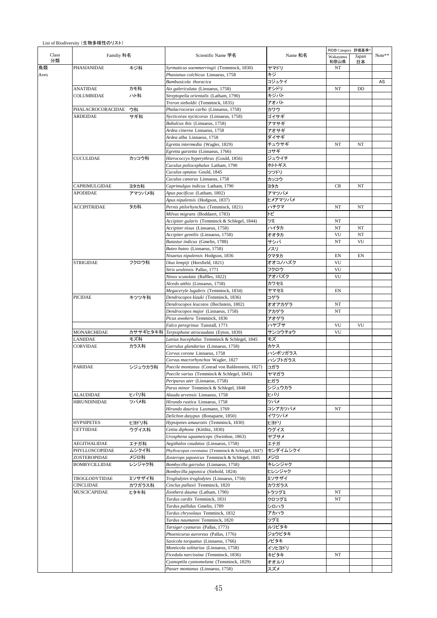### List of Biodiversity (生物多様性のリスト)

|             |                      |          |                                                                               |                 | RDB Category 評価基準 |             |        |
|-------------|----------------------|----------|-------------------------------------------------------------------------------|-----------------|-------------------|-------------|--------|
| Class<br>分類 | Familiy 科名           |          | Scientific Name 学名                                                            | Name 和名         | Wakayama<br>和歌山県  | Japan<br>日本 | Note** |
|             | PHASIANIDAE          | キジ科      | Syrmaticus soemmerringii (Temminck, 1830)                                     | ヤマドリ            | NT                |             |        |
|             |                      |          | Phasianus colchicus Linnaeus, 1758                                            | キジ              |                   |             |        |
|             |                      |          | Bambusicola thoracica                                                         | コジュケイ           |                   |             | AS     |
|             | <b>ANATIDAE</b>      | カモ科      | Aix galericulata (Linnaeus, 1758)                                             | オシドリ            | NT                | DD          |        |
|             | COLUMBIDAE           | ハト科      | Streptopelia orientalis (Latham, 1790)<br>Treron sieboldii (Temminck, 1835)   | キジバト<br>アオバト    |                   |             |        |
|             | PHALACROCORACIDAE    | ウ科       | Phalacrocorax carbo (Linnaeus, 1758)                                          | カワウ             |                   |             |        |
|             | ARDEIDAE             | サギ科      | Nycticorax nycticorax (Linnaeus, 1758)                                        | ゴイサギ            |                   |             |        |
|             |                      |          | Bubulcus ibis (Linnaeus, 1758)                                                | アマサギ            |                   |             |        |
|             |                      |          | Ardea cinerea Linnaeus, 1758                                                  | アオサギ            |                   |             |        |
|             |                      |          | Ardea alba Linnaeus, 1758                                                     | ダイサギ            |                   |             |        |
|             |                      |          | Egretta intermedia (Wagler, 1829)                                             | チュウサギ           | NT                | NT          |        |
|             |                      |          | Egretta garzetta (Linnaeus, 1766)                                             | コサギ             |                   |             |        |
|             | CUCULIDAE            | カッコウ科    | Hierococcyx hyperythrus (Gould, 1856)                                         | ジュウイチ           |                   |             |        |
|             |                      |          | Cuculus poliocephalus Latham, 1790                                            | ホトトギス           |                   |             |        |
|             |                      |          | Cuculus optatus Gould, 1845                                                   | ツツドリ            |                   |             |        |
|             |                      |          | Cuculus canorus Linnaeus, 1758                                                | カッコウ            |                   |             |        |
|             | CAPRIMULGIDAE        | ヨタカ科     | Caprimulgus indicus Latham, 1790                                              | ヨタカ             | CR                | NT          |        |
|             | APODIDAE             | アマツバメ科   | Apus pacificus (Latham, 1802)                                                 | アマツバメ           |                   |             |        |
|             | ACCIPITRIDAE         | タカ科      | Apus nipalensis (Hodgson, 1837)<br>Pernis ptilorhynchus (Temminck, 1821)      | ヒメアマツバメ<br>ハチクマ | NT                | NT          |        |
|             |                      |          | Milvus migrans (Boddaert, 1783)                                               | トビ              |                   |             |        |
|             |                      |          | Accipiter gularis (Temminck & Schlegel, 1844)                                 | ツミ              | NT                |             |        |
|             | <b>STRIGIDAE</b>     |          | Accipiter nisus (Linnaeus, 1758)                                              | ハイタカ            | NT                | NT          |        |
|             |                      |          | Accipiter gentilis (Linnaeus, 1758)                                           | オオタカ            | VU                | NT          |        |
|             |                      |          | Butastur indicus (Gmelin, 1788)                                               | サシバ             | NT                | VU          |        |
|             |                      |          | Buteo buteo (Linnaeus, 1758)                                                  | ノスリ             |                   |             |        |
|             |                      |          | Nisaetus nipalensis Hodgson, 1836                                             | クマタカ            | EN                | EN          |        |
|             |                      | フクロウ科    | Otus lempiji (Horsfield, 1821)                                                | オオコノハズク         | VU                |             |        |
|             |                      |          | Strix uralensis Pallas, 1771                                                  | フクロウ            | VU                |             |        |
|             |                      |          | Ninox scutulata (Raffles, 1822)                                               | アオバズク           | VU                |             |        |
|             |                      |          | Alcedo atthis (Linnaeus, 1758)                                                | カワセミ            |                   |             |        |
|             |                      |          | Megaceryle lugubris (Temminck, 1834)                                          | ヤマセミ            | EN                |             |        |
|             | PICIDAE              | キツツキ科    | Dendrocopos kizuki (Temminck, 1836)                                           | コゲラ             |                   |             |        |
|             |                      |          | Dendrocopos leucotos (Bechstein, 1802)                                        | オオアカゲラ          | NT                |             |        |
|             |                      |          | Dendrocopos major (Linnaeus, 1758)                                            | アカゲラ            | NT                |             |        |
|             |                      |          | Picus awokera Temminck, 1836                                                  | アオゲラ<br>ハヤブサ    | VU                | VU          |        |
|             | MONARCHIDAE          | カササギヒタキ科 | Falco peregrinus Tunstall, 1771<br>Terpsiphone atrocaudata (Eyton, 1839)      | サンコウチョウ         | VU                |             |        |
|             | LANIIDAE             | モズ科      | Lanius bucephalus Temminck & Schlegel, 1845                                   | モズ              |                   |             |        |
|             | CORVIDAE             | カラス科     | Garrulus glandarius (Linnaeus, 1758)                                          | カケス             |                   |             |        |
|             |                      |          | Corvus corone Linnaeus, 1758                                                  | ハシボソガラス         |                   |             |        |
|             |                      |          | Corvus macrorhynchos Wagler, 1827                                             | ハシブトガラス         |                   |             |        |
|             | PARIDAE              | シジュウカラ科  | Poecile montanus (Conrad von Baldenstein, 1827)                               | コガラ             |                   |             |        |
|             |                      |          | Poecile varius (Temminck & Schlegel, 1845)                                    | ヤマガラ            |                   |             |        |
|             |                      |          | Periparus ater (Linnaeus, 1758)                                               | ヒガラ             |                   |             |        |
|             |                      |          | Parus minor Temminck & Schlegel, 1848                                         | シジュウカラ          |                   |             |        |
|             | ALAUDIDAE            | ヒバリ科     | Alauda arvensis Linnaeus, 1758                                                | ヒバリ             |                   |             |        |
|             | <b>HIRUNDINIDAE</b>  | ツバメ科     | Hirundo rustica Linnaeus, 1758                                                | ツバメ             |                   |             |        |
|             |                      |          | Hirundo daurica Laxmann, 1769                                                 | コシアカツバメ         | NT                |             |        |
|             |                      |          | Delichon dasypus (Bonaparte, 1850)                                            | イワツバメ           |                   |             |        |
|             | <b>HYPSIPETES</b>    | ヒヨドリ科    | Hypsipetes amaurotis (Temminck, 1830)                                         | ヒヨドリ            |                   |             |        |
|             | CETTIIDAE            | ウグイス科    | Cettia diphone (Kittlitz, 1830)                                               | ウグイス<br>ヤブサメ    |                   |             |        |
|             | AEGITHALIDAE         | エナガ科     | Urosphena squameiceps (Swinhoe, 1863)<br>Aegithalos caudatus (Linnaeus, 1758) | エナガ             |                   |             |        |
|             | PHYLLOSCOPIDAE       | ムシクイ科    | Phylloscopus coronatus (Temminck & Schlegel, 1847)                            | センダイムシクイ        |                   |             |        |
|             | ZOSTEROPIDAE         | メジロ科     | Zosterops japonicus Temminck & Schlegel, 1845                                 | メジロ             |                   |             |        |
|             | <b>BOMBYCILLIDAE</b> | レンジャク科   | Bombycilla garrulus (Linnaeus, 1758)                                          | キレンジャク          |                   |             |        |
|             |                      |          | Bombycilla japonica (Siebold, 1824)                                           | ヒレンジャク          |                   |             |        |
|             | TROGLODYTIDAE        | ミソサザイ科   | Troglodytes troglodytes (Linnaeus, 1758)                                      | ミソサザイ           |                   |             |        |
|             | CINCLIDAE            | カワガラス科   | Cinclus pallasii Temminck, 1820                                               | カワガラス           |                   |             |        |
|             | MUSCICAPIDAE         | ヒタキ科     | Zoothera dauma (Latham, 1790)                                                 | トラツグミ           | NT                |             |        |
|             |                      |          | Turdus cardis Temminck, 1831                                                  | クロツグミ           | NT                |             |        |
|             |                      |          | Turdus pallidus Gmelin, 1789                                                  | シロハラ            |                   |             |        |
|             |                      |          | Turdus chrysolaus Temminck, 1832                                              | アカハラ            |                   |             |        |
|             |                      |          | Turdus naumanni Temminck, 1820                                                | ツグミ             |                   |             |        |
|             |                      |          | Tarsiger cyanurus (Pallas, 1773)                                              | ルリビタキ           |                   |             |        |
|             |                      |          | Phoenicurus auroreus (Pallas, 1776)                                           | ジョウビタキ          |                   |             |        |
|             |                      |          | Saxicola torquatus (Linnaeus, 1766)                                           | <b>バタキ</b>      |                   |             |        |
|             |                      |          | Monticola solitarius (Linnaeus, 1758)<br>Ficedula narcissina (Temminck, 1836) | イソヒヨドリ<br>キビタキ  |                   |             |        |
|             |                      |          | Cyanoptila cyanomelana (Temminck, 1829)                                       | オオルリ            | NT                |             |        |
|             |                      |          | Passer montanus (Linnaeus, 1758)                                              | スズメ             |                   |             |        |
|             |                      |          |                                                                               |                 |                   |             |        |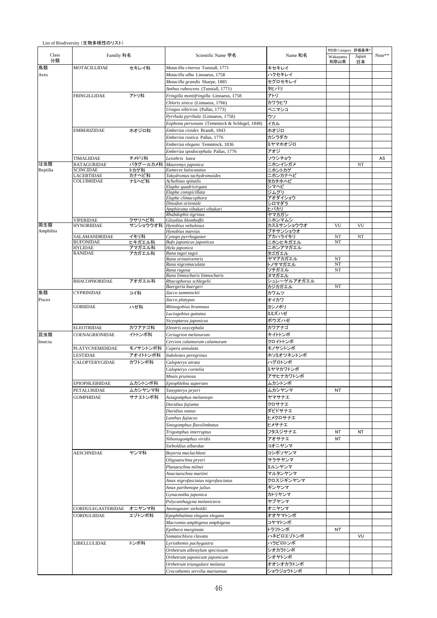|             |                          |          |                                               |                     | RDB Category 評価基準 |             |        |
|-------------|--------------------------|----------|-----------------------------------------------|---------------------|-------------------|-------------|--------|
| Class<br>分類 | Familiy 科名               |          | Scientific Name 学名                            | Name 和名             | Wakayama<br>和歌山県  | Japan<br>日本 | Note** |
| 鳥類          | <b>MOTACILLIDAE</b>      | セキレイ科    | Motacilla cinerea Tunstall, 1771              | キセキレイ               |                   |             |        |
| Aves        |                          |          | Motacilla alba Linnaeus, 1758                 | ハクセキレイ              |                   |             |        |
|             |                          |          | Motacilla grandis Sharpe, 1885                | セグロセキレイ             |                   |             |        |
|             |                          |          | Anthus rubescens (Tunstall, 1771)             | タヒバリ                |                   |             |        |
|             | FRINGILLIDAE             | アトリ科     | Fringilla montifringilla Linnaeus, 1758       | アトリ                 |                   |             |        |
|             |                          |          | Chloris sinica (Linnaeus, 1766)               | カワラヒワ               |                   |             |        |
|             |                          |          | Uragus sibiricus (Pallas, 1773)               | ベニマシコ               |                   |             |        |
|             |                          |          | Pyrrhula pyrrhula (Linnaeus, 1758)            | ウソ                  |                   |             |        |
|             |                          |          | Eophona personata (Temminck & Schlegel, 1848) | イカル                 |                   |             |        |
|             | EMBERIZIDAE              | ホオジロ科    | Emberiza cioides Brandt, 1843                 | ホオジロ                |                   |             |        |
|             |                          |          | Emberiza rustica Pallas, 1776                 | カシラダカ               |                   |             |        |
|             |                          |          | Emberiza elegans Temminck, 1836               | ミヤマホオジロ             |                   |             |        |
|             |                          |          | Emberiza spodocephala Pallas, 1776            | アオジ                 |                   |             |        |
|             | TIMALIIDAE               | チメドリ科    | Leiothrix lutea                               | ソウシチョウ              |                   |             | AS     |
| は虫類         | <b>BATAGURIDAE</b>       | パタグールカメ科 | Mauremys japonica                             | ニホンイシガメ             |                   | NT          |        |
| Reptilia    | <b>SCINCIDAE</b>         | トカゲ科     | Eumeces latiscutatus                          | ニホントカゲ              |                   |             |        |
|             | <b>LACERTIDAE</b>        | カナヘビ科    | Takydromus tachydromoides                     | ニホンカナヘビ             |                   |             |        |
|             | <b>COLUBRIDAE</b>        | ナミヘビ科    | Achalinus spinalis                            | タカチホヘビ              |                   |             |        |
|             |                          |          | Elaphe quadrivirgata                          | シマヘビ<br>ジムグリ        |                   |             |        |
|             |                          |          | Elaphe conspicillata<br>Elaphe climacophora   | アオダイショウ             |                   |             |        |
|             |                          |          | Dinodon orientale                             | シロマダラ               |                   |             |        |
|             |                          |          | Amphiesma vibakari vibakari                   | ヒバカリ                |                   |             |        |
|             |                          |          | Rhabdophis tigrinus                           | ヤマカガシ               |                   |             |        |
|             | <b>VIPERIDAE</b>         | クサリヘビ科   | Gloydius blomhoffii                           | ニホンマムシ              |                   |             |        |
| 両生類         | <b>HYNOBIIDAE</b>        | サンショウウオ科 | Hynobius nebulosus                            | カスミサンショウウオ          | VU                | VU          |        |
| Amphibia    | SALAMANDRIDAE            | イモリ科     | Hynobius naevius<br>Cynops pyrrhogaster       | ブチサンショウオ<br>アカハライモリ | NT                | NT          |        |
|             | <b>BUFONIDAE</b>         | ヒキガエル科   | Bufo japonicus japonicus                      | ニホンヒキガエル            | NT                |             |        |
|             | <b>HYLIDAE</b>           | アマガエル科   | Hyla japonica                                 | ニホンアマガエル            |                   |             |        |
|             | RANIDAE                  | アカガエル科   | Rana tagoi tagoi                              | タゴガエル               |                   |             |        |
|             |                          |          | Rana orinativentris                           | ヤマアカガエル             | NT                |             |        |
|             |                          |          | Rana nigromaculata                            | トノサマガエル             | NT                |             |        |
|             |                          |          | Rana rugosa<br>Rana limnocharis limnocharis   | ツチガエル<br>ヌマガエル      | NT                |             |        |
|             | <b>RHACOPHORIDAE</b>     | アオガエル科   | Rhacophorus schlegelii                        | シュレーゲルアオガエル         |                   |             |        |
|             |                          |          | Buergeria buergeri                            | カジカガエル              | NT                |             |        |
| 魚類          | <b>CYPRINIDAE</b>        | コイ科      | Zacco tamminckii                              | カワムツ                |                   |             |        |
| Pisces      |                          |          | Zacco platypus                                | オイカワ                |                   |             |        |
|             | <b>GOBIIDAE</b>          | ハゼ科      | Rhinogobius brunnaus                          | ヨシノボリ               |                   |             |        |
|             |                          |          | Luciogobius guttatus                          | ミミズハゼ               |                   |             |        |
|             |                          |          |                                               |                     |                   |             |        |
|             |                          |          |                                               |                     |                   |             |        |
|             |                          |          | Sicyoptarus japonicus                         | ボウズハゼ               |                   |             |        |
|             | ELEOTRIDAE               | カワアナゴ科   | Eleotris oxycephala                           | カワアナゴ               |                   |             |        |
| 昆虫類         | COENAGRIONIDAE           | イトトンボ科   | Ceriagrion melanurum                          | キイトトンボ              |                   |             |        |
| Insecta     |                          |          | Cercion calamorum calamorum                   | クロイトトンボ             |                   |             |        |
|             | <b>PLATYCNEMIDIDAE</b>   | モノサシトンボ科 | Copera annulata                               | モノサシトンボ             |                   |             |        |
|             | LESTIDAE                 | アオイトトンボ科 | Indolestes peregrinus                         | ホソミオツネントンボ          |                   |             |        |
|             | <b>CALOPTERYGIDAE</b>    | カワトンボ科   | Calopteryx atrata                             | ハグロトンボ              |                   |             |        |
|             |                          |          | Calopteryx cornelia                           | ミヤマカワトンボ            |                   |             |        |
|             |                          |          | Mnais pruinosa                                | アサヒナカワトンボ           |                   |             |        |
|             | EPIOPHLEBIIDAE           | ムカシトンボ科  | Epiophlebia superstes                         | ムカシトンボ              |                   |             |        |
|             | PETALURIDAE              | ムカシヤンマ科  | Tanypteryx pryeri                             | ムカシヤンマ              | NT.               |             |        |
|             | <b>GOMPHIDAE</b>         |          |                                               | ヤマサナエ               |                   |             |        |
|             |                          | サナエトンボ科  | Asiagomphus melaenops<br>Davidius fujiama     | クロサナエ               |                   |             |        |
|             |                          |          | Davidius nanus                                | ダビドサナエ              |                   |             |        |
|             |                          |          |                                               |                     |                   |             |        |
|             |                          |          | Lanthus fujiacus                              | ヒメクロサナエ             |                   |             |        |
|             |                          |          | Sinogomphus flavolimbatus                     | ヒメサナエ               |                   |             |        |
|             |                          |          | Trigomphus interruptus                        | フタスジサナエ             | NT                | NT          |        |
|             |                          |          | Nihonogomphus viridis                         | アオサナエ               | ΝT                |             |        |
|             |                          |          | Sieboldius albardae                           | コオニヤンマ              |                   |             |        |
|             | <b>AESCHNIDAE</b>        | ヤンマ科     | Boyeria maclachlani                           | コシボソヤンマ             |                   |             |        |
|             |                          |          | Oligoaeschna pryeri                           | サラサヤンマ              |                   |             |        |
|             |                          |          | Planaeschna milnei                            | ミルンヤンマ              |                   |             |        |
|             |                          |          | Anaciaeschna martini                          | マルタンヤンマ             |                   |             |        |
|             |                          |          | Anax nigrofasciatus nigrofasciatus            | クロスジギンヤンマ           |                   |             |        |
|             |                          |          | Anax parthenope julius                        | ギンヤンマ               |                   |             |        |
|             |                          |          | Gynacantha japonica                           | カトリヤンマ              |                   |             |        |
|             |                          |          | Polycanthagyna melanictera                    | ヤブヤンマ               |                   |             |        |
|             |                          |          |                                               |                     |                   |             |        |
|             | CORDULEGASTERIDAE オニヤンマ科 |          | Anotogaster sieboldii                         | オニヤンマ               |                   |             |        |
|             | CORDULIIDAE              | エゾトンボ科   | Epophthalmia elegans elegans                  | オオヤマトンボ             |                   |             |        |
|             |                          |          | Macromia amphigena amphigena                  | コヤマトンボ              |                   |             |        |
|             |                          |          | Epitheca marginata                            | トラフトンボ              | NT                |             |        |
|             |                          |          | Somatochlora clavata                          | ハネビロエゾトンボ           |                   | VU          |        |
|             | LIBELLULIDAE             | トンボ科     | Lyriothemis pachygastra                       | ハラビロトンボ             |                   |             |        |
|             |                          |          | Orthetrum albistylum speciosum                | シオカラトンボ             |                   |             |        |
|             |                          |          | Orthetrum japonicum japonicum                 | シオヤトンボ              |                   |             |        |
|             |                          |          | Orthetrum triangulare melania                 | オオシオカラトンボ           |                   |             |        |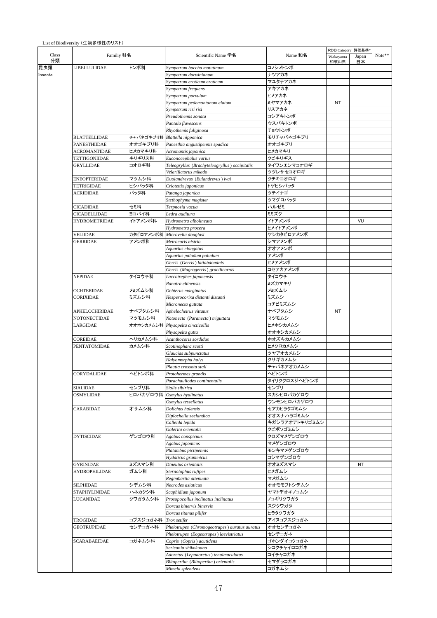|                      |           |                                               |                | RDB Category 評価基準* |             |        |
|----------------------|-----------|-----------------------------------------------|----------------|--------------------|-------------|--------|
| Familiy 科名           |           | Scientific Name 学名                            | Name 和名        | Wakayama<br>和歌山県   | Japan<br>日本 | Note** |
| LIBELLULIDAE         | トンボ科      | Sympetrum baccha matutinum                    | コノシメトンボ        |                    |             |        |
|                      |           | Sympetrum darwinianum                         | ナツアカネ          |                    |             |        |
|                      |           | Sympetrum eroticum eroticum                   | マユタテアカネ        |                    |             |        |
|                      |           | Sympetrum frequens                            | アキアカネ          |                    |             |        |
|                      |           | Sympetrum parvulum                            | ヒメアカネ          |                    |             |        |
|                      |           | Sympetrum pedemontanum elatum                 | ミヤマアカネ         | NT                 |             |        |
|                      |           | Sympetrum risi risi                           | リスアカネ          |                    |             |        |
|                      |           | Pseudothemis zonata                           | コシアキトンボ        |                    |             |        |
|                      |           | Pantala flavescens                            | ウスバキトンボ        |                    |             |        |
|                      |           | Rhyothemis fuliginosa                         | チョウトンボ         |                    |             |        |
| <b>BLATTELLIDAE</b>  |           | チャバネゴキブリ科 Blattella nipponica                 | モリチャバネゴキブリ     |                    |             |        |
| PANESTHIIDAE         | オオゴキブリ科   | Panesthia angustipennis spadica               | オオゴキブリ         |                    |             |        |
| <b>ACROMANTIDAE</b>  | ヒメカマキリ科   | Acromantis japonica                           | ヒメカマキリ         |                    |             |        |
| TETTIGONIIDAE        | キリギリス科    | Euconocephalus varius                         | クビキリギス         |                    |             |        |
| GRYLLIDAE            | コオロギ科     | Teleogryllus (Brachyteleogryllus) occipitalis | タイワンエンマコオロギ    |                    |             |        |
|                      |           | Velarifictorus mikado                         | ツヅレサセコオロギ      |                    |             |        |
| ENEOPTERIDAE         | マツムシ科     | Duolandrevus (Eulandrevus) ivai               | クチキコオロギ        |                    |             |        |
| TETRIGIDAE           | ヒシバッタ科    | Criotettix japonicus                          | トゲヒシバッタ        |                    |             |        |
| <b>ACRIDIDAE</b>     | バッタ科      | Patanga japonica                              | ツチイナゴ          |                    |             |        |
|                      |           | Stethophyma magister                          | ツマグロバッタ        |                    |             |        |
| <b>CICADIDAE</b>     | セミ科       | Terpnosia vacua                               | ハルゼミ           |                    |             |        |
| CICADELLIDAE         | ヨコバイ科     | Ledra auditura                                | ミミズク           |                    |             |        |
| <b>HYDROMETRIDAE</b> | イトアメンボ科   | Hydrometra albolineata                        | イトアメンボ         |                    | VU          |        |
|                      |           | Hydrometra procera                            |                |                    |             |        |
|                      |           |                                               | ヒメイトアメンボ       |                    |             |        |
| VELIIDAE             | カタビロアメンボ科 | Microvelia douglasi                           | ケシカタビロアメンボ     |                    |             |        |
| <b>GERRIDAE</b>      | アメンボ科     | Metrocoris histrio                            | シマアメンボ         |                    |             |        |
|                      |           | Aquarius elongatus                            | オオアメンボ         |                    |             |        |
|                      |           | Aquarius paludum paludum                      | アメンボ           |                    |             |        |
|                      |           | Gerris (Gerris) latiabdominis                 | ヒメアメンボ         |                    |             |        |
|                      |           | Gerris (Magrogerris) gracilicornis            | コセアカアメンボ       |                    |             |        |
| NEPIDAE              | タイコウチ科    | Laccotrephes japonensis                       | タイコウチ          |                    |             |        |
|                      |           | Ranatra chinensis                             | ミズカマキリ         |                    |             |        |
| OCHTERIDAE           | メミズムシ科    | Ochterus marginatus                           | メミズムシ          |                    |             |        |
| CORIXIDAE            | ミズムシ科     | Hesperocorixa distanti distanti               | ミズムシ           |                    |             |        |
|                      |           | Micronecta guttata                            | コチビミズムシ        |                    |             |        |
| APHELOCHIRIDAE       | ナベブタムシ科   | Aphelocheirus vittatus                        | ナベブタムシ         | NT                 |             |        |
| NOTONECTIDAE         | マツモムシ科    | Notonecta (Paranecta) triguttata              | マツモムシ          |                    |             |        |
| LARGIDAE             |           | オオホシカメムシ科 Physopelta cincticollis             | ヒメホシカメムシ       |                    |             |        |
|                      |           | Physopelta gutta                              | オオホシカメムシ       |                    |             |        |
| COREIDAE             | ヘリカメムシ科   | Acanthocoris sordidus                         | ホオズキカメムシ       |                    |             |        |
| <b>PENTATOMIDAE</b>  | カメムシ科     | Scotinophara scotti                           | ヒメクロカメムシ       |                    |             |        |
|                      |           | Glaucias subpunctatus                         | ツヤアオカメムシ       |                    |             |        |
|                      |           | Halyomorpha halvs                             | クサギカメムシ        |                    |             |        |
|                      |           | Plautia crossota stali                        | チャバネアオカメムシ     |                    |             |        |
| CORYDALIDAE          | ヘビトンボ科    | Protohermes grandis                           | ヘビトンボ          |                    |             |        |
|                      |           | Parachauliodes continentalis                  | タイリククロスジヘビトンボ  |                    |             |        |
| SIALIDAE             | センブリ科     | Sialis sibirica                               | センブリ           |                    |             |        |
| <b>OSMYLIDAE</b>     | ヒロバカゲロウ科  | Osmylus hyalinatus                            | スカシヒロバカゲロウ     |                    |             |        |
|                      |           | Osmylus tessellatus                           | ウンモンヒロバカゲロウ    |                    |             |        |
| CARABIDAE            | オサムシ科     | Dolichus halensis                             | セアカヒラタゴミムシ     |                    |             |        |
|                      |           | Diplocheila zeelandica                        | オオスナハラゴミムシ     |                    |             |        |
|                      |           | Calleida lepida                               | キガシラアオアトキリゴミムシ |                    |             |        |
|                      |           | Galerita orientalis                           | クビボソゴミムシ       |                    |             |        |
| <b>DYTISCIDAE</b>    | ゲンゴロウ科    | Agabus conspicuus                             | クロズマメゲンゴロウ     |                    |             |        |
|                      |           | Agabus japonicus                              | マメゲンゴロウ        |                    |             |        |
|                      |           | Platambus pictipennis                         | モンキマメゲンゴロウ     |                    |             |        |
|                      |           | Hydaticus grammicus                           | コシマゲンゴロウ       |                    |             |        |
| <b>GYRINIDAE</b>     | ミズスマシ科    | Dineutus orientalis                           | オオミズスマシ        |                    | NT          |        |
| HYDROPHILIDAE        | ガムシ科      | Sternolophus rufipes                          | ヒメガムシ          |                    |             |        |
|                      |           | Regimbartia attenuata                         | マメガムシ          |                    |             |        |
|                      | シデムシ科     | Necrodes asiaticus                            | オオモモブトシデムシ     |                    |             |        |
| SILPHIDAE            |           |                                               |                |                    |             |        |
| <b>STAPHYLINIDAE</b> | ハネカクシ科    | Scaphidium japonum                            | ヤマトデオキノコムシ     |                    |             |        |
| LUCANIDAE            | クワガタムシ科   | Prosopocoilus inclinatus inclinatus           | ノコギリクワガタ       |                    |             |        |
|                      |           | Dorcus binervis binervis                      | スジクワガタ         |                    |             |        |
|                      |           | Dorcus titanus pilifer                        | ヒラタクワガタ        |                    |             |        |
| TROGIDAE             | コブスジコガネ科  | Trox setifer                                  | アイヌコブスジコガネ     |                    |             |        |
| GEOTRUPIDAE          | センチコガネ科   | Phelotrupes (Chromogeotrupes) auratus auratus | オオセンチコガネ       |                    |             |        |
|                      |           | Phelotrupes (Eogeotrupes) laevistriatus       | センチコガネ         |                    |             |        |
| SCARABAEIDAE         | コガネムシ科    | Copris (Copris) acutidens                     | ゴホンダイコクコガネ     |                    |             |        |
|                      |           | Sericania shikokuana                          | シコクチャイロコガネ     |                    |             |        |
|                      |           | Adoretus (Lepadoretus) tenuimaculatus         | コイチャコガネ        |                    |             |        |
|                      |           | Blitopertha (Blitopertha) orientalis          | セマダラコガネ        |                    |             |        |
|                      |           | Mimela splendens                              | コガネムシ          |                    |             |        |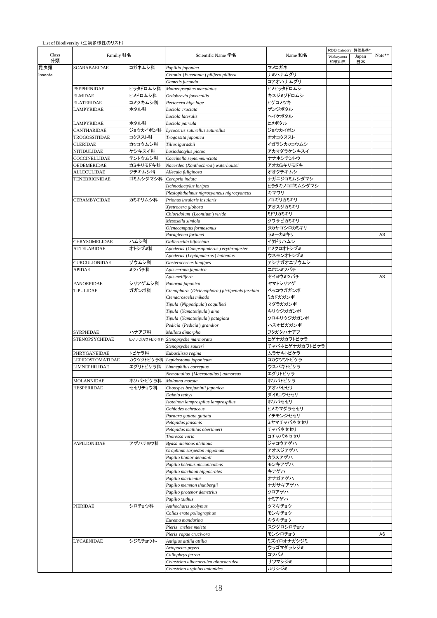|                                     |                |                                                | Name 和名              | RDB Category 評価基準*<br>Wakayama<br>Japan<br>和歌山県<br>日本 |  |        |
|-------------------------------------|----------------|------------------------------------------------|----------------------|-------------------------------------------------------|--|--------|
|                                     | Familiy 科名     | Scientific Name 学名                             |                      |                                                       |  | Note** |
| <b>SCARABAEIDAE</b>                 | コガネムシ科         | Popillia japonica                              | マメコガネ                |                                                       |  |        |
|                                     |                | Cetonia (Eucetonia) pilifera pilifera          | ナミハナムグリ              |                                                       |  |        |
|                                     |                | Gametis jucunda                                | コアオハナムグリ             |                                                       |  |        |
| PSEPHENIDAE                         | ヒラタドロムシ科       | Mataeopsephus maculatus                        | ヒメヒラタドロムシ            |                                                       |  |        |
| ELMIDAE                             | ヒメドロムシ科        | Ordobrevia foveicollis                         | キスジミゾドロムシ            |                                                       |  |        |
| <b>ELATERIDAE</b>                   | コメツキムシ科        | Pectocera hige hige                            | ヒゲコメツキ               |                                                       |  |        |
| LAMPYRIDAE                          | ホタル科           | Luciola cruciata                               | ゲンジボタル               |                                                       |  |        |
|                                     |                | Luciola lateralis                              | ヘイケボタル               |                                                       |  |        |
| LAMPYRIDAE                          | ホタル科           | Luciola parvula                                | ヒメボタル                |                                                       |  |        |
| CANTHARIDAE                         | ジョウカイボン科       | Lycocerus suturellus suturellus                | ジョウカイボン              |                                                       |  |        |
| TROGOSSITIDAE                       | コクヌスト科         | Trogossita japonica                            | オオコクヌスト              |                                                       |  |        |
| <b>CLERIDAE</b>                     | カッコウムシ科        | Tillus igarashii                               | イガラシカッコウムシ           |                                                       |  |        |
| NITIDULIDAE                         | ケシキスイ科         | Lasiodactylus pictus                           | アカマダラケシキスイ           |                                                       |  |        |
| COCCINELLIDAE                       | テントウムシ科        | Coccinella septempunctata                      | ナナホシテントウ             |                                                       |  |        |
| OEDEMERIDAE                         | カミキリモドキ科       | Nacerdes (Xanthochroa) waterhousei             | アオカミキリモドキ            |                                                       |  |        |
| ALLECULIDAE                         | クチキムシ科         | Allecula fuliginosa                            | オオクチキムシ              |                                                       |  |        |
| <b>TENEBRIONIDAE</b>                | ゴミムシダマシ科       | Ceropria induta                                | ナガニジゴミムシダマシ          |                                                       |  |        |
|                                     |                | Ischnodactylus loripes                         | ヒラタキノコゴミムシダマシ        |                                                       |  |        |
|                                     |                | Plesiophthalmus nigrocyaneus nigrocyaneus      | キマワリ                 |                                                       |  |        |
| <b>CERAMBYCIDAE</b>                 | カミキリムシ科        | Prionus insularis insularis                    | ノコギリカミキリ             |                                                       |  |        |
|                                     |                | Xystrocera globosa                             | アオスジカミキリ             |                                                       |  |        |
|                                     |                | Chloridolum (Leontium) viride                  | ミドリカミキリ              |                                                       |  |        |
|                                     |                | Mesosella simiola                              | クワサビカミキリ             |                                                       |  |        |
|                                     |                | Olenecamptus formosanus                        | タカサゴシロカミキリ           |                                                       |  |        |
|                                     |                | Paraglenea fortunei                            | ラミーカミキリ              |                                                       |  | AS     |
| CHRYSOMELIDAE<br><b>ATTELABIDAE</b> | ハムシ科<br>オトシブミ科 | Gallerucida bifasciata                         | イタドリハムシ<br>ヒメクロオトシブミ |                                                       |  |        |
|                                     |                | Apoderus (Compsapoderus) erythrogaster         | ウスモンオトシブミ            |                                                       |  |        |
|                                     | ゾウムシ科          | Apoderus (Leptapoderus) balteatus              | アシナガオニゾウムシ           |                                                       |  |        |
| CURCULIONIDAE                       | ミツバチ科          | Gasterocercus longipes                         | ニホンミツバチ              |                                                       |  |        |
| APIDAE<br><b>PANORPIDAE</b>         |                | Apis cerana japonica<br>Apis mellifera         | セイヨウミツバチ             |                                                       |  | AS     |
|                                     | シリアゲムシ科        | Panorpa japonica                               | ヤマトシリアゲ              |                                                       |  |        |
| <b>TIPULIDAE</b>                    | ガガンボ科          | Ctenophora (Dictenophora) pictipennis fasciata | ベッコウガガンボ             |                                                       |  |        |
|                                     |                | Ctenacroscelis mikado                          | ミカドガガンボ              |                                                       |  |        |
|                                     |                | Tipula (Nippotipula) coquilleti                | マダラガガンボ              |                                                       |  |        |
|                                     |                | Tipula (Yamatotipula) aino                     | キリウジガガンボ             |                                                       |  |        |
|                                     |                | Tipula (Yamatotipula) patagiata                | クロキリウジガガンボ           |                                                       |  |        |
|                                     |                | Pedicia (Pedicia) grandior                     | ハスオビガガンボ             |                                                       |  |        |
| <b>SYRPHIDAE</b>                    | ハナアブ科          | Mallota dimorpha                               | フタガタハナアブ             |                                                       |  |        |
| <b>STENOPSYCHIDAE</b>               | ヒゲナガカワトビケラ科    | Stenopsyche marmorata                          | ヒゲナガカワトビケラ           |                                                       |  |        |
|                                     |                | Stenopsyche sauteri                            | チャバネヒゲナガカワトビケラ       |                                                       |  |        |
| PHRYGANEIDAE                        | トビケラ科          | Eubasilissa regina                             | ムラサキトビケラ             |                                                       |  |        |
| LEPIDOSTOMATIDAE                    |                | カクツツトビケラ科 Lepidostoma japonicum                | コカクツツトビケラ            |                                                       |  |        |
| LIMNEPHILIDAE                       | エグリトビケラ科       | Limnephilus correptus                          | ウスバキトビケラ             |                                                       |  |        |
|                                     |                | Nemotaulius (Macrotaulius) admorsus            | エグリトビケラ              |                                                       |  |        |
| <b>MOLANNIDAE</b>                   | ホソバトビケラ科       | Molanna moesta                                 | ホソバトビケラ              |                                                       |  |        |
| HESPERIIDAE                         | セセリチョウ科        | Choaspes benjaminii japonica                   | アオバセセリ               |                                                       |  |        |
|                                     |                | Daimio tethys                                  | ダイミョウセセリ             |                                                       |  |        |
|                                     |                | Isoteinon lamprospilus lamprospilus            | ホソバセセリ               |                                                       |  |        |
|                                     |                | Ochlodes ochraceus                             | ヒメキマダラセセリ            |                                                       |  |        |
|                                     |                | Parnara guttata guttata                        | イチモンジセセリ             |                                                       |  |        |
|                                     |                | Pelopidas jansonis                             | ミヤマチャバネセセリ           |                                                       |  |        |
|                                     |                | Pelopidas mathias oberthueri                   | チャバネセセリ              |                                                       |  |        |
|                                     |                | Thoressa varia                                 | コチャバネセセリ             |                                                       |  |        |
| <b>PAPILIONIDAE</b>                 | アゲハチョウ科        | Byasa alcinous alcinous                        | ジャコウアゲハ              |                                                       |  |        |
|                                     |                | Graphium sarpedon nipponum                     | アオスジアゲハ              |                                                       |  |        |
|                                     |                | Papilio bianor dehaanii                        | カラスアゲハ               |                                                       |  |        |
|                                     |                | Papilio helenus nicconicolens                  | モンキアゲハ               |                                                       |  |        |
|                                     |                | Papilio machaon hippocrates                    | キアゲハ                 |                                                       |  |        |
|                                     |                | Papilio macilentus                             | オナガアゲハ               |                                                       |  |        |
|                                     |                | Papilio memnon thunbergii                      | ナガサキアゲハ              |                                                       |  |        |
|                                     |                | Papilio protenor demetrius                     | クロアゲハ                |                                                       |  |        |
|                                     |                | Papilio xuthus                                 | ナミアゲハ                |                                                       |  |        |
| PIERIDAE                            | シロチョウ科         | Anthocharis scolymus                           | ツマキチョウ               |                                                       |  |        |
|                                     |                | Colias erate poliographus                      | モンキチョウ               |                                                       |  |        |
|                                     |                | Eurema mandarina                               | キタキチョウ               |                                                       |  |        |
|                                     |                | Pieris melete melete                           | スジグロシロチョウ            |                                                       |  |        |
|                                     |                | Pieris rapae crucivora                         | モンシロチョウ              |                                                       |  | AS     |
| LYCAENIDAE                          | シジミチョウ科        | Antigius attilia attilia                       | ミズイロオナガシジミ           |                                                       |  |        |
|                                     |                | Artopoetes pryeri                              | ウラゴマダラシジミ            |                                                       |  |        |
|                                     |                | Callophrys ferrea                              | コツバメ                 |                                                       |  |        |
|                                     |                | Celastrina albocaerulea albocaerulea           | サツマシジミ               |                                                       |  |        |
|                                     |                | Celastrina argiolus ladonides                  | ルリシジミ                |                                                       |  |        |
|                                     |                |                                                |                      |                                                       |  |        |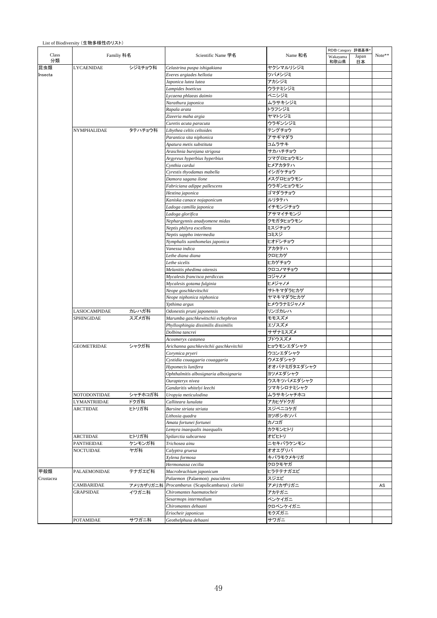|  | List of Biodiversity (生物多様性のリスト) |
|--|----------------------------------|
|--|----------------------------------|

|             |                     |           |                                         |                         | RDB Category 評価基準 |             |        |
|-------------|---------------------|-----------|-----------------------------------------|-------------------------|-------------------|-------------|--------|
| Class<br>分類 | Familiy 科名          |           | Scientific Name 学名                      | Name 和名                 | Wakayama<br>和歌山県  | Japan<br>日本 | Note** |
| 昆虫類         | <b>LYCAENIDAE</b>   | シジミチョウ科   | Celastrina puspa ishigakiana            | ヤクシマルリシジミ               |                   |             |        |
| Insecta     |                     |           | Everes argiades hellotia                | ツバメシジミ                  |                   |             |        |
|             |                     |           | Japonica lutea lutea                    | アカシジミ                   |                   |             |        |
|             |                     |           | Lampides boeticus                       | ウラナミシジミ                 |                   |             |        |
|             |                     |           | Lycaena phlaeas daimio                  | ベニシジミ                   |                   |             |        |
|             |                     |           | Narathura japonica                      | ムラサキシジミ                 |                   |             |        |
|             |                     |           | Rapala arata                            | トラフシジミ                  |                   |             |        |
|             |                     |           | Zizeeria maha argia                     | ヤマトシジミ                  |                   |             |        |
|             |                     |           | Curetis acuta paracuta                  | ウラギンシジミ                 |                   |             |        |
|             | NYMPHALIDAE         | タテハチョウ科   | Libythea celtis celtoides               | テングチョウ                  |                   |             |        |
|             |                     |           | Parantica sita niphonica                | アサギマダラ                  |                   |             |        |
|             |                     |           | Apatura metis substituta                | コムラサキ                   |                   |             |        |
|             |                     |           |                                         | サカハチチョウ                 |                   |             |        |
|             |                     |           | Araschnia burejana strigosa             | ツマグロヒョウモン               |                   |             |        |
|             |                     |           | Argyreus hyperbius hyperbius            |                         |                   |             |        |
|             |                     |           | Cynthia cardui                          | ヒメアカタテハ                 |                   |             |        |
|             |                     |           | Cyrestis thyodamas mabella              | イシガケチョウ                 |                   |             |        |
|             |                     |           | Damora sagana ilone                     | メスグロヒョウモン               |                   |             |        |
|             |                     |           | Fabriciana adippe pallescens            | ウラギンヒョウモン               |                   |             |        |
|             |                     |           | Hestina japonica                        | ゴマダラチョウ                 |                   |             |        |
|             |                     |           | Kaniska canace nojaponicum              | ルリタテハ                   |                   |             |        |
|             |                     |           | Ladoga camilla japonica                 | イチモンジチョウ                |                   |             |        |
|             |                     |           | Ladoga glorifica                        | アサマイチモンジ                |                   |             |        |
|             |                     |           | Nephargynnis anadyomene midas           | クモガタヒョウモン               |                   |             |        |
|             |                     |           | Neptis philyra excellens                | ミスジチョウ                  |                   |             |        |
|             |                     |           | Neptis sappho intermedia                | コミスジ                    |                   |             |        |
|             |                     |           | Nymphalis xanthomelas japonica          | ヒオドシチョウ                 |                   |             |        |
|             |                     |           | Vanessa indica                          | アカタテハ                   |                   |             |        |
|             |                     |           | Lethe diana diana                       | クロヒカゲ                   |                   |             |        |
|             |                     |           | Lethe sicelis                           | ヒカゲチョウ                  |                   |             |        |
|             |                     |           |                                         | クロコノマチョウ                |                   |             |        |
|             |                     |           | Melanitis phedima oitensis              |                         |                   |             |        |
|             |                     |           | Mycalesis francisca perdiccas           | コジャノメ                   |                   |             |        |
|             |                     |           | Mycalesis gotama fulginia               | ヒメジャノメ                  |                   |             |        |
|             |                     |           | Neope goschkevitschii                   | サトキマダラヒカゲ               |                   |             |        |
|             |                     |           | Neope niphonica niphonica               | ヤマキマダラヒカゲ               |                   |             |        |
|             |                     |           | Ypthima argus                           | ヒメウラナミジャノメ              |                   |             |        |
|             | LASIOCAMPIDAE       | カレハガ科     | Odonestis pruni japonensis              | リンゴカレハ                  |                   |             |        |
|             | SPHINGIDAE          | スズメガ科     | Marumba gaschkewitschii echephron       | モモスズメ                   |                   |             |        |
|             |                     |           | Phyllosphingia dissimilis dissimilis    | エゾスズメ                   |                   |             |        |
|             |                     |           | Dolbina tancrei                         | サザナミスズメ                 |                   |             |        |
|             |                     |           | Acosmeryx castanea                      | ブドウスズメ                  |                   |             |        |
|             | <b>GEOMETRIDAE</b>  | シャクガ科     | Arichanna gaschkevitchii gaschkevitchii | ヒョウモンエダシャク              |                   |             |        |
|             |                     |           | Corymica pryeri                         | ウコンエダシャク                |                   |             |        |
|             |                     |           | Cystidia couaggaria couaggaria          | ウメエダシャク                 |                   |             |        |
|             |                     |           | Hypomecis lunifera                      | オオバナミガタエダシャク            |                   |             |        |
|             |                     |           | Ophthalmitis albosignaria albosignaria  | ヨツメエダシャク                |                   |             |        |
|             |                     |           | Ourapteryx nivea                        | ウスキツバメエダシャク             |                   |             |        |
|             |                     |           |                                         |                         |                   |             |        |
|             |                     |           | Gandaritis whitelyi leechi              | ツマキシロナミシャク<br>ムラサキシャチホコ |                   |             |        |
|             | NOTODONTIDAE        | シャチホコガ科   | Uropyia meticulodina                    |                         |                   |             |        |
|             | LYMANTRIIDAE        | ドクガ科      | Calliteara lunulata                     | アカヒゲドクガ                 |                   |             |        |
|             | <b>ARCTIIDAE</b>    | ヒトリガ科     | Barsine striata striata                 | スジベニコケガ                 |                   |             |        |
|             |                     |           | Lithosia quadra                         | ヨツボシホソバ                 |                   |             |        |
|             |                     |           | Amata fortunei fortunei                 | カノコガ                    |                   |             |        |
|             |                     |           | Lemyra inaequalis inaequalis            | カクモンヒトリ                 |                   |             |        |
|             | <b>ARCTIIDAE</b>    | ヒトリガ科     | Spilarctia subcarnea                    | オビヒトリ                   |                   |             |        |
|             | PANTHEIDAE          | ケンモンガ科    | Trichosea ainu                          | ニセキバラケンモン               |                   |             |        |
|             | NOCTUIDAE           | ヤガ科       | Calyptra gruesa                         | オオエグリバ                  |                   |             |        |
|             |                     |           | Xylena formosa                          | キバラモクメキリガ               |                   |             |        |
|             |                     |           | Hermonassa cecilia                      | クロクモヤガ                  |                   |             |        |
| 甲殻類         | <b>PALAEMONIDAE</b> | テナガエビ科    | Macrobrachium japonicum                 | ヒラテテナガエビ                |                   |             |        |
| Crustacea   |                     |           | Palaemon (Palaemon) paucidens           | スジエビ                    |                   |             |        |
|             | CAMBARIDAE          | アメリカザリガニ科 | Procambarus (Scapulicambarus) clarkii   | アメリカザリガニ                |                   |             | AS     |
|             |                     |           | Chiromantes haematocheir                |                         |                   |             |        |
|             | GRAPSIDAE           | イワガニ科     |                                         | アカテガニ                   |                   |             |        |
|             |                     |           | Sesarmops intermedium                   | ベンケイガニ                  |                   |             |        |
|             |                     |           | Chiromantes dehaani                     | クロベンケイガニ                |                   |             |        |
|             |                     |           | Eriocheir japonicus                     | モクズガニ                   |                   |             |        |
|             | <b>POTAMIDAE</b>    | サワガニ科     | Geothelphusa dehaani                    | サワガニ                    |                   |             |        |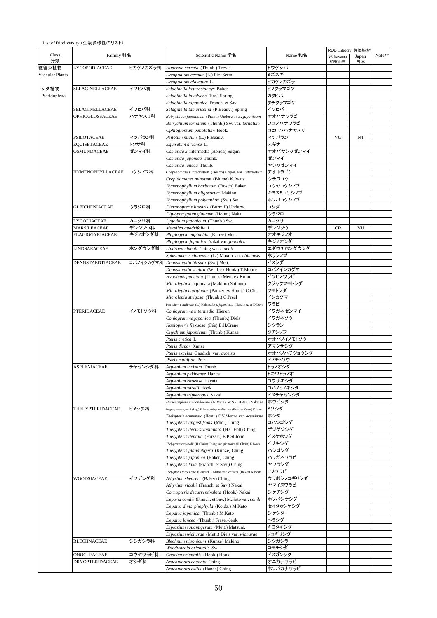|                        |                         |           |                                                                                 | RDB Category 評価基準* |                  |             |        |  |
|------------------------|-------------------------|-----------|---------------------------------------------------------------------------------|--------------------|------------------|-------------|--------|--|
| Class<br>分類            | Familiy 科名              |           | Scientific Name 学名                                                              | Name 和名            | Wakayama<br>和歌山県 | Japan<br>日本 | Note** |  |
| 維管束植物                  | <b>LYCOPODIACEAE</b>    | ヒカゲノカズラ科  | Huperzia serrata (Thunb.) Trevis.                                               | トウゲシバ              |                  |             |        |  |
| <b>Vascular Plants</b> |                         |           | Lycopodium cernua (L.) Pic. Serm                                                | ミズスギ               |                  |             |        |  |
|                        |                         |           | Lycopodium clavatum L.                                                          | ヒカゲノカズラ            |                  |             |        |  |
| シダ植物                   | SELAGINELLACEAE         | イワヒバ科     | Selaginella heterostachys Baker                                                 | ヒメクラマゴケ            |                  |             |        |  |
| Pteridophyta           |                         |           | Selaginella involvens (Sw.) Spring                                              | カタヒバ               |                  |             |        |  |
|                        |                         |           | Selaginella nipponica Franch. et Sav.                                           | タチクラマゴケ            |                  |             |        |  |
|                        | SELAGINELLACEAE         | イワヒバ科     | Selaginella tamariscina (P.Beauv.) Spring                                       | イワヒバ               |                  |             |        |  |
|                        | OPHIOGLOSSACEAE         | ハナヤスリ科    | Botrychium japonicum (Prantl) Underw. var. japonicum                            | オオハナワラビ            |                  |             |        |  |
|                        |                         |           | Botrychium ternatum (Thunb.) Sw. var. ternatum                                  | フユノハナワラビ           |                  |             |        |  |
|                        |                         |           | Ophioglossum petiolatum Hook.                                                   |                    |                  |             |        |  |
|                        | PSILOTACEAE             |           |                                                                                 | コヒロハハナヤスリ<br>マツバラン |                  |             |        |  |
|                        |                         | マツバラン科    | Psilotum nudum (L.) P.Beauv.                                                    |                    | VU               | NT          |        |  |
|                        | <b>EQUISETACEAE</b>     | トクサ科      | Equisetum arvense L.                                                            | スギナ                |                  |             |        |  |
|                        | <b>OSMUNDACEAE</b>      | ゼンマイ科     | Osmunda x intermedia (Honda) Sugim.                                             | オオバヤシャゼンマイ         |                  |             |        |  |
|                        |                         |           | Osmunda japonica Thunb.                                                         | ゼンマイ               |                  |             |        |  |
|                        |                         |           | Osmunda lancea Thunb.                                                           | ヤシャゼンマイ            |                  |             |        |  |
|                        | HYMENOPHYLLACEAE コケシノブ科 |           | Crepidomanes latealatum (Bosch) Copel. var. latealatum                          | アオホラゴケ             |                  |             |        |  |
|                        |                         |           | Crepidomanes minutum (Blume) K.Iwats.                                           | ウチワゴケ              |                  |             |        |  |
|                        |                         |           | Hymenophyllum barbatum (Bosch) Baker                                            | コウヤコケシノブ           |                  |             |        |  |
|                        |                         |           | Hymenophyllum oligosorum Makino                                                 | キヨスミコケシノブ          |                  |             |        |  |
|                        |                         |           | Hymenophyllum polyanthos (Sw.) Sw.                                              | ホソバコケシノブ           |                  |             |        |  |
|                        | GLEICHENIACEAE          | ウラジロ科     | Dicranopteris linearis (Burm.f.) Underw.                                        | コシダ                |                  |             |        |  |
|                        |                         |           | Diplopterygium glaucum (Houtt.) Nakai                                           | ウラジロ               |                  |             |        |  |
|                        | LYGODIACEAE             | カニクサ科     | Lygodium japonicum (Thunb.) Sw.                                                 | カニクサ               |                  |             |        |  |
|                        | MARSILEACEAE            | デンジソウ科    | Marsilea quadrifolia L.                                                         | デンジソウ              | <b>CR</b>        | VU          |        |  |
|                        |                         |           |                                                                                 | オオキジノオ             |                  |             |        |  |
|                        | PLAGIOGYRIACEAE         | キジノオシダ科   | Plagiogyria euphlebia (Kunze) Mett.                                             |                    |                  |             |        |  |
|                        |                         |           | Plagiogyria japonica Nakai var. japonica                                        | キジノオシダ             |                  |             |        |  |
|                        | LINDSAEACEAE            | ホングウシダ科   | Lindsaea chienii Ching var. chienii                                             | <b>エダウチホングウシダ</b>  |                  |             |        |  |
|                        |                         |           | Sphenomeris chinensis (L.) Maxon var. chinensis                                 | ホラシノブ              |                  |             |        |  |
|                        | DENNSTAEDTIACEAE        | コバノイシカグマ科 | Dennstaedtia hirsuta (Sw.) Mett.                                                | イヌシダ               |                  |             |        |  |
|                        |                         |           | Dennstaedtia scabra (Wall. ex Hook.) T.Moore                                    | コバノイシカグマ           |                  |             |        |  |
|                        |                         |           | Hypolepis punctata (Thunb.) Mett. ex Kuhn                                       | イワヒメワラビ            |                  |             |        |  |
|                        |                         |           | Microlepia x bipinnata (Makino) Shimura                                         | クジャクフモトシダ          |                  |             |        |  |
|                        |                         |           | Microlepia marginata (Panzer ex Houtt.) C.Chr.                                  | フモトシダ              |                  |             |        |  |
|                        |                         |           | Microlepia strigosa (Thunb.) C.Presl                                            | イシカグマ              |                  |             |        |  |
|                        |                         |           | Pteridium aquilinum (L.) Kuhn subsp. japonicum (Nakai) Á. et D.Löve             | ワラビ                |                  |             |        |  |
|                        | PTERIDACEAE             | イノモトソウ科   | Coniogramme intermedia Hieron.                                                  | イワガネゼンマイ           |                  |             |        |  |
|                        |                         |           | Coniogramme japonica (Thunb.) Diels                                             | イワガネソウ             |                  |             |        |  |
|                        |                         |           | Haplopteris flexuosa (Fée) E.H.Crane                                            | シシラン               |                  |             |        |  |
|                        |                         |           | Onychium japonicum (Thunb.) Kunze                                               | タチシノブ              |                  |             |        |  |
|                        |                         |           | Pteris cretica L.                                                               |                    |                  |             |        |  |
|                        |                         |           |                                                                                 | オオバノイノモトソウ         |                  |             |        |  |
|                        |                         |           | Pteris dispar Kunze                                                             | アマクサシダ             |                  |             |        |  |
|                        |                         |           | Pteris excelsa Gaudich. var. excelsa                                            | オオバノハチジョウシダ        |                  |             |        |  |
|                        |                         |           | Pteris multifida Poir.                                                          | イノモトソウ             |                  |             |        |  |
|                        | <b>ASPLENIACEAE</b>     | チャセンシダ科   | Asplenium incisum Thunb.                                                        | トラノオシダ             |                  |             |        |  |
|                        |                         |           | Asplenium pekinense Hance                                                       | トキワトラノオ            |                  |             |        |  |
|                        |                         |           | Asplenium ritoense Hayata                                                       | コウザキシダ             |                  |             |        |  |
|                        |                         |           | Asplenium sarelii Hook.                                                         | コバノヒノキシダ           |                  |             |        |  |
|                        |                         |           | Asplenium tripteropus Nakai                                                     | イヌチャセンシダ           |                  |             |        |  |
|                        |                         |           | Hymenasplenium hondoense (N.Murak. et S.-I.Hatan.) Nakaike                      | ホウビシダ              |                  |             |        |  |
|                        | THELYPTERIDACEAE        | ヒメシダ科     | Stegnogramma pozoi (Lag.) K.Iwats. subsp. mollissima (Fisch. ex Kunze) K.Iwats. | ミゾシダ               |                  |             |        |  |
|                        |                         |           | Thelypteris acuminata (Houtt.) C.V.Morton var. acuminata                        | ホシダ                |                  |             |        |  |
|                        |                         |           | Thelypteris angustifrons (Miq.) Ching                                           | コハシゴシダ             |                  |             |        |  |
|                        |                         |           | Thelypteris decursivepinnata (H.C.Hall) Ching                                   | ゲジゲジシダ             |                  |             |        |  |
|                        |                         |           | Thelypteris dentata (Forssk.) E.P.St.John                                       | イヌケホシダ             |                  |             |        |  |
|                        |                         |           | Thelypteris esquirolii (H.Christ) Ching var. glabrata (H.Christ) K.Iwats.       | イブキシダ              |                  |             |        |  |
|                        |                         |           | Thelypteris glanduligera (Kunze) Ching                                          | ハシゴシダ              |                  |             |        |  |
|                        |                         |           |                                                                                 | ハリガネワラビ            |                  |             |        |  |
|                        |                         |           | Thelypteris japonica (Baker) Ching                                              |                    |                  |             |        |  |
|                        |                         |           | Thelypteris laxa (Franch. et Sav.) Ching                                        | ヤワラシダ              |                  |             |        |  |
|                        |                         |           | Thelypteris torresiana (Gaudich.) Alston var. calvata (Baker) K.Iwats.          | ヒメワラビ              |                  |             |        |  |
|                        | WOODSIACEAE             | イワデンダ科    | Athyrium sheareri (Baker) Ching                                                 | ウラボシノコギリシダ         |                  |             |        |  |
|                        |                         |           | Athyrium vidalii (Franch. et Sav.) Nakai                                        | ヤマイヌワラビ            |                  |             |        |  |
|                        |                         |           | Cornopteris decurrenti-alata (Hook.) Nakai                                      | シケチシダ              |                  |             |        |  |
|                        |                         |           | Deparia conilii (Franch. et Sav.) M.Kato var. conilii                           | ホソバシケシダ            |                  |             |        |  |
|                        |                         |           | Deparia dimorphophylla (Koidz.) M.Kato                                          | セイタカシケシダ           |                  |             |        |  |
|                        |                         |           | Deparia japonica (Thunb.) M.Kato                                                | シケシダ               |                  |             |        |  |
|                        |                         |           | Deparia lancea (Thunb.) Fraser-Jenk.                                            | ヘラシダ               |                  |             |        |  |
|                        |                         |           | Diplazium squamigerum (Mett.) Matsum.                                           | キヨタキシダ             |                  |             |        |  |
|                        |                         |           | Diplazium wichurae (Mett.) Diels var. wichurae                                  | ノコギリシダ             |                  |             |        |  |
|                        | BLECHNACEAE             | シシガシラ科    | Blechnum niponicum (Kunze) Makino                                               | シシガシラ              |                  |             |        |  |
|                        |                         |           | Woodwardia orientalis Sw.                                                       | コモチシダ              |                  |             |        |  |
|                        | ONOCLEACEAE             | コウヤワラビ科   | Onoclea orientalis (Hook.) Hook.                                                | イヌガンソク             |                  |             |        |  |
|                        | DRYOPTERIDACEAE         | オシダ科      | Arachniodes caudata Ching                                                       | オニカナワラビ            |                  |             |        |  |
|                        |                         |           |                                                                                 | ホソバカナワラビ           |                  |             |        |  |
|                        |                         |           | Arachniodes exilis (Hance) Ching                                                |                    |                  |             |        |  |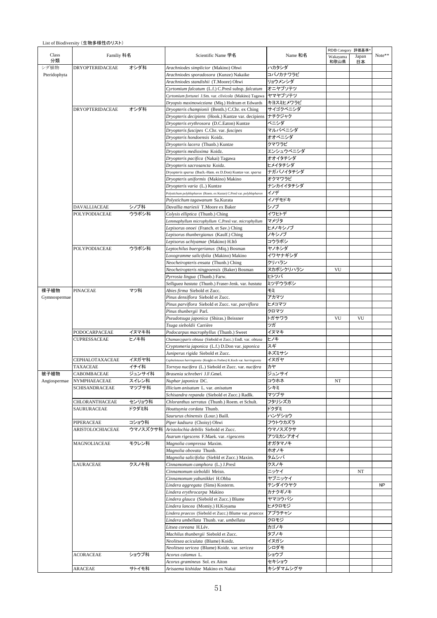|  | List of Biodiversity (生物多様性のリスト) |
|--|----------------------------------|
|--|----------------------------------|

|              |                        |          |                                                                                                       |                    | RDB Category 評価基準 |             |           |
|--------------|------------------------|----------|-------------------------------------------------------------------------------------------------------|--------------------|-------------------|-------------|-----------|
| Class<br>分類  | Familiy 科名             |          | Scientific Name 学名                                                                                    | Name 和名            | Wakayama<br>和歌山県  | Japan<br>日本 | Note**    |
| シダ植物         | <b>DRYOPTERIDACEAE</b> | オシダ科     | Arachniodes simplicior (Makino) Ohwi                                                                  | ハカタシダ              |                   |             |           |
| Pteridophyta |                        |          | Arachniodes sporadosora (Kunze) Nakaike                                                               | コバノカナワラビ           |                   |             |           |
|              |                        |          | Arachniodes standishii (T.Moore) Ohwi                                                                 | リョウメンシダ            |                   |             |           |
|              |                        |          | Cyrtomium falcatum (L.f.) C.Presl subsp. falcatum                                                     | オニヤブソテツ            |                   |             |           |
|              |                        |          | Cyrtomium fortunei J.Sm. var. clivicola (Makino) Tagawa                                               | ヤマヤブソテツ            |                   |             |           |
|              |                        |          | Dryopsis maximowicziana (Miq.) Holttum et Edwards                                                     | キヨスミヒメワラビ          |                   |             |           |
|              | <b>DRYOPTERIDACEAE</b> | オシダ科     | Dryopteris championii (Benth.) C.Chr. ex Ching<br>Dryopteris decipiens (Hook.) Kuntze var. decipiens  | サイゴクベニシダ<br>ナチクジャク |                   |             |           |
|              |                        |          | Dryopteris erythrosora (D.C.Eaton) Kuntze                                                             | ベニシダ               |                   |             |           |
|              |                        |          | Dryopteris fuscipes C.Chr. var. fuscipes                                                              | マルバベニシダ            |                   |             |           |
|              |                        |          | Dryopteris hondoensis Koidz.                                                                          | オオベニシダ             |                   |             |           |
|              |                        |          | Dryopteris lacera (Thunb.) Kuntze                                                                     | クマワラビ              |                   |             |           |
|              |                        |          | Dryopteris medioxima Koidz.                                                                           | エンシュウベニシダ          |                   |             |           |
|              |                        |          | Dryopteris pacifica (Nakai) Tagawa                                                                    | オオイタチシダ            |                   |             |           |
|              |                        |          | Dryopteris sacrosancta Koidz.                                                                         | ヒメイタチシダ            |                   |             |           |
|              |                        |          | Dryopteris sparsa (Buch.-Ham. ex D.Don) Kuntze var. sparsa                                            | ナガバノイタチシダ          |                   |             |           |
|              |                        |          | Dryopteris uniformis (Makino) Makino                                                                  | オクマワラビ             |                   |             |           |
|              |                        |          | Dryopteris varia (L.) Kuntze<br>Polystichum polyblepharon (Roem. ex Kunze) C.Presl var. polyblepharon | ナンカイイタチシダ<br>イノデ   |                   |             |           |
|              |                        |          | Polystichum tagawanum Sa.Kurata                                                                       | イノデモドキ             |                   |             |           |
|              | DAVALLIACEAE           | シノブ科     | Davallia mariesii T.Moore ex Baker                                                                    | シノブ                |                   |             |           |
|              | POLYPODIACEAE          | ウラボシ科    | Colysis elliptica (Thunb.) Ching                                                                      | イワヒトデ              |                   |             |           |
|              |                        |          | Lemmaphyllum microphyllum C.Presl var. microphyllum                                                   | マメヅタ               |                   |             |           |
|              |                        |          | Lepisorus onoei (Franch. et Sav.) Ching                                                               | ヒメノキシノブ            |                   |             |           |
|              |                        |          | Lepisorus thunbergianus (Kaulf.) Ching                                                                | ノキシノブ              |                   |             |           |
|              |                        |          | Lepisorus uchiyamae (Makino) H.Itô                                                                    | コウラボシ              |                   |             |           |
|              | POLYPODIACEAE          | ウラボシ科    | Leptochilus buergerianus (Miq.) Bosman                                                                | ヤノネシダ              |                   |             |           |
|              |                        |          | Loxogramme salicifolia (Makino) Makino                                                                | イワヤナギシダ            |                   |             |           |
|              |                        |          | Neocheiropteris ensata (Thunb.) Ching                                                                 | クリハラン              | VU                |             |           |
|              |                        |          | Neocheiropteris ningpoensis (Baker) Bosman<br>Pyrrosia lingua (Thunb.) Farw.                          | ヌカボシクリハラン<br>ヒトツバ  |                   |             |           |
|              |                        |          | Selliguea hastata (Thunb.) Fraser-Jenk. var. hastata                                                  | ミツデウラボシ            |                   |             |           |
| 裸子植物         | <b>PINACEAE</b>        | マツ科      | Abies firma Siebold et Zucc.                                                                          | モミ                 |                   |             |           |
| Gymnospermae |                        |          | Pinus densiflora Siebold et Zucc.                                                                     | アカマツ               |                   |             |           |
|              |                        |          | Pinus parviflora Siebold et Zucc. var. parviflora                                                     | ヒメコマツ              |                   |             |           |
|              |                        |          | Pinus thunbergii Parl.                                                                                | クロマツ               |                   |             |           |
|              |                        |          | Pseudotsuga japonica (Shiras.) Beissner                                                               | トガサワラ              | VU                | VU          |           |
|              | PODOCARPACEAE          | イヌマキ科    | Tsuga sieboldii Carrière<br>Podocarpus macrophyllus (Thunb.) Sweet                                    | ツガ<br>イヌマキ         |                   |             |           |
|              | CUPRESSACEAE           | ヒノキ科     | Chamaecyparis obtusa (Siebold et Zucc.) Endl. var. obtusa                                             | ヒノキ                |                   |             |           |
|              |                        |          | Cryptomeria japonica (L.f.) D.Don var. japonica                                                       | スギ                 |                   |             |           |
|              |                        |          | Juniperus rigida Siebold et Zucc.                                                                     | ネズミサシ              |                   |             |           |
|              | CEPHALOTAXACEAE        | イヌガヤ科    | Cephalotaxus harringtonia (Knight ex Forbes) K.Koch var. harringtonia                                 | イヌガヤ               |                   |             |           |
|              | <b>TAXACEAE</b>        | イチイ科     | Torreya nucifera (L.) Siebold et Zucc. var. nucifera                                                  | カヤ                 |                   |             |           |
| 被子植物         | CABOMBACEAE            | ジュンサイ科   | Brasenia schreberi J.F.Gmel.                                                                          | ジュンサイ              |                   |             |           |
| Angiospermae | <b>NYMPHAEACEAE</b>    | スイレン科    | Nuphar japonica DC.                                                                                   | コウホネ               | NT                |             |           |
|              | SCHISANDRACEAE         | マツブサ科    | Illicium anisatum L. var. anisatum<br>Schisandra repanda (Siebold et Zucc.) Radlk.                    | シキミ<br>マツブサ        |                   |             |           |
|              | CHLORANTHACEAE         | センリョウ科   | Chloranthus serratus (Thunb.) Roem. et Schult.                                                        | フタリシズカ             |                   |             |           |
|              | SAURURACEAE            | ドクダミ科    | Houttuynia cordata Thunb.                                                                             | ドクダミ               |                   |             |           |
|              |                        |          | Saururus chinensis (Lour.) Baill.                                                                     | ハンゲショウ             |                   |             |           |
|              | PIPERACEAE             | コショウ科    | Piper kadsura (Choisy) Ohwi                                                                           | フウトウカズラ            |                   |             |           |
|              | ARISTOLOCHIACEAE       | ウマノスズクサ科 | Aristolochia debilis Siebold et Zucc.                                                                 | ウマノスズクサ            |                   |             |           |
|              |                        |          | Asarum rigescens F.Maek. var. rigescens                                                               | アツミカンアオイ           |                   |             |           |
|              | MAGNOLIACEAE           | モクレン科    | Magnolia compressa Maxim.                                                                             | オガタマノキ             |                   |             |           |
|              |                        |          | Magnolia obovata Thunb.                                                                               | ホオノキ               |                   |             |           |
|              | LAURACEAE              | クスノキ科    | Magnolia salicifolia (Siebld et Zucc.) Maxim.<br>Cinnamomum camphora (L.) J.Presl                     | タムシバ<br>クスノキ       |                   |             |           |
|              |                        |          | Cinnamomum sieboldii Meisn.                                                                           | ニッケイ               |                   | NT          |           |
|              |                        |          | Cinnamomum yabunikkei H.Ohba                                                                          | ヤブニッケイ             |                   |             |           |
|              |                        |          | Lindera aggregata (Sims) Kosterm.                                                                     | テンダイウヤク            |                   |             | <b>NP</b> |
|              |                        |          | Lindera erythrocarpa Makino                                                                           | カナクギノキ             |                   |             |           |
|              |                        |          | Lindera glauca (Siebold et Zucc.) Blume                                                               | ヤマコウバシ             |                   |             |           |
|              |                        |          | Lindera lancea (Momiy.) H.Koyama                                                                      | ヒメクロモジ             |                   |             |           |
|              |                        |          | Lindera praecox (Siebold et Zucc.) Blume var. praecox                                                 | アブラチャン             |                   |             |           |
|              |                        |          | Lindera umbellata Thunb. var. umbellata                                                               | クロモジ               |                   |             |           |
|              |                        |          | Litsea coreana H.Lév.<br>Machilus thunbergii Siebold et Zucc.                                         | カゴノキ<br>タブノキ       |                   |             |           |
|              |                        |          | Neolitsea aciculata (Blume) Koidz.                                                                    | イヌガシ               |                   |             |           |
|              |                        |          | Neolitsea sericea (Blume) Koidz. var. sericea                                                         | シロダモ               |                   |             |           |
|              | <b>ACORACEAE</b>       | ショウブ科    | Acorus calamus L.                                                                                     | ショウブ               |                   |             |           |
|              |                        |          | Acorus gramineus Sol. ex Aiton                                                                        | セキショウ              |                   |             |           |
|              | ARACEAE                | サトイモ科    | Arisaema kishidae Makino ex Nakai                                                                     | キシダマムシグサ           |                   |             |           |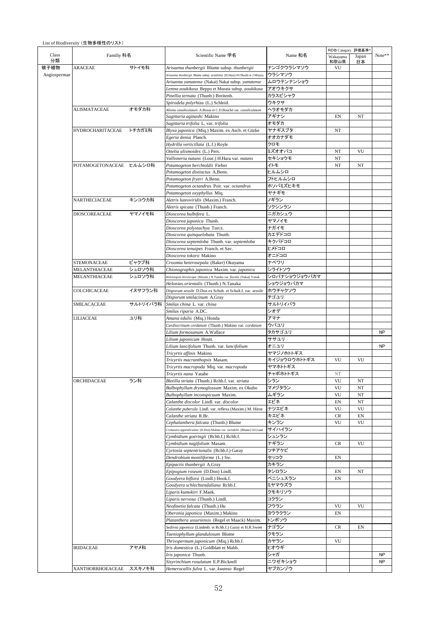|                         |          |                                                                                                    |                 | RDB Category 評価基準* |             |           |
|-------------------------|----------|----------------------------------------------------------------------------------------------------|-----------------|--------------------|-------------|-----------|
| Familiy 科名              |          | Scientific Name 学名                                                                                 | Name 和名         | Wakayama<br>和歌山県   | Japan<br>日本 | Note**    |
| <b>ARACEAE</b>          | サトイモ科    | Arisaema thunbergii Blume subsp. thunbergii                                                        | ナンゴクウラシマソウ      | VU                 |             |           |
| Angiospermae            |          | Arisaema thunbergii Blume subsp. urashima (H.Hara) H.Ohashi et J.Murata                            | ウラシマソウ          |                    |             |           |
|                         |          | Arisaema yamatense (Nakai) Nakai subsp. yamatense                                                  | ムロウテンナンショウ      |                    |             |           |
|                         |          | Lemna aoukikusa Beppu et Murata subsp. aoukikusa                                                   | アオウキクサ          |                    |             |           |
|                         |          | Pinellia ternata (Thunb.) Breitenb.                                                                | カラスビシャク<br>ウキクサ |                    |             |           |
| ALISMATACEAE            | オモダカ科    | Spirodela polyrhiza (L.) Schleid.<br>Alisma canaliculatum A.Braun et C.D.Bouché var. canaliculatum | ヘラオモダカ          |                    |             |           |
|                         |          |                                                                                                    | アギナシ            | EN                 | NT          |           |
|                         |          | Sagittaria aginashi Makino                                                                         | オモダカ            |                    |             |           |
| HYDROCHARITACEAE トチカガミ科 |          | Sagittaria trifolia L. var. trifolia<br>Blyxa japonica (Mig.) Maxim. ex Asch. et Gürke             | ヤナギスブタ          | NT                 |             |           |
|                         |          | Egeria densa Planch.                                                                               | オオカナダモ          |                    |             |           |
|                         |          |                                                                                                    | クロモ             |                    |             |           |
|                         |          | Hydrilla verticillata (L.f.) Royle<br>Ottelia alismoides (L.) Pers.                                | ミズオオバコ          | NT                 | VU          |           |
|                         |          | Vallisneria natans (Lour.) H.Hara var. natans                                                      | セキショウモ          | NT                 |             |           |
| POTAMOGETONACEAE ヒルムシロ科 |          | Potamogeton berchtoldii Fieber                                                                     | イトモ             | NT                 | NT          |           |
|                         |          | Potamogeton distinctus A.Benn.                                                                     | ヒルムシロ           |                    |             |           |
|                         |          | Potamogeton fryeri A.Benn.                                                                         | フトヒルムシロ         |                    |             |           |
|                         |          | Potamogeton octandrus Poir. var. octandrus                                                         | ホソバミズヒキモ        |                    |             |           |
|                         |          | Potamogeton oxyphyllus Miq.                                                                        | ヤナギモ            |                    |             |           |
| <b>NARTHECIACEAE</b>    | キンコウカ科   | Aletris luteoviridis (Maxim.) Franch.                                                              | ノギラン            |                    |             |           |
|                         |          | Aletris spicata (Thunb.) Franch.                                                                   | ソクシンラン          |                    |             |           |
| <b>DIOSCOREACEAE</b>    | ヤマノイモ科   | Dioscorea bulbifera L.                                                                             | ニガカシュウ          |                    |             |           |
|                         |          | Dioscorea japonica Thunb.                                                                          | ヤマノイモ           |                    |             |           |
|                         |          | Dioscorea polystachya Turcz.                                                                       | ナガイモ            |                    |             |           |
|                         |          | Dioscorea quinquelobata Thunb.                                                                     | カエデドコロ          |                    |             |           |
|                         |          | Dioscorea septemloba Thunb. var. septemloba                                                        | キクバドコロ          |                    |             |           |
|                         |          | Dioscorea tenuipes Franch. et Sav.                                                                 | ヒメドコロ           |                    |             |           |
|                         |          | Dioscorea tokoro Makino                                                                            | オニドコロ           |                    |             |           |
| <b>STEMONACEAE</b>      | ビャクブ科    | Croomia heterosepala (Baker) Okuyama                                                               | ナベワリ            |                    |             |           |
| MELANTHIACEAE           | シュロソウ科   | Chionographis japonica Maxim. var. japonica                                                        | シライトソウ          |                    |             |           |
| MELANTHIACEAE           | シュロソウ科   | Heloniopsis breviscapa (Maxim.) N.Tanaka var. flavida (Nakai) Yonek.                               | シロバナショウジョウバカマ   |                    |             |           |
|                         |          | Helonias orientalis (Thunb.) N.Tanaka                                                              | ショウジョウバカマ       |                    |             |           |
| COLCHICACEAE            | イヌサフラン科  | Disporum sessile D.Don ex Schult. et Schult.f. var. sessile                                        | ホウチャクソウ         |                    |             |           |
|                         |          | Disporum smilacinum A.Gray                                                                         | チゴユリ            |                    |             |           |
| SMILACACEAE             | サルトリイバラ科 | Smilax china L. var. china                                                                         | サルトリイバラ         |                    |             |           |
|                         |          | Smilax riparia A.DC.                                                                               | シオデ             |                    |             |           |
| LILIACEAE               | ユリ科      | Amana edulis (Miq.) Honda                                                                          | アマナ             |                    |             |           |
|                         |          | Cardiocrinum cordatum (Thunb.) Makino var. cordatum                                                | ウバユリ            |                    |             |           |
|                         |          | Lilium formosanum A.Wallace                                                                        | タカサゴユリ          |                    |             | <b>NP</b> |
|                         |          | Lilium japonicum Houtt.                                                                            | ササユリ            |                    |             |           |
|                         |          | Lilium lancifolium Thunb. var. lancifolium                                                         | オニユリ            |                    |             | <b>NP</b> |
|                         |          | Tricyrtis affinis Makino                                                                           | ヤマジノホトトギス       |                    |             |           |
|                         |          | Tricyrtis macranthopsis Masam.                                                                     | キイジョウロウホトトギス    | VU                 | VU          |           |
|                         |          | Tricyrtis macropoda Miq. var. macropoda                                                            | ヤマホトトギス         |                    |             |           |
|                         |          | Tricyrtis nana Yatabe                                                                              | チャボホトトギス        | NT                 |             |           |
| ORCHIDACEAE             | ラン科      | Bletilla striata (Thunb.) Rchb.f. var. striata                                                     | シラン             |                    |             |           |
|                         |          |                                                                                                    |                 |                    |             |           |
|                         |          |                                                                                                    |                 | VU                 | NT          |           |
|                         |          | Bulbophyllum drymoglossum Maxim. ex Okubo                                                          | マメヅタラン          | VU                 | NT          |           |
|                         |          | Bulbophyllum inconspicuum Maxim.                                                                   | ムギラン            | VU                 | NT          |           |
|                         |          | Calanthe discolor Lindl. var. discolor                                                             | エビネ             | EN                 | NT          |           |
|                         |          | Calanthe puberula Lindl. var. reflexa (Maxim.) M. Hiroe                                            | ナツエビネ           | VU                 | VU          |           |
|                         |          | Calanthe striata R.Br.                                                                             | キエビネ            | CR<br>VU           | EN<br>VU    |           |
|                         |          | Cephalanthera falcata (Thunb.) Blume                                                               | キンラン            |                    |             |           |
|                         |          | Cremastra appendiculata (D.Don) Makino var. variabilis (Blume) I.D.Lund                            | サイハイラン<br>シュンラン |                    |             |           |
|                         |          | Cymbidium goeringii (Rchb.f.) Rchb.f.                                                              |                 | <b>CR</b>          | VU          |           |
|                         |          | Cymbidium nagifolium Masam.                                                                        | ナギラン            |                    |             |           |
|                         |          | Cyrtosia septentrionalis (Rchb.f.) Garay<br>Dendrobium moniliforme (L.) Sw.                        | ツチアケビ<br>セッコク   | EN                 |             |           |
|                         |          | Epipactis thunbergii A.Gray                                                                        | カキラン            |                    |             |           |
|                         |          | Epipogium roseum (D.Don) Lindl.                                                                    | タシロラン           | EN                 | NT          |           |
|                         |          | Goodyera biflora (Lindl.) Hook.f.                                                                  | ベニシュスラン         | EN                 |             |           |
|                         |          | Goodyera schlechtendaliana Rchb.f.                                                                 | ミヤマウズラ          |                    |             |           |
|                         |          | Liparis kumokiri F.Maek.                                                                           | クモキリソウ          |                    |             |           |
|                         |          | Liparis nervosa (Thunb.) Lindl.                                                                    | コクラン            |                    |             |           |
|                         |          | Neofinetia falcata (Thunb.) Hu                                                                     | フウラン            | VU                 | VU          |           |
|                         |          | Oberonia japonica (Maxim.) Makino                                                                  | ヨウラクラン          | EN                 |             |           |
|                         |          | Platanthera ussuriensis (Regel et Maack) Maxim.                                                    | トンボソウ           |                    |             |           |
|                         |          | Sedirea japonica (Lindenb. et Rchb.f.) Garay et H.R.Sweet                                          | ナゴラン            | CR                 | EN          |           |
|                         |          | Taeniophyllum glandulosum Blume                                                                    | クモラン            |                    |             |           |
|                         |          | Thrixspermum japonicum (Miq.) Rchb.f.                                                              | カヤラン            | VU                 |             |           |
| <b>IRIDACEAE</b>        | アヤメ科     | Iris domestica (L.) Goldblatt et Mabb.                                                             | ヒオウギ            |                    |             |           |
|                         |          | Iris japonica Thunb.                                                                               | シャガ             |                    |             |           |
|                         |          | Sisyrinchium rosulatum E.P.Bicknell                                                                | ニワゼキショウ         |                    |             | NP<br>NP  |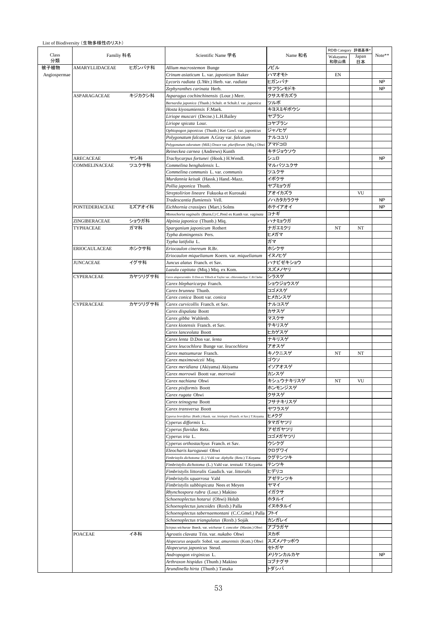List of Biodiversity (生物多様性のリスト)

|              |                   |         |                                                                                |              | RDB Category 評価基準* |             |                      |  |  |
|--------------|-------------------|---------|--------------------------------------------------------------------------------|--------------|--------------------|-------------|----------------------|--|--|
|              | Familiy 科名        |         | Scientific Name 学名                                                             | Name 和名      | Wakayama<br>和歌山県   | Japan<br>日本 | $\text{Note}{}^{**}$ |  |  |
|              | AMARYLLIDACEAE    | ヒガンバナ科  | Allium macrostemon Bunge                                                       | ノビル          |                    |             |                      |  |  |
| Angiospermae |                   |         | Crinum asiaticum L. var. japonicum Baker                                       | ハマオモト        | EN                 |             |                      |  |  |
|              |                   |         | Lycoris radiata (L'Hér.) Herb. var. radiata                                    | ヒガンバナ        |                    |             | <b>NP</b>            |  |  |
|              |                   |         | Zephyranthes carinata Herb.                                                    | サフランモドキ      |                    |             | NP                   |  |  |
|              | ASPARAGACEAE      | キジカクシ科  | Asparagus cochinchinensis (Lour.) Merr.                                        | クサスギカズラ      |                    |             |                      |  |  |
|              |                   |         | Barnardia japonica (Thunb.) Schult. et Schult.f. var. japonica                 | ツルボ          |                    |             |                      |  |  |
|              |                   |         | Hosta kiyosumiensis F.Maek.                                                    | キヨスミギボウシ     |                    |             |                      |  |  |
|              |                   |         | Liriope muscari (Decne.) L.H.Bailey                                            | ヤブラン         |                    |             |                      |  |  |
|              |                   |         | Liriope spicata Lour.                                                          | コヤブラン        |                    |             |                      |  |  |
|              |                   |         | Ophiopogon japonicus (Thunb.) Ker Gawl. var. japonicus                         | ジャノヒゲ        |                    |             |                      |  |  |
|              |                   |         | Polygonatum falcatum A.Gray var. falcatum                                      | ナルコユリ        |                    |             |                      |  |  |
|              |                   |         | Polygonatum odoratum (Mill.) Druce var. pluriflorum (Miq.) Ohwi                | アマドコロ        |                    |             |                      |  |  |
|              |                   |         | Reineckea carnea (Andrews) Kunth                                               | キチジョウソウ      |                    |             |                      |  |  |
|              | ARECACEAE         | ヤシ科     | Trachycarpus fortunei (Hook.) H.Wendl.                                         | シュロ          |                    |             | <b>NP</b>            |  |  |
|              | COMMELINACEAE     | ツユクサ科   | Commelina benghalensis L.                                                      | マルバツユクサ      |                    |             |                      |  |  |
|              |                   |         | Commelina communis L. var. communis                                            | ツユクサ         |                    |             |                      |  |  |
|              |                   |         | Murdannia keisak (Hassk.) Hand.-Mazz.                                          | イボクサ         |                    |             |                      |  |  |
|              |                   |         | Pollia japonica Thunb.                                                         | ヤブミョウガ       |                    |             |                      |  |  |
|              |                   |         | Streptolirion lineare Fukuoka et Kurosaki                                      | アオイカズラ       |                    | VU          |                      |  |  |
|              |                   |         | Tradescantia flumiensis Vell.                                                  | ノハカタカラクサ     |                    |             | <b>NP</b>            |  |  |
|              | PONTEDERIACEAE    | ミズアオイ科  | Eichhornia crassipes (Mart.) Solms                                             | ホテイアオイ       |                    |             | <b>NP</b>            |  |  |
|              |                   |         | Monochoria vaginalis (Burm.f.) C.Presl ex Kunth var. vaginata                  | コナギ          |                    |             |                      |  |  |
|              | ZINGIBERACEAE     | ショウガ科   | Alpinia japonica (Thunb.) Miq.                                                 | ハナミョウガ       |                    |             |                      |  |  |
|              | TYPHACEAE         | ガマ科     | Sparganium japonicum Rothert                                                   | ナガエミクリ       | NT                 | NT          |                      |  |  |
|              |                   |         | Typha domingensis Pers.                                                        | ヒメガマ         |                    |             |                      |  |  |
|              |                   |         | Typha latifolia L.                                                             | ガマ           |                    |             |                      |  |  |
|              | ERIOCAULACEAE     | ホシクサ科   | Eriocaulon cinereum R.Br.                                                      | ホシクサ         |                    |             |                      |  |  |
|              |                   |         |                                                                                | イヌノヒゲ        |                    |             |                      |  |  |
|              |                   |         | Eriocaulon miquelianum Koern. var. miquelianum                                 |              |                    |             |                      |  |  |
|              | <b>JUNCACEAE</b>  | イグサ科    | Juncus alatus Franch. et Sav.                                                  | ハナビゼキショウ     |                    |             |                      |  |  |
|              |                   |         | Luzula capitata (Miq.) Miq. ex Kom.                                            | スズメノヤリ       |                    |             |                      |  |  |
|              | <b>CYPERACEAE</b> | カヤツリグサ科 | Carex alopecuroides D.Don ex Tilloch et Taylor var. chlorostachya C.B.Clarke   | シラスゲ         |                    |             |                      |  |  |
|              |                   |         | Carex blepharicarpa Franch.                                                    | ショウジョウスゲ     |                    |             |                      |  |  |
|              |                   |         | Carex brunnea Thunb.                                                           | コゴメスゲ        |                    |             |                      |  |  |
|              |                   |         | Carex conica Boott var. conica                                                 | ヒメカンスゲ       |                    |             |                      |  |  |
|              | <b>CYPERACEAE</b> | カヤツリグサ科 | Carex curvicollis Franch. et Sav.                                              | ナルコスゲ        |                    |             |                      |  |  |
|              |                   |         | Carex dispalata Boott                                                          | カサスゲ         |                    |             |                      |  |  |
|              |                   |         | Carex gibba Wahlenb.                                                           | マスクサ         |                    |             |                      |  |  |
|              |                   |         | Carex kiotensis Franch. et Sav.                                                | テキリスゲ        |                    |             |                      |  |  |
|              |                   |         | Carex lanceolata Boott                                                         | ヒカゲスゲ        |                    |             |                      |  |  |
|              |                   |         | Carex lenta D.Don var. lenta                                                   | ナキリスゲ        |                    |             |                      |  |  |
|              |                   |         | Carex leucochlora Bunge var. leucochlora                                       | アオスゲ         |                    |             |                      |  |  |
|              |                   |         | Carex matsumurae Franch.                                                       | キノクニスゲ       | NT                 | NT          |                      |  |  |
|              |                   |         | Carex maximowiczii Miq.                                                        | ゴウソ          |                    |             |                      |  |  |
|              |                   |         | Carex meridiana (Akiyama) Akiyama                                              | イソアオスゲ       |                    |             |                      |  |  |
|              |                   |         | Carex morrowii Boott var. morrowii                                             | カンスゲ         |                    |             |                      |  |  |
|              |                   |         | Carex nachiana Ohwi                                                            | キシュウナキリスゲ    | NT                 | VU          |                      |  |  |
|              |                   |         | Carex pisiformis Boott                                                         | ホンモンジスゲ      |                    |             |                      |  |  |
|              |                   |         | Carex rugata Ohwi                                                              | クサスゲ         |                    |             |                      |  |  |
|              |                   |         | Carex teinogyna Boott                                                          | フサナキリスゲ      |                    |             |                      |  |  |
|              |                   |         | Carex transversa Boott                                                         | ヤワラスゲ        |                    |             |                      |  |  |
|              |                   |         | Cyperus brevifolius (Rottb.) Hassk. var. leiolepis (Franch. et Sav.) T. Koyama | ヒメクグ         |                    |             |                      |  |  |
|              |                   |         | Cyperus difformis L.                                                           | タマガヤツリ       |                    |             |                      |  |  |
|              |                   |         | Cyperus flavidus Retz.                                                         | アゼガヤツリ       |                    |             |                      |  |  |
|              |                   |         | Cyperus iria L.                                                                | コゴメガヤツリ      |                    |             |                      |  |  |
|              |                   |         | Cyperus orthostachyus Franch. et Sav.                                          | ウシクグ         |                    |             |                      |  |  |
|              |                   |         |                                                                                | クログワイ        |                    |             |                      |  |  |
|              |                   |         | Eleocharis kuroguwai Ohwi                                                      |              |                    |             |                      |  |  |
|              |                   |         | Fimbristylis dichotoma (L.) Vahl var. diphylla (Retz.) T.Koyama                | クグテンツキ       |                    |             |                      |  |  |
|              |                   |         | Fimbristylis dichotoma (L.) Vahl var. tentsuki T.Koyama                        | テンツキ<br>ヒデリコ |                    |             |                      |  |  |
|              |                   |         | Fimbristylis littoralis Gaudich. var. littoralis                               |              |                    |             |                      |  |  |
|              |                   |         | Fimbristylis squarrosa Vahl                                                    | アゼテンツキ       |                    |             |                      |  |  |
|              |                   |         | Fimbristylis subbispicata Nees et Meyen                                        | ヤマイ          |                    |             |                      |  |  |
|              |                   |         | Rhynchospora rubra (Lour.) Makino                                              | イガクサ         |                    |             |                      |  |  |
|              |                   |         | Schoenoplectus hotarui (Ohwi) Holub                                            | ホタルイ         |                    |             |                      |  |  |
|              |                   |         | Schoenoplectus juncoides (Roxb.) Palla                                         | イヌホタルイ       |                    |             |                      |  |  |
|              |                   |         | Schoenoplectus tabernaemontani (C.C.Gmel.) Palla                               | フトイ          |                    |             |                      |  |  |
|              |                   |         | Schoenoplectus triangulatus (Roxb.) Soják                                      | カンガレイ        |                    |             |                      |  |  |
|              |                   |         | Scirpus wichurae Boeck. var. wichurae f. concolor (Maxim.) Ohwi                | アブラガヤ        |                    |             |                      |  |  |
|              | <b>POACEAE</b>    | イネ科     | Agrostis clavata Trin. var. nukabo Ohwi                                        | ヌカボ          |                    |             |                      |  |  |
|              |                   |         | Alopecurus aequalis Sobol. var. amurensis (Kom.) Ohwi                          | スズメノテッポウ     |                    |             |                      |  |  |
|              |                   |         | Alopecurus japonicus Steud.                                                    | セトガヤ         |                    |             |                      |  |  |
|              |                   |         | Andropogon virginicus L.                                                       | メリケンカルカヤ     |                    |             | NP                   |  |  |
|              |                   |         | Arthraxon hispidus (Thunb.) Makino                                             | コブナグサ        |                    |             |                      |  |  |
|              |                   |         | Arundinella hirta (Thunb.) Tanaka                                              | トダシバ         |                    |             |                      |  |  |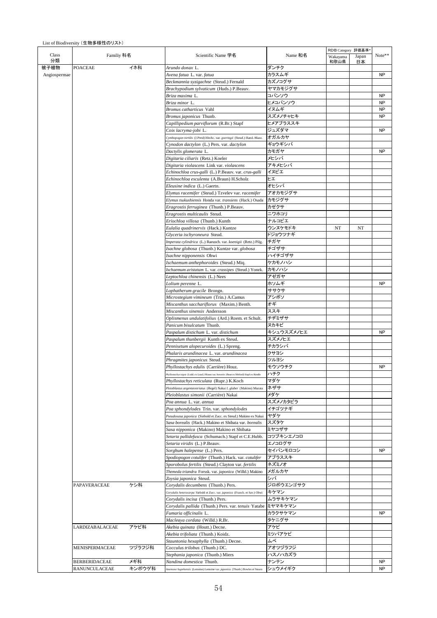|                      |        |                                                                                           |                  | RDB Category 評価基準® |             |                 |
|----------------------|--------|-------------------------------------------------------------------------------------------|------------------|--------------------|-------------|-----------------|
| Familiy 科名           |        | Scientific Name 学名                                                                        | Name 和名          | Wakayama<br>和歌山県   | Japan<br>日本 | Note**          |
| <b>POACEAE</b>       | イネ科    | Arundo donax L.                                                                           | ダンチク             |                    |             |                 |
| Angiospermae         |        | Avena fatua L. var. fatua                                                                 | カラスムギ            |                    |             | NP              |
|                      |        | Beckmannia syzigachne (Steud.) Fernald                                                    | カズノコグサ           |                    |             |                 |
|                      |        | Brachypodium sylvaticum (Huds.) P.Beauv.                                                  | ヤマカモジグサ          |                    |             |                 |
|                      |        | Briza maxima L.                                                                           | コバンソウ<br>ヒメコバンソウ |                    |             | NP<br><b>NP</b> |
|                      |        | Briza minor L.<br>Bromus catharticus Vahl                                                 | イヌムギ             |                    |             | NP              |
|                      |        |                                                                                           |                  |                    |             |                 |
|                      |        | Bromus japonicus Thunb.                                                                   | スズメノチャヒキ         |                    |             | <b>NP</b>       |
|                      |        | Capillipedium parviflorum (R.Br.) Stapf                                                   | ヒメアブラススキ         |                    |             |                 |
|                      |        | Coix lacryma-jobi L.                                                                      | ジュズダマ            |                    |             | <b>NP</b>       |
|                      |        | Cymbopogon tortilis (J.Presl) Hitchc. var. goeringii (Steud.) Hand.-Mazz.                 | オガルカヤ            |                    |             |                 |
|                      |        | Cynodon dactylon (L.) Pers. var. dactylon                                                 | ギョウギシバ           |                    |             |                 |
|                      |        | Dactylis glomerata L.                                                                     | カモガヤ             |                    |             | <b>NP</b>       |
|                      |        | Digitaria ciliaris (Retz.) Koeler                                                         | メヒシバ             |                    |             |                 |
|                      |        | Digitaria violascens Link var. violascens                                                 | アキメヒシバ<br>イヌビエ   |                    |             |                 |
|                      |        | Echinochloa crus-galli (L.) P.Beauv. var. crus-galli                                      | ヒエ               |                    |             |                 |
|                      |        | Echinochloa esculenta (A.Braun) H.Scholz                                                  | オヒシバ             |                    |             |                 |
|                      |        | Eleusine indica (L.) Gaertn.                                                              |                  |                    |             |                 |
|                      |        | Elymus racemifer (Steud.) Tzvelev var. racemifer                                          | アオカモジグサ          |                    |             |                 |
|                      |        | Elymus tsukushiensis Honda var. transiens (Hack.) Osada                                   | カモジグサ            |                    |             |                 |
|                      |        | Eragrostis ferruginea (Thunb.) P.Beauv.                                                   | カゼクサ             |                    |             |                 |
|                      |        | Eragrostis multicaulis Steud.                                                             | ニワホコリ            |                    |             |                 |
|                      |        | Eriochloa villosa (Thunb.) Kunth                                                          | ナルコビエ            |                    |             |                 |
|                      |        | Eulalia quadrinervis (Hack.) Kuntze                                                       | ウンヌケモドキ          | NT                 | NT          |                 |
|                      |        | Glyceria ischyroneura Steud.                                                              | ドジョウツナギ          |                    |             |                 |
|                      |        | Imperata cylindrica (L.) Raeusch. var. koenigii (Retz.) Pilg.                             | チガヤ<br>チゴザサ      |                    |             |                 |
|                      |        | Isachne globosa (Thunb.) Kuntze var. globosa                                              |                  |                    |             |                 |
|                      |        | Isachne nipponensis Ohwi                                                                  | ハイチゴザサ           |                    |             |                 |
|                      |        | Ischaemum anthephoroides (Steud.) Miq.                                                    | ケカモノハシ           |                    |             |                 |
|                      |        | Ischaemum aristatum L. var. crassipes (Steud.) Yonek.                                     | カモノハシ<br>アゼガヤ    |                    |             |                 |
|                      |        | Leptochloa chinensis (L.) Nees                                                            | ホソムギ             |                    |             | <b>NP</b>       |
|                      |        | Lolium perenne L.                                                                         | ササクサ             |                    |             |                 |
|                      |        | Lophatherum gracile Brongn.                                                               | アシボソ             |                    |             |                 |
|                      |        | Microstegium vimineum (Trin.) A.Camus<br>Miscanthus sacchariflorus (Maxim.) Benth.        | オギ               |                    |             |                 |
|                      |        | Miscanthus sinensis Andersson                                                             | ススキ              |                    |             |                 |
|                      |        |                                                                                           | チヂミザサ            |                    |             |                 |
|                      |        | Oplismenus undulatifolius (Ard.) Roem. et Schult.<br>Panicum bisulcatum Thunb.            | ヌカキビ             |                    |             |                 |
|                      |        | Paspalum distichum L. var. distichum                                                      | キシュウスズメノヒエ       |                    |             | <b>NP</b>       |
|                      |        |                                                                                           | スズメノヒエ           |                    |             |                 |
|                      |        | Paspalum thunbergii Kunth ex Steud.                                                       |                  |                    |             |                 |
|                      |        | Pennisetum alopecuroides (L.) Spreng.<br>Phalaris arundinacea L. var. arundinacea         | チカラシバ<br>クサヨシ    |                    |             |                 |
|                      |        |                                                                                           |                  |                    |             |                 |
|                      |        | Phragmites japonicus Steud.                                                               | ツルヨシ             |                    |             |                 |
|                      |        | Phyllostachys edulis (Carrière) Houz.                                                     | モウソウチク           |                    |             | <b>NP</b>       |
|                      |        | Phyllostachys nigra (Lodd. ex Loud.) Munro var. henonis (Bean ex Mitford) Stapf ex Rendle | ハチク              |                    |             |                 |
|                      |        | Phyllostachys reticulata (Rupr.) K.Koch                                                   | マダケ              |                    |             |                 |
|                      |        | Pleioblastus argenteostriatus (Regel) Nakai f. glaber (Makino) Murata                     | ネザサ              |                    |             |                 |
|                      |        | Pleioblastus simonii (Carrière) Nakai                                                     | メダケ              |                    |             |                 |
|                      |        | Poa annua L. var. annua                                                                   | スズメノカタビラ         |                    |             |                 |
|                      |        | Poa sphondylodes Trin. var. sphondylodes                                                  | イチゴツナギ           |                    |             |                 |
|                      |        | Pseudosasa japonica (Siebold et Zucc. ex Steud.) Makino ex Nakai                          | ヤダケ              |                    |             |                 |
|                      |        | Sasa borealis (Hack.) Makino et Shibata var. borealis                                     | スズタケ             |                    |             |                 |
|                      |        | Sasa nipponica (Makino) Makino et Shibata                                                 | ミヤコザサ            |                    |             |                 |
|                      |        | Setaria pallidefusca (Schumach.) Stapf et C.E.Hubb.                                       | コツブキンエノコロ        |                    |             |                 |
|                      |        | Setaria viridis (L.) P.Beauv.                                                             | エノコログサ           |                    |             |                 |
|                      |        | Sorghum halepense (L.) Pers.                                                              | セイバンモロコシ         |                    |             | NP              |
|                      |        | Spodiopogon cotulifer (Thunb.) Hack. var. cotulifer                                       | アブラススキ           |                    |             |                 |
|                      |        | Sporobolus fertilis (Steud.) Clayton var. fertilis                                        | ネズミノオ            |                    |             |                 |
|                      |        | Themeda triandra Forssk. var. japonica (Willd.) Makino                                    | メガルカヤ            |                    |             |                 |
|                      |        | Zoysia japonica Steud.                                                                    | シバ               |                    |             |                 |
| PAPAVERACEAE         | ケシ科    | Corydalis decumbens (Thunb.) Pers.                                                        | ジロボウエンゴサク        |                    |             |                 |
|                      |        | Corydalis heterocarpa Siebold et Zucc. var. japonica (Franch. et Sav.) Ohwi               | キケマン             |                    |             |                 |
|                      |        | Corydalis incisa (Thunb.) Pers.                                                           | ムラサキケマン          |                    |             |                 |
|                      |        | Corydalis pallida (Thunb.) Pers. var. tenuis Yatabe                                       | ミヤマキケマン          |                    |             |                 |
|                      |        | Fumaria officinalis L.                                                                    | カラクサケマン          |                    |             | <b>NP</b>       |
|                      |        | Macleaya cordata (Willd.) R.Br.                                                           | タケニグサ            |                    |             |                 |
| LARDIZABALACEAE      | アケビ科   | Akebia quinata (Houtt.) Decne.                                                            | アケビ<br>ミツバアケビ    |                    |             |                 |
|                      |        | Akebia trifoliata (Thunb.) Koidz.                                                         | ムベ               |                    |             |                 |
| MENISPERMACEAE       | ツヅラフジ科 | Stauntonia hexaphylla (Thunb.) Decne.                                                     | アオツヅラフジ          |                    |             |                 |
|                      |        | Cocculus trilobus (Thunb.) DC.                                                            | ハスノハカズラ          |                    |             |                 |
| <b>BERBERIDACEAE</b> | メギ科    | Stephania japonica (Thunb.) Miers<br>Nandina domestica Thunb.                             | ナンテン             |                    |             | <b>NP</b>       |
| RANUNCULACEAE        | キンポウゲ科 |                                                                                           | シュウメイギク          |                    |             | <b>NP</b>       |
|                      |        | Anemone hupehensis (Lemoine) Lemoine var. japonica (Thunb.) Bowles et Stearn              |                  |                    |             |                 |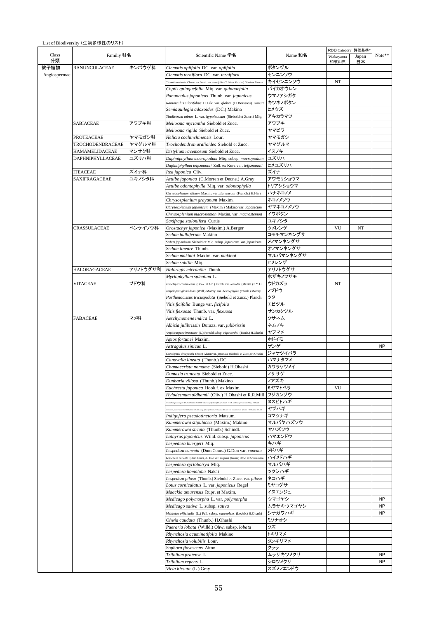|              | Familiy 科名              |          |                                                                                                                                                                            |                    | RDB Category 評価基準* |             |           |
|--------------|-------------------------|----------|----------------------------------------------------------------------------------------------------------------------------------------------------------------------------|--------------------|--------------------|-------------|-----------|
| Class<br>分類  |                         |          | Scientific Name 学名                                                                                                                                                         | Name 和名            | Wakayama<br>和歌山県   | Japan<br>日本 | Note**    |
| 被子植物         | <b>RANUNCULACEAE</b>    | キンポウゲ科   | Clematis apiifolia DC. var. apiifolia                                                                                                                                      | ボタンヅル              |                    |             |           |
| Angiospermae |                         |          | Clematis terniflora DC. var. terniflora                                                                                                                                    | センニンソウ             |                    |             |           |
|              |                         |          | .<br>Clematis uncinata Champ. ex Benth. var. ovatifolia (T.ltô ex Maxim.) Ohwi ex Tamura                                                                                   | キイセンニンソウ           | NT                 |             |           |
|              |                         |          | Coptis quinquefolia Miq. var. quinquefolia                                                                                                                                 | バイカオウレン<br>ウマノアシガタ |                    |             |           |
|              |                         |          | Ranunculus japonicus Thunb. var. japonicus<br>Ranunculus silerifolius H.Lév. var. glaber (H.Boissieu) Tamura                                                               | キツネノボタン            |                    |             |           |
|              |                         |          | Semiaquilegia adoxoides (DC.) Makino                                                                                                                                       | ヒメウズ               |                    |             |           |
|              |                         |          | Thalictrum minus L. var. hypoleucum (Siebold et Zucc.) Miq.                                                                                                                | アキカラマツ             |                    |             |           |
|              | SABIACEAE               | アワブキ科    | Meliosma myriantha Siebold et Zucc.                                                                                                                                        | アワブキ               |                    |             |           |
|              |                         |          | Meliosma rigida Siebold et Zucc.                                                                                                                                           | ヤマビワ               |                    |             |           |
|              | PROTEACEAE              | ヤマモガシ科   | Helicia cochinchinensis Lour.                                                                                                                                              | ヤマモガシ              |                    |             |           |
|              | TROCHODENDRACEAE        | ヤマグルマ科   | Trochodendron aralioides Siebold et Zucc.                                                                                                                                  | ヤマグルマ              |                    |             |           |
|              | HAMAMELIDACEAE          | マンサク科    | Distylium racemosum Siebold et Zucc.                                                                                                                                       | イスノキ               |                    |             |           |
|              | <b>DAPHNIPHYLLACEAE</b> | ユズリハ科    | Daphniphyllum macropodum Miq. subsp. macropodum                                                                                                                            | ユズリハ               |                    |             |           |
|              |                         |          | Daphniphyllum teijsmannii Zoll. ex Kurz var. teijsmannii                                                                                                                   | ヒメユズリハ             |                    |             |           |
|              | <b>ITEACEAE</b>         | ズイナ科     | Itea japonica Oliv.                                                                                                                                                        | ズイナ                |                    |             |           |
|              | SAXIFRAGACEAE           | ユキノシタ科   | Astilbe japonica (C.Morren et Decne.) A.Gray                                                                                                                               | アワモリショウマ           |                    |             |           |
|              |                         |          | Astilbe odontophylla Miq. var. odontophylla                                                                                                                                | トリアシショウマ           |                    |             |           |
|              |                         |          | Chrysosplenium album Maxim. var. stamineum (Franch.) H.Hara                                                                                                                | ハナネコノメ<br>ネコノメソウ   |                    |             |           |
|              |                         |          | Chrysosplenium grayanum Maxim.<br>Chrysosplenium japonicum (Maxim.) Makino var. japonicum                                                                                  | ヤマネコノメソウ           |                    |             |           |
|              |                         |          | Chrysosplenium macrostemon Maxim. var. macrostemon                                                                                                                         | イワボタン              |                    |             |           |
|              |                         |          | Saxifraga stolonifera Curtis                                                                                                                                               | ユキノシタ              |                    |             |           |
|              | <b>CRASSULACEAE</b>     | ベンケイソウ科  | Orostachys japonica (Maxim.) A.Berger                                                                                                                                      | ツメレンゲ              | VU                 | NT          |           |
|              |                         |          | Sedum bulbiferum Makino                                                                                                                                                    | コモチマンネングサ          |                    |             |           |
|              |                         |          | Sedum japonicum Siebold ex Miq. subsp. japonicum var. japonicum                                                                                                            | メノマンネングサ           |                    |             |           |
|              |                         |          | Sedum lineare Thunb.                                                                                                                                                       | オノマンネングサ           |                    |             |           |
|              |                         |          | Sedum makinoi Maxim. var. makinoi                                                                                                                                          | マルバマンネングサ          |                    |             |           |
|              |                         |          | Sedum subtile Miq.                                                                                                                                                         | ヒメレンゲ              |                    |             |           |
|              | <b>HALORAGACEAE</b>     | アリノトウグサ科 | Haloragis micrantha Thunb.                                                                                                                                                 | アリノトウグサ            |                    |             |           |
|              |                         |          | Myriophyllum spicatum L.                                                                                                                                                   | ホザキノフサモ            |                    |             |           |
|              | VITACEAE                | ブドウ科     | Ampelopsis cantoniensis (Hook. et Arn.) Planch. var. leeoides (Maxim.) F.Y.Lu                                                                                              | ウドカズラ              | NT                 |             |           |
|              |                         |          | Ampelopsis glandulosa (Wall.) Momiy. var. heterophylla (Thunb.) Momiy.                                                                                                     | ノブドウ               |                    |             |           |
|              |                         |          | Parthenocissus tricuspidata (Siebold et Zucc.) Planch.                                                                                                                     | ツタ                 |                    |             |           |
|              |                         |          | Vitis ficifolia Bunge var. ficifolia                                                                                                                                       | エビヅル               |                    |             |           |
|              | <b>FABACEAE</b>         | マメ科      | Vitis flexuosa Thunb. var. flexuosa<br>Aeschynomene indica L.                                                                                                              | サンカクヅル<br>クサネム     |                    |             |           |
|              |                         |          | Albizia julibrissin Durazz. var. julibrissin                                                                                                                               | ネムノキ               |                    |             |           |
|              |                         |          | Amphicarpaea bracteata (L.) Fernald subsp. edgeworthii (Benth.) H.Ohashi                                                                                                   | ヤブマメ               |                    |             |           |
|              |                         |          | Apios fortunei Maxim.                                                                                                                                                      | ホドイモ               |                    |             |           |
|              |                         |          | Astragalus sinicus L.                                                                                                                                                      | ゲンゲ                |                    |             | <b>NP</b> |
|              |                         |          | Caesalpinia decapetala (Roth) Alston var. japonica (Siebold et Zucc.) H.Ohashi                                                                                             | ジャケツイバラ            |                    |             |           |
|              |                         |          | Canavalia lineata (Thunb.) DC.                                                                                                                                             | ハマナタマメ             |                    |             |           |
|              |                         |          | Chamaecrista nomame (Siebold) H.Ohashi                                                                                                                                     | カワラケツメイ            |                    |             |           |
|              |                         |          | Dumasia truncata Siebold et Zucc.                                                                                                                                          | ノササゲ               |                    |             |           |
|              |                         |          | Dunbaria villosa (Thunb.) Makino                                                                                                                                           | ノアズキ               |                    |             |           |
|              |                         |          | Euchresta japonica Hook.f. ex Maxim.                                                                                                                                       | ミヤマトベラ             | VU                 |             |           |
|              |                         |          | Hylodesmum oldhamii (Oliv.) H.Ohashi et R.R.Mill                                                                                                                           | フジカンゾウ             |                    |             |           |
|              |                         |          | .<br>Itam podocarpam DC. H.Okushi et R.R.Mill subsp. oxyphyllam (DC.) H.Okushi et R.R.Mill var. japonicam (Miq.) H.Okushi                                                  | ヌスビトハギ             |                    |             |           |
|              |                         |          | .<br>ayaan DC. II.Ohashi et R.R.Mil subsp. fallee (Schindi) II.Ohashi et R.R.Mill var. mandelaricann (Maxim. ) II.Ohashi et R.R.Mill<br>Indigofera pseudotinctoria Matsum. | ヤブハギ<br>コマツナギ      |                    |             |           |
|              |                         |          | Kummerowia stipulacea (Maxim.) Makino                                                                                                                                      | マルバヤハズソウ           |                    |             |           |
|              |                         |          | Kummerowia striata (Thunb.) Schindl.                                                                                                                                       | ヤハズソウ              |                    |             |           |
|              |                         |          | Lathyrus japonicus Willd. subsp. japonicus                                                                                                                                 | ハマエンドウ             |                    |             |           |
|              |                         |          | Lespedeza buergeri Miq.                                                                                                                                                    | キハギ                |                    |             |           |
|              |                         |          | Lespedeza cuneata (Dum.Cours.) G.Don var. cuneata                                                                                                                          | メドハギ               |                    |             |           |
|              |                         |          | Lespedeza cuneata (Dum.Cours.) G.Don var. serpens (Nakai) Ohwi ex Shimabuku                                                                                                | ハイメドハギ             |                    |             |           |
|              |                         |          | Lespedeza cyrtobotrya Miq.                                                                                                                                                 | マルバハギ              |                    |             |           |
|              |                         |          | Lespedeza homoloba Nakai                                                                                                                                                   | ツクシハギ              |                    |             |           |
|              |                         |          | Lespedeza pilosa (Thunb.) Siebold et Zucc. var. pilosa                                                                                                                     | ネコハギ               |                    |             |           |
|              |                         |          | Lotus corniculatus L. var. japonicus Regel                                                                                                                                 | ミヤコグサ              |                    |             |           |
|              |                         |          | Maackia amurensis Rupr. et Maxim.                                                                                                                                          | イヌエンジュ<br>ウマゴヤシ    |                    |             | <b>NP</b> |
|              |                         |          | Medicago polymorpha L. var. polymorpha<br>Medicago sativa L. subsp. sativa                                                                                                 | ムラサキウマゴヤシ          |                    |             | <b>NP</b> |
|              |                         |          | Melilotus officinalis (L.) Pall. subsp. suaveolens (Ledeb.) H.Ohashi                                                                                                       | シナガワハギ             |                    |             | NP        |
|              |                         |          | Ohwia caudata (Thunb.) H.Ohashi                                                                                                                                            | ミソナオシ              |                    |             |           |
|              |                         |          | Pueraria lobata (Willd.) Ohwi subsp. lobata                                                                                                                                | クズ                 |                    |             |           |
|              |                         |          | Rhynchosia acuminatifolia Makino                                                                                                                                           | トキリマメ              |                    |             |           |
|              |                         |          | Rhynchosia volubilis Lour.                                                                                                                                                 | タンキリマメ             |                    |             |           |
|              |                         |          | Sophora flavescens Aiton                                                                                                                                                   | クララ                |                    |             |           |
|              |                         |          | Trifolium pratense L.                                                                                                                                                      | ムラサキツメクサ           |                    |             | <b>NP</b> |
|              |                         |          | Trifolium repens L.                                                                                                                                                        | シロツメクサ             |                    |             | NP        |
|              |                         |          | Vicia hirsuta (L.) Gray                                                                                                                                                    | スズメノエンドウ           |                    |             |           |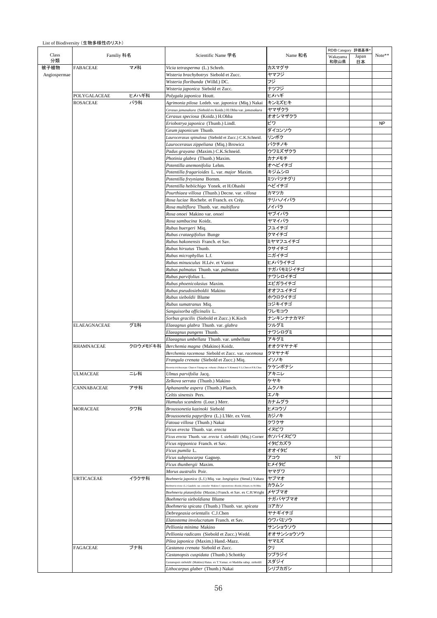List of Biodiversity (生物多様性のリスト)

|              |                     |              |                                                                                                                     |                   | RDB Category 評価基準* |             | Note**    |
|--------------|---------------------|--------------|---------------------------------------------------------------------------------------------------------------------|-------------------|--------------------|-------------|-----------|
| Class<br>分類  | Familiy 科名          |              | Scientific Name 学名                                                                                                  | Name 和名           | Wakayama<br>和歌山県   | Japan<br>日本 |           |
| 被子植物         | <b>FABACEAE</b>     | マメ科          | Vicia tetrasperma (L.) Schreb.                                                                                      | カスマグサ             |                    |             |           |
| Angiospermae |                     |              | Wisteria brachybotrys Siebold et Zucc.                                                                              | ヤマフジ              |                    |             |           |
|              |                     |              | Wisteria floribunda (Willd.) DC.                                                                                    | フジ                |                    |             |           |
|              |                     |              | Wisteria japonica Siebold et Zucc.                                                                                  | ナツフジ              |                    |             |           |
|              | POLYGALACEAE        | ヒメハギ科<br>バラ科 | Polygala japonica Houtt.                                                                                            | ヒメハギ              |                    |             |           |
|              | <b>ROSACEAE</b>     |              | Agrimonia pilosa Ledeb. var. japonica (Miq.) Nakai<br>Cerasus jamasakura (Siebold ex Koidz.) H.Ohba var. jamasakura | キンミズヒキ<br>ヤマザクラ   |                    |             |           |
|              |                     |              | Cerasus speciosa (Koidz.) H.Ohba                                                                                    | オオシマザクラ           |                    |             |           |
|              |                     |              | Eriobotrya japonica (Thunb.) Lindl.                                                                                 | ビワ                |                    |             | <b>NP</b> |
|              |                     |              | Geum japonicum Thunb.                                                                                               | ダイコンソウ            |                    |             |           |
|              |                     |              | Laurocerasus spinulosa (Siebold et Zucc.) C.K.Schneid.                                                              | リンボク              |                    |             |           |
|              |                     |              | Laurocerasus zippeliana (Miq.) Browicz                                                                              | バクチノキ             |                    |             |           |
|              |                     |              | Padus grayana (Maxim.) C.K.Schneid.                                                                                 | ウワミズザクラ           |                    |             |           |
|              |                     |              | Photinia glabra (Thunb.) Maxim.                                                                                     | カナメモチ             |                    |             |           |
|              |                     |              | Potentilla anemonifolia Lehm.                                                                                       | オヘビイチゴ            |                    |             |           |
|              |                     |              | Potentilla fragarioides L. var. major Maxim.                                                                        | キジムシロ             |                    |             |           |
|              |                     |              | Potentilla freyniana Bornm.                                                                                         | ミツバツチグリ           |                    |             |           |
|              |                     |              | Potentilla hebiichigo Yonek. et H.Ohashi                                                                            | ヘビイチゴ             |                    |             |           |
|              |                     |              | Pourthiaea villosa (Thunb.) Decne. var. villosa                                                                     | カマツカ              |                    |             |           |
|              |                     |              | Rosa luciae Rochebr. et Franch. ex Crép.<br>Rosa multiflora Thunb. var. multiflora                                  | テリハノイバラ<br>ノイバラ   |                    |             |           |
|              |                     |              | Rosa onoei Makino var. onoei                                                                                        | ヤブイバラ             |                    |             |           |
|              |                     |              | Rosa sambucina Koidz.                                                                                               | ヤマイバラ             |                    |             |           |
|              |                     |              | Rubus buergeri Miq.                                                                                                 | フユイチゴ             |                    |             |           |
|              |                     |              | Rubus crataegifolius Bunge                                                                                          | クマイチゴ             |                    |             |           |
|              |                     |              | Rubus hakonensis Franch, et Sav.                                                                                    | ミヤマフユイチゴ          |                    |             |           |
|              |                     |              | Rubus hirsutus Thunb.                                                                                               | クサイチゴ             |                    |             |           |
|              |                     |              | Rubus microphyllus L.f.                                                                                             | ニガイチゴ             |                    |             |           |
|              |                     |              | Rubus minusculus H.Lév. et Vaniot                                                                                   | ヒメバライチゴ           |                    |             |           |
|              |                     |              | Rubus palmatus Thunb. var. palmatus                                                                                 | ナガバモミジイチゴ         |                    |             |           |
|              |                     |              | Rubus parvifolius L.                                                                                                | ナワシロイチゴ           |                    |             |           |
|              |                     |              | Rubus phoenicolasius Maxim.                                                                                         | エビガライチゴ           |                    |             |           |
|              |                     |              | Rubus pseudosieboldii Makino                                                                                        | オオフユイチゴ           |                    |             |           |
|              |                     |              | Rubus sieboldii Blume<br>Rubus sumatranus Miq.                                                                      | ホウロクイチゴ<br>コジキイチゴ |                    |             |           |
|              |                     |              | Sanguisorba officinalis L.                                                                                          | ワレモコウ             |                    |             |           |
|              |                     |              | Sorbus gracilis (Siebold et Zucc.) K.Koch                                                                           | ナンキンナナカマド         |                    |             |           |
|              | <b>ELAEAGNACEAE</b> | グミ科          | Elaeagnus glabra Thunb. var. glabra                                                                                 | ツルグミ              |                    |             |           |
|              |                     |              | Elaeagnus pungens Thunb.                                                                                            | ナワシログミ            |                    |             |           |
|              |                     |              | Elaeagnus umbellata Thunb. var. umbellata                                                                           | アキグミ              |                    |             |           |
|              | RHAMNACEAE          | クロウメモドキ科     | Berchemia magna (Makino) Koidz.                                                                                     | オオクマヤナギ           |                    |             |           |
|              |                     |              | Berchemia racemosa Siebold et Zucc. var. racemosa                                                                   | クマヤナギ             |                    |             |           |
|              |                     |              | Frangula crenata (Siebold et Zucc.) Miq.                                                                            | イソノキ              |                    |             |           |
|              |                     |              | .<br>Hovenia trichocarpa Chun et Tsiang var. robusta (Nakai et Y.Kimura) Y.L.Chen et P.K.Chou                       | ケケンポナシ            |                    |             |           |
|              | <b>ULMACEAE</b>     | ニレ科          | Ulmus parvifolia Jacq.                                                                                              | アキニレ              |                    |             |           |
|              |                     |              | Zelkova serrata (Thunb.) Makino                                                                                     | ケヤキ               |                    |             |           |
|              | CANNABACEAE         | アサ科          | Aphananthe aspera (Thunb.) Planch.                                                                                  | ムクノキ<br>エノキ       |                    |             |           |
|              |                     |              | Celtis sinensis Pers.<br>Humulus scandens (Lour.) Merr.                                                             | カナムグラ             |                    |             |           |
|              | <b>MORACEAE</b>     | クワ科          | Broussonetia kazinoki Siebold                                                                                       | ヒメコウゾ             |                    |             |           |
|              |                     |              | Broussonetia papyrifera (L.) L'Hér. ex Vent.                                                                        | カジノキ              |                    |             |           |
|              |                     |              | Fatoua villosa (Thunb.) Nakai                                                                                       | クワクサ              |                    |             |           |
|              |                     |              | Ficus erecta Thunb. var. erecta                                                                                     | イヌビワ              |                    |             |           |
|              |                     |              | Ficus erecta Thunb. var. erecta f. sieboldii (Miq.) Corner                                                          | ホソバイヌビワ           |                    |             |           |
|              |                     |              | Ficus nipponica Franch. et Sav.                                                                                     | イタビカズラ            |                    |             |           |
|              |                     |              | Ficus pumila L.                                                                                                     | オオイタビ             |                    |             |           |
|              |                     |              | Ficus subpisocarpa Gagnep.                                                                                          | アコウ               | NT                 |             |           |
|              |                     |              | Ficus thunbergii Maxim.                                                                                             | ヒメイタビ             |                    |             |           |
|              |                     |              | Morus australis Poir.                                                                                               | ヤマグワ              |                    |             |           |
|              | URTICACEAE          | イラクサ科        | Boehmeria japonica (L.f.) Miq. var. longispica (Steud.) Yahara                                                      | ヤブマオ              |                    |             |           |
|              |                     |              | Boehmeria nivea (L.) Gaudich. var. concolor Makino f. nipononivea (Koidz.) Kitam. ex H.Ohba                         | カラムシ              |                    |             |           |
|              |                     |              | Boehmeria platanifolia (Maxim.) Franch. et Sav. ex C.H.Wright<br>Boehmeria sieboldiana Blume                        | メヤブマオ<br>ナガバヤブマオ  |                    |             |           |
|              |                     |              | Boehmeria spicata (Thunb.) Thunb. var. spicata                                                                      | コアカソ              |                    |             |           |
|              |                     |              | Debregeasia orientalis C.J.Chen                                                                                     | ヤナギイチゴ            |                    |             |           |
|              |                     |              | Elatostema involucratum Franch. et Sav.                                                                             | ウワバミソウ            |                    |             |           |
|              |                     |              | Pellionia minima Makino                                                                                             | サンショウソウ           |                    |             |           |
|              |                     |              | Pellionia radicans (Siebold et Zucc.) Wedd.                                                                         | オオサンショウソウ         |                    |             |           |
|              |                     |              | Pilea japonica (Maxim.) Hand.-Mazz.                                                                                 | ヤマミズ              |                    |             |           |
|              | <b>FAGACEAE</b>     | ブナ科          | Castanea crenata Siebold et Zucc.                                                                                   | クリ                |                    |             |           |
|              |                     |              | Castanopsis cuspidata (Thunb.) Schottky                                                                             | ツブラジイ             |                    |             |           |
|              |                     |              | Castanopsis sieboldii (Makino) Hatus. ex T.Yamaz. et Mashiba subsp. sieboldii                                       | スダジイ              |                    |             |           |
|              |                     |              | <i>Lithocarpus glaber (Thunb.) Nakai</i>                                                                            | シリブカガシ            |                    |             |           |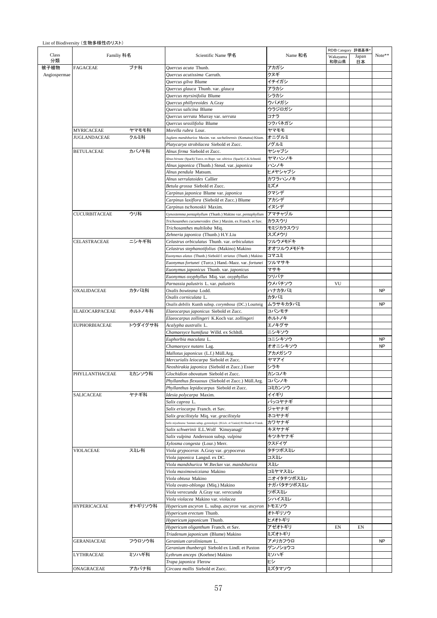|              |                       |         |                                                                                   |                     | RDB Category 評価基準* |             |           |  |  |
|--------------|-----------------------|---------|-----------------------------------------------------------------------------------|---------------------|--------------------|-------------|-----------|--|--|
| Class<br>分類  | Familiy 科名            |         | Scientific Name 学名                                                                | Name 和名             | Wakayama<br>和歌山県   | Japan<br>日本 | Note**    |  |  |
| 被子植物         | <b>FAGACEAE</b>       | ブナ科     | Ouercus acuta Thunb.<br>Quercus acutissima Carruth.                               | アカガシ<br>クヌギ         |                    |             |           |  |  |
| Angiospermae |                       |         | Quercus gilva Blume                                                               | イチイガシ               |                    |             |           |  |  |
|              |                       |         | Quercus glauca Thunb. var. glauca                                                 | アラカシ                |                    |             |           |  |  |
|              |                       |         | Quercus myrsinifolia Blume                                                        | シラカシ                |                    |             |           |  |  |
|              |                       |         | Quercus phillyreoides A.Gray                                                      | ウバメガシ               |                    |             |           |  |  |
|              |                       |         | Quercus salicina Blume                                                            | ウラジロガシ              |                    |             |           |  |  |
|              |                       |         | Quercus serrata Murray var. serrata                                               | コナラ                 |                    |             |           |  |  |
|              |                       |         | Quercus sessilifolia Blume                                                        | ツクバネガシ              |                    |             |           |  |  |
|              | <b>MYRICACEAE</b>     | ヤマモモ科   | Morella rubra Lour.                                                               | ヤマモモ                |                    |             |           |  |  |
|              | <b>JUGLANDACEAE</b>   | クルミ科    | Juglans mandshurica Maxim. var. sachalinensis (Komatsu) Kitam.                    | オニグルミ               |                    |             |           |  |  |
|              |                       |         | Platycarya strobilacea Siebold et Zucc.                                           | ノグルミ                |                    |             |           |  |  |
|              | <b>BETULACEAE</b>     | カバノキ科   | Alnus firma Siebold et Zucc.                                                      | ヤシャブシ               |                    |             |           |  |  |
|              |                       |         | Alnus hirsuta (Spach) Turcz. ex Rupr. var. sibirica (Spach) C.K.Schneid.          | ヤマハンノキ              |                    |             |           |  |  |
|              |                       |         | Alnus japonica (Thunb.) Steud. var. japonica                                      | ハンノキ                |                    |             |           |  |  |
|              |                       |         | Alnus pendula Matsum.                                                             | ヒメヤシャブシ             |                    |             |           |  |  |
|              |                       |         | Alnus serrulatoides Callier                                                       | カワラハンノキ             |                    |             |           |  |  |
|              |                       |         | Betula grossa Siebold et Zucc.                                                    | ミズメ                 |                    |             |           |  |  |
|              |                       |         | Carpinus japonica Blume var. japonica                                             | クマシデ                |                    |             |           |  |  |
|              |                       |         | Carpinus laxiflora (Siebold et Zucc.) Blume                                       | アカシデ                |                    |             |           |  |  |
|              |                       |         | Carpinus tschonoskii Maxim.                                                       | イヌシデ                |                    |             |           |  |  |
|              | <b>CUCURBITACEAE</b>  | ウリ科     | Gynostemma pentaphyllum (Thunb.) Makino var. pentaphyllum                         | アマチャヅル              |                    |             |           |  |  |
|              |                       |         | Trichosanthes cucumeroides (Ser.) Maxim. ex Franch. et Sav.                       | カラスウリ               |                    |             |           |  |  |
|              |                       |         | Trichosanthes multiloba Miq.                                                      | モミジカラスウリ            |                    |             |           |  |  |
|              |                       |         | Zehneria japonica (Thunb.) H.Y.Liu                                                | スズメウリ               |                    |             |           |  |  |
|              | CELASTRACEAE          | ニシキギ科   | Celastrus orbiculatus Thunb. var. orbiculatus                                     | ツルウメモドキ             |                    |             |           |  |  |
|              |                       |         | Celastrus stephanotifolius (Makino) Makino                                        | オオツルウメモドキ           |                    |             |           |  |  |
|              |                       |         | Euonymus alatus (Thunb.) Siebold f. striatus (Thunb.) Makino                      | コマユミ                |                    |             |           |  |  |
|              |                       |         | Euonymus fortunei (Turcz.) Hand.-Mazz. var. fortunei                              | ツルマサキ               |                    |             |           |  |  |
|              |                       |         | Euonymus japonicus Thunb. var. japonicus                                          | マサキ<br>ツリバナ         |                    |             |           |  |  |
|              |                       |         | Euonymus oxyphyllus Miq. var. oxyphyllus<br>Parnassia palustris L. var. palustris | ウメバチソウ              | VU                 |             |           |  |  |
|              | <b>OXALIDACEAE</b>    | カタバミ科   | Oxalis bowieana Lodd.                                                             | ハナカタバミ              |                    |             | <b>NP</b> |  |  |
|              |                       |         | Oxalis corniculata L.                                                             | カタバミ                |                    |             |           |  |  |
|              |                       |         | Oxalis debilis Kunth subsp. corymbosa (DC.) Lourteig                              | ムラサキカタバミ            |                    |             | <b>NP</b> |  |  |
|              | <b>ELAEOCARPACEAE</b> | ホルトノキ科  | Elaeocarpus japonicus Siebold et Zucc.                                            | コバンモチ               |                    |             |           |  |  |
|              |                       |         | Elaeocarpus zollingeri K.Koch var. zollingeri                                     | ホルトノキ               |                    |             |           |  |  |
|              | <b>EUPHORBIACEAE</b>  | トウダイグサ科 | Acalypha australis L.                                                             | エノキグサ               |                    |             |           |  |  |
|              |                       |         | Chamaesyce humifusa Willd. ex Schltdl.                                            | ニシキソウ               |                    |             |           |  |  |
|              |                       |         | Euphorbia maculata L.                                                             | コニシキソウ              |                    |             | <b>NP</b> |  |  |
|              |                       |         | Chamaesyce nutans Lag.                                                            | オオニシキソウ             |                    |             | <b>NP</b> |  |  |
|              |                       |         | Mallotus japonicus (L.f.) Müll.Arg.                                               | アカメガシワ              |                    |             |           |  |  |
|              |                       |         | Mercurialis leiocarpa Siebold et Zucc.                                            | ヤマアイ                |                    |             |           |  |  |
|              |                       |         | Neoshirakia japonica (Siebold et Zucc.) Esser                                     | シラキ                 |                    |             |           |  |  |
|              | PHYLLANTHACEAE        | ミカンソウ科  | Glochidion obovatum Siebold et Zucc.                                              | カンコノキ               |                    |             |           |  |  |
|              |                       |         | Phyllanthus flexuosus (Siebold et Zucc.) Müll.Arg.                                | コバンノキ               |                    |             |           |  |  |
|              |                       |         | Phyllanthus lepidocarpus Siebold et Zucc.                                         | コミカンソウ              |                    |             |           |  |  |
|              | SALICACEAE            | ヤナギ科    | Idesia polycarpa Maxim.                                                           | イイギリ                |                    |             |           |  |  |
|              |                       |         | Salix caprea L.                                                                   | バッコヤナギ              |                    |             |           |  |  |
|              |                       |         | Salix eriocarpa Franch. et Sav.                                                   | ジャヤナギ               |                    |             |           |  |  |
|              |                       |         | Salix gracilistyla Miq. var. gracilistyla                                         | ネコヤナギ               |                    |             |           |  |  |
|              |                       |         | Salix miyabeana Seemen subsp. gymnolepis (H.Lév. et Vaniot) H.Ohashi et Yonek.    | カワヤナギ               |                    |             |           |  |  |
|              |                       |         | Salix schwerinii E.L.Wolf 'Kinuyanagi'                                            | キヌヤナギ               |                    |             |           |  |  |
|              |                       |         | Salix vulpina Andersson subsp. vulpina                                            | キツネヤナギ              |                    |             |           |  |  |
|              |                       |         | Xylosma congesta (Lour.) Merr.                                                    | クスドイゲ               |                    |             |           |  |  |
|              | <b>VIOLACEAE</b>      | スミレ科    | Viola grypoceras A.Gray var. grypoceras                                           | タチツボスミレ             |                    |             |           |  |  |
|              |                       |         | Viola japonica Langsd. ex DC.                                                     | コスミレ                |                    |             |           |  |  |
|              |                       |         | Viola mandshurica W.Becker var, mandshurica                                       | スミレ                 |                    |             |           |  |  |
|              |                       |         | Viola maximowicziana Makino                                                       | コミヤマスミレ             |                    |             |           |  |  |
|              |                       |         | Viola obtusa Makino                                                               | ニオイタチツボスミレ          |                    |             |           |  |  |
|              |                       |         | Viola ovato-oblonga (Miq.) Makino                                                 | ナガバタチツボスミレ<br>ツボスミレ |                    |             |           |  |  |
|              |                       |         | Viola verecunda A.Gray var. verecunda<br>Viola violacea Makino var. violacea      | シハイスミレ              |                    |             |           |  |  |
|              | <b>HYPERICACEAE</b>   | オトギリソウ科 | Hypericum ascyron L. subsp. ascyron var. ascyron                                  | トモエソウ               |                    |             |           |  |  |
|              |                       |         | Hypericum erectum Thunb.                                                          | オトギリソウ              |                    |             |           |  |  |
|              |                       |         | Hypericum japonicum Thunb.                                                        | ヒメオトギリ              |                    |             |           |  |  |
|              |                       |         | Hypericum oliganthum Franch. et Sav.                                              | アゼオトギリ              | EN                 | EN          |           |  |  |
|              |                       |         | Triadenum japonicum (Blume) Makino                                                | ミズオトギリ              |                    |             |           |  |  |
|              | <b>GERANIACEAE</b>    | フウロソウ科  | Geranium carolinianum L.                                                          | アメリカフウロ             |                    |             | <b>NP</b> |  |  |
|              |                       |         | Geranium thunbergii Siebold ex Lindl. et Paxton                                   | ゲンノショウコ             |                    |             |           |  |  |
|              | <b>LYTHRACEAE</b>     | ミソハギ科   | Lythrum anceps (Koehne) Makino                                                    | ミソハギ                |                    |             |           |  |  |
|              |                       |         | Trapa japonica Flerow                                                             | ヒシ                  |                    |             |           |  |  |
|              | ONAGRACEAE            | アカバナ科   | Circaea mollis Siebold et Zucc.                                                   | ミズタマソウ              |                    |             |           |  |  |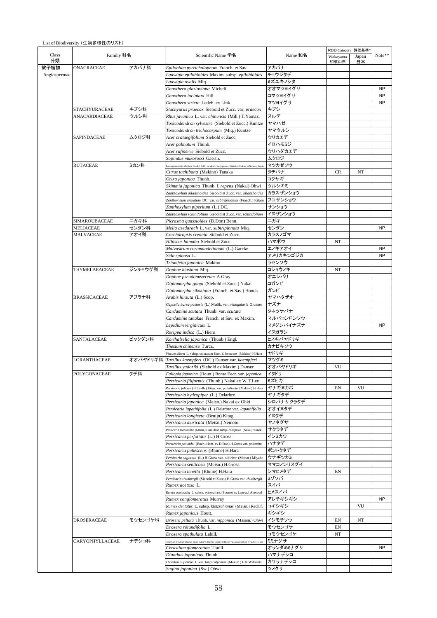|              |                     |          |                                                                                                              |           | RDB Category 評価基準 |             |           |
|--------------|---------------------|----------|--------------------------------------------------------------------------------------------------------------|-----------|-------------------|-------------|-----------|
|              | Familiy 科名          |          | Scientific Name 学名                                                                                           | Name 和名   | Wakayama<br>和歌山県  | Japan<br>日本 | Note**    |
|              | ONAGRACEAE          | アカバナ科    | Epilobium pyrricholophum Franch. et Sav.                                                                     | アカバナ      |                   |             |           |
| Angiospermae |                     |          | Ludwigia epilobioides Maxim. subsp. epilobioides                                                             | チョウジタデ    |                   |             |           |
|              |                     |          | Ludwigia ovalis Miq.                                                                                         | ミズユキノシタ   |                   |             |           |
|              |                     |          | Oenothera glazioviana Micheli                                                                                | オオマツヨイグサ  |                   |             | <b>NP</b> |
|              |                     |          | Oenothera laciniata Hill                                                                                     | コマツヨイグサ   |                   |             | <b>NP</b> |
|              |                     |          | Oenothera stricta Ledeb. ex Link                                                                             | マツヨイグサ    |                   |             | <b>NP</b> |
|              | STACHYURACEAE       | キブシ科     | Stachyurus praecox Siebold et Zucc. var. praecox                                                             | キブシ       |                   |             |           |
|              | ANACARDIACEAE       | ウルシ科     | Rhus javanica L. var. chinensis (Mill.) T.Yamaz.                                                             | ヌルデ       |                   |             |           |
|              |                     |          | Toxicodendron sylvestre (Siebold et Zucc.) Kuntze                                                            | ヤマハゼ      |                   |             |           |
|              |                     |          | Toxicodendron trichocarpum (Miq.) Kuntze                                                                     | ヤマウルシ     |                   |             |           |
|              | SAPINDACEAE         | ムクロジ科    | Acer crataegifolium Siebold et Zucc.                                                                         | ウリカエデ     |                   |             |           |
|              |                     |          | Acer palmatum Thunb.                                                                                         | イロハモミジ    |                   |             |           |
|              |                     |          | Acer rufinerve Siebold et Zucc.                                                                              | ウリハダカエデ   |                   |             |           |
|              |                     |          | Sapindus mukorossi Gaertn.                                                                                   | ムクロジ      |                   |             |           |
|              | <b>RUTACEAE</b>     | ミカン科     | toenninghausenia albiflora (Hook.) Rchb. ex Meisn. var. japonica (Nakai ex Makino et Nemoto) Suzuki          | マツカゼソウ    |                   |             |           |
|              |                     |          | Citrus tachibana (Makino) Tanaka                                                                             | タチバナ      | CR                | NT          |           |
|              |                     |          | Orixa japonica Thunb.                                                                                        | コクサギ      |                   |             |           |
|              |                     |          | Skimmia japonica Thunb. f. repens (Nakai) Ohwi                                                               | ツルシキミ     |                   |             |           |
|              |                     |          | Zanthoxylum ailanthoides Siebold et Zucc. var. ailanthoides                                                  | カラスザンショウ  |                   |             |           |
|              |                     |          |                                                                                                              |           |                   |             |           |
|              |                     |          | Zanthoxylum armatum DC. var. subtrifoliatum (Franch.) Kitam.                                                 | フユザンショウ   |                   |             |           |
|              |                     |          | Zanthoxylum piperitum (L.) DC.                                                                               | サンショウ     |                   |             |           |
|              |                     |          | Zanthoxylum schinifolium Siebold et Zucc. var. schinifolium                                                  | イヌザンショウ   |                   |             |           |
|              | SIMAROUBACEAE       | ニガキ科     | Picrasma quassioides (D.Don) Benn.                                                                           | ニガキ       |                   |             |           |
|              | <b>MELIACEAE</b>    | センダン科    | Melia azedarach L. var. subtripinnata Miq.                                                                   | センダン      |                   |             | <b>NP</b> |
|              | MALVACEAE           | アオイ科     | Corchoropsis crenata Siebold et Zucc.                                                                        | カラスノゴマ    |                   |             |           |
|              |                     |          | Hibiscus hamabo Siebold et Zucc.                                                                             | ハマボウ      | NT                |             |           |
|              |                     |          | Malvastrum coromandelianum (L.) Garcke                                                                       | エノキアオイ    |                   |             | <b>NP</b> |
|              |                     |          | Sida spinosa L.                                                                                              | アメリカキンゴジカ |                   |             | <b>NP</b> |
|              |                     |          | Triumfetta japonica Makino                                                                                   | ラセンソウ     |                   |             |           |
|              | THYMELAEACEAE       | ジンチョウゲ科  | Daphne kiusiana Miq.                                                                                         | コショウノキ    | NT                |             |           |
|              |                     |          | Daphne pseudomezereum A.Gray                                                                                 | オニシバリ     |                   |             |           |
|              |                     |          | Diplomorpha ganpi (Siebold et Zucc.) Nakai                                                                   | コガンピ      |                   |             |           |
|              |                     |          | Diplomorpha sikokiana (Franch. et Sav.) Honda                                                                | ガンピ       |                   |             |           |
|              | <b>BRASSICACEAE</b> | アブラナ科    | Arabis hirsuta (L.) Scop.                                                                                    | ヤマハタザオ    |                   |             |           |
|              |                     |          | Capsella bursa-pastoris (L.) Medik. var. triangularis Grunner                                                | ナズナ       |                   |             |           |
|              |                     |          | Cardamine scutata Thunb. var. scutata                                                                        | タネツケバナ    |                   |             |           |
|              |                     |          | Cardamine tanakae Franch. et Sav. ex Maxim.                                                                  | マルバコンロンソウ |                   |             |           |
|              |                     |          | Lepidium virginicum L.                                                                                       | マメグンバイナズナ |                   |             | <b>NP</b> |
|              |                     |          | Rorippa indica (L.) Hiern                                                                                    | イヌガラシ     |                   |             |           |
|              | SANTALACEAE         | ビャクダン科   | Korthalsella japonica (Thunb.) Engl.                                                                         | ヒノキバヤドリギ  |                   |             |           |
|              |                     |          | Thesium chinense Turcz.                                                                                      | カナビキソウ    |                   |             |           |
|              |                     |          | Viscum album L. subsp. coloratum Kom. f. lutescens (Makino) H.Hara                                           | ヤドリギ      |                   |             |           |
|              | LORANTHACEAE        | オオバヤドリギ科 | Taxillus kaempferi (DC.) Danser var. kaempferi                                                               | マツグミ      |                   |             |           |
|              |                     |          | Taxillus yadoriki (Siebold ex Maxim.) Danser                                                                 | オオバヤドリギ   | VU                |             |           |
|              | POLYGONACEAE        | タデ科      | Fallopia japonica (Houtt.) Ronse Decr. var. japonica                                                         | イタドリ      |                   |             |           |
|              |                     |          | Persicaria filiformis (Thunb.) Nakai ex W.T.Lee                                                              | ミズヒキ      |                   |             |           |
|              |                     |          | Persicaria foliosa (H.Lindb.) Kitag. var. paludicola (Makino) H.Hara                                         | ヤナギヌカボ    | EN                | VU          |           |
|              |                     |          | Persicaria hydropiper (L.) Delarbre                                                                          | ヤナギタデ     |                   |             |           |
|              |                     |          | Persicaria japonica (Meisn.) Nakai ex Ohki                                                                   | シロバナサクラタデ |                   |             |           |
|              |                     |          | Persicaria lapathifolia (L.) Delarbre var. lapathifolia                                                      | オオイヌタデ    |                   |             |           |
|              |                     |          | Persicaria longiseta (Bruijn) Kitag.                                                                         | イヌタデ      |                   |             |           |
|              |                     |          | Persicaria muricata (Meisn.) Nemoto                                                                          | ヤノネグサ     |                   |             |           |
|              |                     |          | Persicaria macrantha (Meisn.) Haraldson subsp. conspicua (Nakai) Yonek.                                      | サクラタデ     |                   |             |           |
|              |                     |          | Persicaria perfoliata (L.) H.Gross                                                                           | イシミカワ     |                   |             |           |
|              |                     |          |                                                                                                              | ハナタデ      |                   |             |           |
|              |                     |          | Persicaria posumbu (Buch.-Ham. ex D.Don) H.Gross var. posumbu<br><i>Persicaria pubescens</i> (Blume) H.Hara  | ボントクタデ    |                   |             |           |
|              |                     |          |                                                                                                              | ウナギツカミ    |                   |             |           |
|              |                     |          | Persicaria sagittata (L.) H.Gross var. sibirica (Meisn.) Miyabe                                              | ママコノシリヌグイ |                   |             |           |
|              |                     |          | Persicaria senticosa (Meisn.) H.Gross                                                                        |           |                   |             |           |
|              |                     |          | <i>Persicaria tenella</i> (Blume) H.Hara                                                                     | シマヒメタデ    | EN                |             |           |
|              |                     |          | Persicaria thunbergii (Siebold et Zucc.) H.Gross var. thunbergii                                             | ミゾソバ      |                   |             |           |
|              |                     |          | Rumex acetosa L.                                                                                             | スイバ       |                   |             |           |
|              |                     |          | Rumex acetosella L. subsp. pyrenaicu s (Pourret ex Lapeyr.) Akeroyd                                          | ヒメスイバ     |                   |             |           |
|              |                     |          | Rumex conglomeratus Murray                                                                                   | アレチギシギシ   |                   |             | <b>NP</b> |
|              |                     |          | Rumex dentatus L. subsp. klotzschianus (Meisn.) Rech.f.                                                      | コギシギシ     |                   | VU          |           |
|              |                     |          | Rumex japonicus Houtt.                                                                                       | ギシギシ      |                   |             |           |
|              | DROSERACEAE         | モウセンゴケ科  | Drosera peltata Thunb. var. nipponica (Masam.) Ohwi                                                          | イシモチソウ    | EN                | NT          |           |
|              |                     |          | Drosera rotundifolia L.                                                                                      | モウセンゴケ    | EN                |             |           |
|              |                     |          | Drosera spathulata Labill.                                                                                   | コモウセンゴケ   | NT                |             |           |
|              | CARYOPHYLLACEAE     | ナデシコ科    | .<br>Cerastium fontanum Baumg, subsp. vulgare (Hartm.) Greuter et Burdet var. angustifolium (Franch.) H.Hara | ミミナグサ     |                   |             |           |
|              |                     |          | Cerastium glomeratum Thuill.                                                                                 | オランダミミナグサ |                   |             | <b>NP</b> |
|              |                     |          | <i>Dianthus japonicus</i> Thunb.                                                                             | ハマナデシコ    |                   |             |           |
|              |                     |          | Dianthus superbus L. var. longicalycinus (Maxim.) F.N.Williams                                               | カワラナデシコ   |                   |             |           |
|              |                     |          | Sagina japonica (Sw.) Ohwi                                                                                   | ツメクサ      |                   |             |           |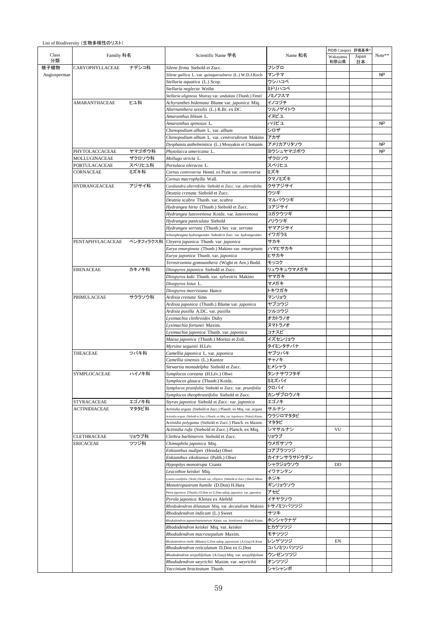|              |                            |                                               |                                                                                   |             | RDB Category 評価基準 |       |           |
|--------------|----------------------------|-----------------------------------------------|-----------------------------------------------------------------------------------|-------------|-------------------|-------|-----------|
| Class        | Familiy 科名                 |                                               | Scientific Name 学名                                                                | Name 和名     | Wakayama          | Japan | Note**    |
| 分類           |                            |                                               |                                                                                   |             | 和歌山県              | 日本    |           |
| 被子植物         | CARYOPHYLLACEAE            | ナデシコ科                                         | Silene firma Siebold et Zucc.                                                     | フシグロ        |                   |       |           |
| Angiospermae |                            |                                               | Silene gallica L. var. quinquevulnera (L.) W.D.J.Koch                             | マンテマ        |                   |       | <b>NP</b> |
|              |                            |                                               | Stellaria aquatica (L.) Scop.                                                     | ウシハコベ       |                   |       |           |
|              |                            |                                               | Stellaria neglecta Weihe                                                          | ミドリハコベ      |                   |       |           |
|              |                            |                                               | Stellaria uliginosa Murray var. undulata (Thunb.) Fenzl                           | ノミノフスマ      |                   |       |           |
|              | AMARANTHACEAE              | ヒユ科                                           | Achyranthes bidentata Blume var. japonica Miq.                                    | イノコヅチ       |                   |       |           |
|              |                            |                                               | Alternanthera sessilis (L.) R.Br. ex DC.                                          | ツルノゲイトウ     |                   |       |           |
|              |                            |                                               | Amaranthus blitum L.                                                              | イヌビユ        |                   |       |           |
|              |                            |                                               | Amaranthus spinosus L.                                                            | ハリビユ        |                   |       | <b>NP</b> |
|              |                            |                                               | Chenopodium album L. var. album                                                   | シロザ         |                   |       |           |
|              |                            |                                               | Chenopodium album L. var. centrorubrum Makino                                     | アカザ         |                   |       |           |
|              |                            |                                               | Dysphania anthelmintica (L.) Mosyakin et Clemants                                 | アメリカアリタソウ   |                   |       | <b>NP</b> |
|              | PHYTOLACCACEAE             | ヤマゴボウ科                                        | Phytolacca americana L.                                                           | ヨウシュヤマゴボウ   |                   |       | <b>NP</b> |
|              | MOLLUGINACEAE              | ザクロソウ科                                        | Mollugo stricta L.                                                                | ザクロソウ       |                   |       |           |
|              | PORTULACACEAE              | スベリヒユ科                                        | Portulaca oleracea L.                                                             | スベリヒユ       |                   |       |           |
|              | CORNACEAE                  | ミズキ科                                          | Cornus controversa Hemsl. ex Prain var. controversa                               | ミズキ         |                   |       |           |
|              |                            |                                               | Cornus macrophylla Wall.                                                          | クマノミズキ      |                   |       |           |
|              | <b>HYDRANGEACEAE</b>       | アジサイ科                                         | Cardiandra alternifolia Siebold et Zucc. var. alternifolia                        | クサアジサイ      |                   |       |           |
|              |                            |                                               |                                                                                   |             |                   |       |           |
|              |                            |                                               | Deutzia crenata Siebold et Zucc.                                                  | ウツギ         |                   |       |           |
|              |                            |                                               | Deutzia scabra Thunb. var. scabra                                                 | マルバウツギ      |                   |       |           |
|              |                            |                                               | Hydrangea hirta (Thunb.) Siebold et Zucc.                                         | コアジサイ       |                   |       |           |
|              |                            |                                               | Hydrangea luteovenosa Koidz, var. luteovenosa                                     | コガクウツギ      |                   |       |           |
|              |                            |                                               | Hydrangea paniculata Siebold                                                      | ハリウツギ       |                   |       |           |
|              |                            |                                               | Hydrangea serrata (Thunb.) Ser. var. serrata                                      | ヤマアジサイ      |                   |       |           |
|              |                            |                                               | Schizophragma hydrangeoides Siebold et Zucc. var. hydrangeoides                   | イワガラミ       |                   |       |           |
|              | PENTAPHYLACACEAE ペンタフィラクス科 |                                               | Cleyera japonica Thunb. var. japonica                                             | サカキ         |                   |       |           |
|              |                            |                                               | Eurya emarginata (Thunb.) Makino var. emarginata                                  | ハマヒサカキ      |                   |       |           |
|              |                            |                                               | Eurya japonica Thunb. var. japonica                                               | ヒサカキ        |                   |       |           |
|              |                            |                                               | Ternstroemia gymnanthera (Wight et Arn.) Bedd.                                    | モッコク        |                   |       |           |
|              | <b>EBENACEAE</b>           | カキノキ科                                         | Diospyros japonica Siebold et Zucc.                                               | リュウキュウマメガキ  |                   |       |           |
|              |                            |                                               | Diospyros kaki Thunb. var. sylvestris Makino                                      | ヤマガキ        |                   |       |           |
|              |                            |                                               | Diospyros lotus L.                                                                | マメガキ        |                   |       |           |
|              |                            |                                               | Diospyros morrisiana Hance                                                        | トキワガキ       |                   |       |           |
|              | PRIMULACEAE                | サクラソウ科                                        | Ardisia crenata Sims                                                              | マンリョウ       |                   |       |           |
|              |                            | Ardisia japonica (Thunb.) Blume var. japonica | ヤブコウジ                                                                             |             |                   |       |           |
|              |                            | Ardisia pusilla A.DC. var. pusilla            | ツルコウジ                                                                             |             |                   |       |           |
|              |                            |                                               | Lysimachia clethroides Duby                                                       | オカトラノオ      |                   |       |           |
|              |                            |                                               | Lysimachia fortunei Maxim.                                                        | ヌマトラノオ      |                   |       |           |
|              |                            |                                               | Lysimachia japonica Thunb. var. japonica                                          | コナスビ        |                   |       |           |
|              |                            |                                               | Maesa japonica (Thunb.) Moritzi et Zoll.                                          | イズセンリョウ     |                   |       |           |
|              |                            |                                               | Myrsine seguinii H.Lév.                                                           | タイミンタチバナ    |                   |       |           |
|              | THEACEAE                   | ツバキ科                                          | Camellia japonica L. var. japonica                                                | ヤブツバキ       |                   |       |           |
|              |                            |                                               | Camellia sinensis (L.) Kuntze                                                     | チャノキ        |                   |       |           |
|              |                            |                                               | Stewartia monadelpha Siebold et Zucc.                                             | ヒメシャラ       |                   |       |           |
|              | SYMPLOCACEAE               | ハイノキ科                                         | Symplocos coreana (H.Lév.) Ohwi                                                   | タンナサワフタギ    |                   |       |           |
|              |                            |                                               | Symplocos glauca (Thunb.) Koidz.                                                  | ミミズバイ       |                   |       |           |
|              |                            |                                               | Symplocos prunifolia Siebold et Zucc. var. prunifolia                             | クロバイ        |                   |       |           |
|              |                            |                                               | Symplocos theophrastifolia Siebold et Zucc.                                       | カンザブロウノキ    |                   |       |           |
|              | STYRACACEAE                | エゴノキ科                                         | Styrax japonica Siebold et Zucc. var. japonica                                    | エゴノキ        |                   |       |           |
|              | ACTINIDIACEAE              | マタタビ科                                         | Actinidia arguta (Siebold et Zucc.) Planch. ex Miq. var. arguta                   | サルナシ        |                   |       |           |
|              |                            |                                               | Actinidia arguta (Siebold et Zucc.) Planch. ex Miq. var. hypoleuca (Nakai) Kitam. | ウラジロマタタビ    |                   |       |           |
|              |                            |                                               | Actinidia polygama (Siebold et Zucc.) Planch. ex Maxim.                           | マタタビ        |                   |       |           |
|              |                            |                                               | Actinidia rufa (Siebold et Zucc.) Planch. ex Miq.                                 | シマサルナシ      | VU                |       |           |
|              | CLETHRACEAE                | リョウブ科                                         | Clethra barbinervis Siebold et Zucc.                                              | リョウブ        |                   |       |           |
|              | <b>ERICACEAE</b>           | ツツジ科                                          | Chimaphila japonica Miq.                                                          | ウメガサソウ      |                   |       |           |
|              |                            |                                               | Enkianthus nudipes (Honda) Ohwi                                                   | コアブラツツジ     |                   |       |           |
|              |                            |                                               | Enkianthus sikokianus (Palib.) Ohwi                                               | カイナンサラサドウダン |                   |       |           |
|              |                            |                                               | Hypopitys monotropa Crantz                                                        | シャクジョウソウ    | DD                |       |           |
|              |                            |                                               |                                                                                   |             |                   |       |           |
|              |                            |                                               | Leucothoe keiskei Miq.                                                            | イワナンテン      |                   |       |           |
|              |                            |                                               | sonia ovalifolia (Wall.) Drude var. elliptica (Siebold et Zucc.) Hand.-Mazz.      | ネジキ         |                   |       |           |
|              |                            |                                               | Monotropastrum humile (D.Don) H.Hara                                              | ギンリョウソウ     |                   |       |           |
|              |                            |                                               | Pieris japonica (Thunb.) D.Don ex G.Don subsp. japonica var. japonica             | アセビ         |                   |       |           |
|              |                            |                                               | Pyrola japonica Klenze ex Alefeld                                                 | イチヤクソウ      |                   |       |           |
|              |                            |                                               | Rhododendron dilatatum Miq. var. decandrum Makino                                 | トサノミツバツツジ   |                   |       |           |
|              |                            |                                               | Rhododendron indicum (L.) Sweet                                                   | サツキ         |                   |       |           |
|              |                            |                                               | Rhododendron japonoheptamerum Kitam. var. hondoense (Nakai) Kitam.                | ホンシャクナゲ     |                   |       |           |
|              |                            |                                               | Rhododendron keiskei Miq. var. keiskei                                            | ヒカゲツツジ      |                   |       |           |
|              |                            |                                               | Rhododendron macrosepalum Maxim.                                                  | モチツツジ       |                   |       |           |
|              |                            |                                               | Rhododendron molle (Blume) G.Don subsp. japonicum (A.Gray) K.Kron                 | レンゲツツジ      | EN                |       |           |
|              |                            |                                               | Rhododendron reticulatum D.Don ex G.Don                                           | コバノミツバツツジ   |                   |       |           |
|              |                            |                                               | Rhododendron serpyllifolium (A.Gray) Miq. var. serpyllifolium                     | ウンゼンツツジ     |                   |       |           |
|              |                            |                                               | Rhododendron weyrichii Maxim. var. weyrichii                                      | オンツツジ       |                   |       |           |
|              |                            |                                               | Vaccinium bracteatum Thunb.                                                       | シャシャンボ      |                   |       |           |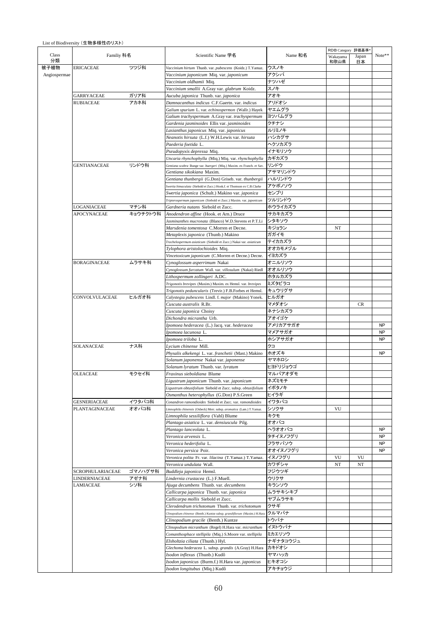|              |                                   |                  |                                                                                                      |                    | RDB Category 評価基準 |             |                        |
|--------------|-----------------------------------|------------------|------------------------------------------------------------------------------------------------------|--------------------|-------------------|-------------|------------------------|
|              | Familiy 科名                        |                  | Scientific Name 学名                                                                                   | Name 和名            | Wakayama<br>和歌山県  | Japan<br>日本 | Note**                 |
|              | <b>ERICACEAE</b>                  | ツツジ科             | Vaccinium hirtum Thunb. var. pubescens (Koidz.) T.Yamaz.                                             | ウスノキ               |                   |             |                        |
| Angiospermae |                                   |                  | Vaccinium japonicum Miq. var. japonicum                                                              | アクシバ               |                   |             |                        |
|              |                                   |                  | Vaccinium oldhamii Miq.                                                                              | ナツハゼ               |                   |             |                        |
|              |                                   |                  | Vaccinium smallii A.Gray var. glabrum Koidz.                                                         | スノキ                |                   |             |                        |
|              | <b>GARRYACEAE</b>                 | ガリア科             | Aucuba japonica Thunb. var. japonica                                                                 | アオキ                |                   |             |                        |
|              | <b>RUBIACEAE</b>                  | アカネ科             | Damnacanthus indicus C.F.Gaertn. var. indicus<br>Galium spurium L. var. echinospermon (Wallr.) Hayek | アリドオシ<br>ヤエムグラ     |                   |             |                        |
|              |                                   |                  | Galium trachyspermum A.Gray var. trachyspermum                                                       | ヨツバムグラ             |                   |             |                        |
|              |                                   |                  | Gardenia jasminoides Ellis var. jasminoides                                                          | クチナシ               |                   |             |                        |
|              |                                   |                  | Lasianthus japonicus Miq. var. japonicus                                                             | ルリミノキ              |                   |             |                        |
|              |                                   |                  | Neanotis hirsuta (L.f.) W.H.Lewis var. hirsuta                                                       | ハシカグサ              |                   |             |                        |
|              |                                   |                  | Paederia foetida L.                                                                                  | ヘクソカズラ             |                   |             |                        |
|              |                                   |                  | Pseudopyxis depressa Miq.                                                                            | イナモリソウ             |                   |             |                        |
|              |                                   |                  | Uncaria rhynchophylla (Miq.) Miq. var. rhynchophylla                                                 | カギカズラ              |                   |             |                        |
|              | <b>GENTIANACEAE</b>               | リンドウ科            | Gentiana scabra Bunge var. buergeri (Miq.) Maxim. ex Franch. et Sav.                                 | リンドウ               |                   |             |                        |
|              |                                   |                  | Gentiana sikokiana Maxim.                                                                            | アサマリンドウ            |                   |             |                        |
|              |                                   |                  | Gentiana thunbergii (G.Don) Griseb. var. thunbergii                                                  | ハルリンドウ             |                   |             |                        |
|              |                                   |                  | Swertia bimaculata (Siebold et Zucc.) Hook.f. et Thomson ex C.B.Clarke                               | アケボノソウ             |                   |             |                        |
|              |                                   |                  | Swertia japonica (Schult.) Makino var. japonica                                                      | センブリ               |                   |             |                        |
|              |                                   |                  | Tripterospermum japonicum (Siebold et Zucc.) Maxim. var. japonicum                                   | ツルリンドウ             |                   |             |                        |
|              | LOGANIACEAE<br><b>APOCYNACEAE</b> | マチン科<br>キョウチクトウ科 | Gardneria nutans Siebold et Zucc.                                                                    | ホウライカズラ            |                   |             |                        |
|              |                                   |                  | Anodendron affine (Hook. et Arn.) Druce<br>Jasminanthes mucronata (Blanco) W.D.Stevens et P.T.Li     | サカキカズラ<br>シタキソウ    |                   |             |                        |
|              |                                   |                  | Marsdenia tomentosa C.Morren et Decne.                                                               | キジョラン              | NT                |             |                        |
|              |                                   |                  | Metaplexis japonica (Thunb.) Makino                                                                  | ガガイモ               |                   |             |                        |
|              |                                   |                  | Frachelospermum asiaticum (Siebold et Zucc.) Nakai var. asiaticum                                    | テイカカズラ             |                   |             |                        |
|              |                                   |                  | Tylophora aristolochioides Miq.                                                                      | オオカモメヅル            |                   |             |                        |
|              |                                   |                  | Vincetoxicum japonicum (C.Morren et Decne.) Decne.                                                   | イヨカズラ              |                   |             |                        |
|              | <b>BORAGINACEAE</b>               | ムラサキ科            | Cynoglossum asperrimum Nakai                                                                         | オニルリソウ             |                   |             |                        |
|              |                                   |                  | Cynoglossum furcatum Wall. var. villosulum (Nakai) Riedl                                             | オオルリソウ             |                   |             |                        |
|              |                                   |                  | Lithospermum zollingeri A.DC.                                                                        | ホタルカズラ             |                   |             |                        |
|              |                                   |                  | Trigonotis brevipes (Maxim.) Maxim. ex Hemsl. var. brevipes                                          | ミズタビラコ             |                   |             |                        |
|              |                                   |                  | Trigonotis peduncularis (Trevir.) F.B. Forbes et Hemsl.                                              | キュウリグサ             |                   |             |                        |
|              | CONVOLVULACEAE                    | ヒルガオ科            | Calystegia pubescens Lindl. f. major (Makino) Yonek.                                                 | ヒルガオ               |                   |             |                        |
|              |                                   |                  | Cuscuta australis R.Br.                                                                              | マメダオシ              |                   | CR          |                        |
|              |                                   |                  | Cuscuta japonica Choisy                                                                              | ネナシカズラ             |                   |             |                        |
|              |                                   |                  | Dichondra micrantha Urb.                                                                             | アオイゴケ              |                   |             |                        |
|              |                                   |                  | Ipomoea hederacea (L.) Jacq. var. hederacea<br>Ipomoea lacunosa L.                                   | アメリカアサガオ<br>マメアサガオ |                   |             | <b>NP</b><br><b>NP</b> |
|              |                                   |                  | Ipomoea triloba L.                                                                                   | ホシアサガオ             |                   |             | <b>NP</b>              |
|              | SOLANACEAE                        | ナス科              | Lycium chinense Mill.                                                                                | クコ                 |                   |             |                        |
|              |                                   |                  | Physalis alkekengi L. var. franchetii (Mast.) Makino                                                 | ホオズキ               |                   |             | NP                     |
|              |                                   |                  | Solanum japonense Nakai var. japonense                                                               | ヤマホロシ              |                   |             |                        |
|              |                                   |                  | Solanum lyratum Thunb. var. lyratum                                                                  | ヒヨドリジョウゴ           |                   |             |                        |
|              | OLEACEAE                          | モクセイ科            | Fraxinus sieboldiana Blume                                                                           | マルバアオダモ            |                   |             |                        |
|              |                                   |                  | Ligustrum japonicum Thunb. var. japonicum                                                            | ネズミモチ              |                   |             |                        |
|              |                                   |                  | Ligustrum obtusifolium Siebold et Zucc. subsp. obtusifolium                                          | イボタノキ              |                   |             |                        |
|              |                                   |                  | Osmanthus heterophyllus (G.Don) P.S.Green                                                            | ヒイラギ               |                   |             |                        |
|              | <b>GESNERIACEAE</b>               | イワタバコ科           | Conandron ramondioides Siebold et Zucc. var. ramondioides                                            | イワタバコ              |                   |             |                        |
|              | PLANTAGINACEAE                    | オオバコ科            | Limnophila chinensis (Osbeck) Merr. subsp. aromatica (Lam.) T.Yamaz.                                 | シソクサ               | VU                |             |                        |
|              |                                   |                  | Limnophila sessiliflora (Vahl) Blume                                                                 | キクモ                |                   |             |                        |
|              |                                   |                  | Plantago asiatica L. var. densiuscula Pilg.                                                          | オオバコ               |                   |             |                        |
|              |                                   |                  | Plantago lanceolata L.<br>Veronica arvensis L.                                                       | ヘラオオバコ<br>タチイヌノフグリ |                   |             | <b>NP</b><br><b>NP</b> |
|              |                                   |                  | Veronica hederifolia L.                                                                              | フラサバソウ             |                   |             | NP                     |
|              |                                   |                  | Veronica persica Poir.                                                                               | オオイヌノフグリ           |                   |             | <b>NP</b>              |
|              |                                   |                  | Veronica polita Fr. var. lilacina (T.Yamaz.) T.Yamaz.                                                | イヌノフグリ             | VU                | VU          |                        |
|              |                                   |                  | Veronica undulata Wall.                                                                              | カワヂシャ              | NT                | NT          |                        |
|              | SCROPHULARIACEAE                  | ゴマノハグサ科          | Buddleja japonica Hemsl.                                                                             | フジウツギ              |                   |             |                        |
|              | LINDERNIACEAE                     | アゼナ科             | Lindernia crustacea (L.) F.Muell.                                                                    | ウリクサ               |                   |             |                        |
|              | LAMIACEAE                         | シソ科              | Ajuga decumbens Thunb. var. decumbens                                                                | キランソウ              |                   |             |                        |
|              |                                   |                  | Callicarpa japonica Thunb. var. japonica                                                             | ムラサキシキブ            |                   |             |                        |
|              |                                   |                  | Callicarpa mollis Siebold et Zucc.                                                                   | ヤブムラサキ             |                   |             |                        |
|              |                                   |                  | Clerodendrum trichotomum Thunb. var. trichotomum                                                     | クサギ                |                   |             |                        |
|              |                                   |                  | Clinopodium chinense (Benth.) Kuntze subsp. grandiflorum (Maxim.) H.Hara                             | クルマバナ              |                   |             |                        |
|              |                                   |                  | Clinopodium gracile (Benth.) Kuntze                                                                  | トウバナ               |                   |             |                        |
|              |                                   |                  | Clinopodium micranthum (Regel) H.Hara var. micranthum                                                | イヌトウバナ             |                   |             |                        |
|              |                                   |                  | Comanthosphace stellipila (Miq.) S.Moore var. stellipila                                             | ミカエリソウ             |                   |             |                        |
|              |                                   |                  | Elsholtzia ciliata (Thunb.) Hyl.                                                                     | ナギナタコウジュ           |                   |             |                        |
|              |                                   |                  | Glechoma hederacea L. subsp. grandis (A.Gray) H.Hara<br>Isodon inflexus (Thunb.) Kudô                | カキドオシ<br>ヤマハッカ     |                   |             |                        |
|              |                                   |                  | Isodon japonicus (Burm.f.) H.Hara var. japonicus                                                     | ヒキオコシ              |                   |             |                        |
|              |                                   |                  | Isodon longitubus (Miq.) Kudô                                                                        | アキチョウジ             |                   |             |                        |
|              |                                   |                  |                                                                                                      |                    |                   |             |                        |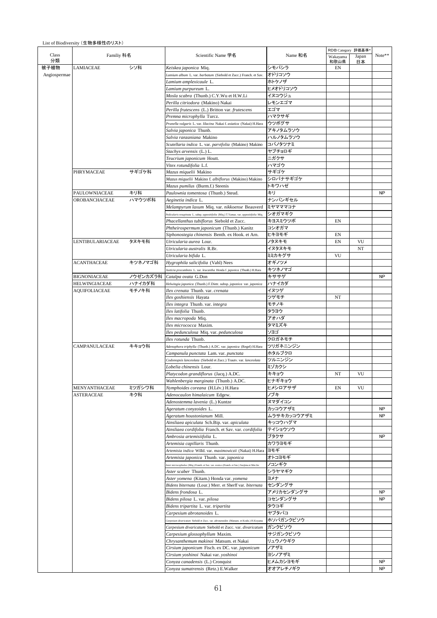|              |                      |          |                                                                                             |             | RDB Category 評価基準* |       |           |
|--------------|----------------------|----------|---------------------------------------------------------------------------------------------|-------------|--------------------|-------|-----------|
| Class        | Familiy 科名           |          | Scientific Name 学名                                                                          | Name 和名     | Wakayama           | Japan | Note**    |
| 分類           |                      |          |                                                                                             |             | 和歌山県               | 日本    |           |
| 被子植物         | LAMIACEAE            | シソ科      | Keiskea japonica Miq.                                                                       | シモバシラ       | EN                 |       |           |
| Angiospermae |                      |          | Lamium album L. var. barbatum (Siebold et Zucc.) Franch. et Sav.                            | オドリコソウ      |                    |       |           |
|              |                      |          | Lamium amplexicaule L.                                                                      | ホトケノザ       |                    |       |           |
|              |                      |          | Lamium purpureum L.                                                                         | ヒメオドリコソウ    |                    |       |           |
|              |                      |          | Mosla scabra (Thunb.) C.Y.Wu et H.W.Li                                                      | イヌコウジュ      |                    |       |           |
|              |                      |          | Perilla citriodora (Makino) Nakai                                                           | レモンエゴマ      |                    |       |           |
|              |                      |          | Perilla frutescens (L.) Britton var. frutescens                                             | エゴマ         |                    |       |           |
|              |                      |          |                                                                                             | ハマクサギ       |                    |       |           |
|              |                      |          | Premna microphylla Turcz.                                                                   |             |                    |       |           |
|              |                      |          | Prunella vulgaris L. var. lilacina Nakai f. asiatica (Nakai) H.Hara                         | ウツボグサ       |                    |       |           |
|              |                      |          | Salvia japonica Thunb.                                                                      | アキノタムラソウ    |                    |       |           |
|              |                      |          | Salvia ranzaniana Makino                                                                    | ハルノタムラソウ    |                    |       |           |
|              |                      |          | Scutellaria indica L. var. parvifolia (Makino) Makino                                       | コバノタツナミ     |                    |       |           |
|              |                      |          | Stachys arvensis (L.) L.                                                                    | ヤブチョロギ      |                    |       |           |
|              |                      |          | Teucrium japonicum Houtt.                                                                   | ニガクサ        |                    |       |           |
|              |                      |          | Vitex rotundifolia L.f.                                                                     | ハマゴウ        |                    |       |           |
|              | PHRYMACEAE           | サギゴケ科    | Mazus miquelii Makino                                                                       | サギゴケ        |                    |       |           |
|              |                      |          | Mazus miquelii Makino f. albiflorus (Makino) Makino                                         | シロバナサギゴケ    |                    |       |           |
|              |                      |          | Mazus pumilus (Burm.f.) Steenis                                                             | トキワハゼ       |                    |       |           |
|              | PAULOWNIACEAE        | キリ科      | Paulownia tomentosa (Thunb.) Steud.                                                         | キリ          |                    |       | <b>NP</b> |
|              | OROBANCHACEAE        | ハマウツボ科   | Aeginetia indica L.                                                                         | ナンバンギセル     |                    |       |           |
|              |                      |          | Melampyrum laxum Miq. var. nikkoense Beauverd                                               | ミヤマママコナ     |                    |       |           |
|              |                      |          |                                                                                             |             |                    |       |           |
|              |                      |          | Pedicularis resupinata L. subsp. oppositifolia (Miq.) T.Yamaz. var. oppositifolia Miq.      | シオガマギク      |                    |       |           |
|              |                      |          | Phacellanthus tubiflorus Siebold et Zucc.                                                   | キヨスミウツボ     | EN                 |       |           |
|              |                      |          | Phtheirospermum japonicum (Thunb.) Kanitz                                                   | コシオガマ       |                    |       |           |
|              |                      |          | Siphonostegia chinensis Benth. ex Hook. et Arn.                                             | ヒキヨモギ       | EN                 |       |           |
|              | LENTIBULARIACEAE     | タヌキモ科    | Utricularia aurea Lour.                                                                     | ノタヌキモ       | EN                 | VU    |           |
|              |                      |          | Utricularia australis R.Br.                                                                 | イヌタヌキモ      |                    | NT    |           |
|              |                      |          | Utricularia bifida L.                                                                       | ミミカキグサ      | VU                 |       |           |
|              | <b>ACANTHACEAE</b>   | キツネノマゴ科  | Hygrophila salicifolia (Vahl) Nees                                                          | オギノツメ       |                    |       |           |
|              |                      |          | Justicia procumbens L. var. leucantha Honda f. japonica (Thunb.) H.Hara                     | キツネノマゴ      |                    |       |           |
|              | <b>BIGNONIACEAE</b>  | ノウゼンカズラ科 | Catalpa ovata G.Don                                                                         | キササゲ        |                    |       | <b>NP</b> |
|              | <b>HELWINGIACEAE</b> | ハナイカダ科   | Helwingia japonica (Thunb.) F.Dietr. subsp. japonica var. japonica                          | ハナイカダ       |                    |       |           |
|              |                      | モチノキ科    |                                                                                             | イヌツゲ        |                    |       |           |
|              | AQUIFOLIACEAE        |          | Ilex crenata Thunb. var. crenata                                                            |             |                    |       |           |
|              |                      |          | Ilex goshiensis Hayata                                                                      | ツゲモチ        | NT                 |       |           |
|              |                      |          | Ilex integra Thunb. var. integra                                                            | モチノキ        |                    |       |           |
|              |                      |          | Ilex latifolia Thunb.                                                                       | タラヨウ        |                    |       |           |
|              |                      |          | Ilex macropoda Miq.                                                                         | アオハダ        |                    |       |           |
|              |                      |          | Ilex micrococca Maxim.                                                                      | タマミズキ       |                    |       |           |
|              |                      |          | Ilex pedunculosa Miq. var. pedunculosa                                                      | ソヨゴ         |                    |       |           |
|              |                      |          | Ilex rotunda Thunb.                                                                         | クロガネモチ      |                    |       |           |
|              | CAMPANULACEAE        | キキョウ科    | Adenophora triphylla (Thunb.) A.DC. var. japonica (Regel) H.Hara                            | ツリガネニンジン    |                    |       |           |
|              |                      |          | Campanula punctata Lam. var. punctata                                                       | ホタルブクロ      |                    |       |           |
|              |                      |          | Codonopsis lanceolata (Siebold et Zucc.) Trautv. var. lanceolata                            | ツルニンジン      |                    |       |           |
|              |                      |          | Lobelia chinensis Lour.                                                                     | ミゾカクシ       |                    |       |           |
|              |                      |          | Platycodon grandiflorus (Jaca.) A.DC.                                                       | キキョウ        | NT                 | VU    |           |
|              |                      |          |                                                                                             |             |                    |       |           |
|              |                      |          | Wahlenbergia marginata (Thunb.) A.DC.                                                       | ヒナギキョウ      |                    |       |           |
|              | MENYANTHACEAE        | ミツガシワ科   | Nymphoides coreana (H.Lév.) H.Hara                                                          | ヒメシロアサザ     | EN                 | VU    |           |
|              | <b>ASTERACEAE</b>    | キク科      | Adenocaulon himalaicum Edgew.                                                               | ノブキ         |                    |       |           |
|              |                      |          | Adenostemma lavenia (L.) Kuntze                                                             | ヌマダイコン      |                    |       |           |
|              |                      |          | Ageratum conyzoides L.                                                                      | カッコウアザミ     |                    |       | <b>NP</b> |
|              |                      |          | Ageratum houstonianum Mill.                                                                 | ムラサキカッコウアザミ |                    |       | <b>NP</b> |
|              |                      |          | Ainsliaea apiculata Sch.Bip. var. apiculata                                                 | キッコウハグマ     |                    |       |           |
|              |                      |          | Ainsliaea cordifolia Franch. et Sav. var. cordifolia                                        | テイショウソウ     |                    |       |           |
|              |                      |          | Ambrosia artemisiifolia L.                                                                  | ブタクサ        |                    |       | <b>NP</b> |
|              |                      |          | Artemisia capillaris Thunb.                                                                 | カワラヨモギ      |                    |       |           |
|              |                      |          | Artemisia indica Willd. var. maximowiczii (Nakai) H.Hara                                    | ヨモギ         |                    |       |           |
|              |                      |          | Artemisia japonica Thunb. var. japonica                                                     | オトコヨモギ      |                    |       |           |
|              |                      |          | ster microcephalus (Miq.) Franch. et Sav. var. ovatu s (Franch. et Sav.) Soejima et Mot.Ito | ノコンギク       |                    |       |           |
|              |                      |          | Aster scaber Thunb.                                                                         | シラヤマギク      |                    |       |           |
|              |                      |          |                                                                                             |             |                    |       |           |
|              |                      |          | Aster yomena (Kitam.) Honda var. yomena                                                     | ヨメナ         |                    |       |           |
|              |                      |          | Bidens biternata (Lour.) Merr. et Sherff var. biternata                                     | センダングサ      |                    |       |           |
|              |                      |          | Bidens frondosa L.                                                                          | アメリカセンダングサ  |                    |       | <b>NP</b> |
|              |                      |          | Bidens pilosa L. var. pilosa                                                                | コセンダングサ     |                    |       | <b>NP</b> |
|              |                      |          | Bidens tripartita L. var. tripartita                                                        | タウコギ        |                    |       |           |
|              |                      |          | Carpesium abrotanoides L.                                                                   | ヤブタバコ       |                    |       |           |
|              |                      |          | Carpesium divaricatum Siebold et Zucc. var. abrotanoides (Matsum. et Koidz.) H.Koyama       | ホソバガンクビソウ   |                    |       |           |
|              |                      |          | Carpesium divaricatum Siebold et Zucc. var. divaricatum                                     | ガンクビソウ      |                    |       |           |
|              |                      |          | Carpesium glossophyllum Maxim.                                                              | サジガンクビソウ    |                    |       |           |
|              |                      |          | Chrysanthemum makinoi Matsum. et Nakai                                                      | リュウノウギク     |                    |       |           |
|              |                      |          | Cirsium japonicum Fisch. ex DC. var. japonicum                                              | ノアザミ        |                    |       |           |
|              |                      |          | Cirsium yoshinoi Nakai var. yoshinoi                                                        | ヨシノアザミ      |                    |       |           |
|              |                      |          | Conyza canadensis (L.) Cronquist                                                            | ヒメムカシヨモギ    |                    |       | <b>NP</b> |
|              |                      |          | Conyza sumatrensis (Retz.) E.Walker                                                         | オオアレチノギク    |                    |       | <b>NP</b> |
|              |                      |          |                                                                                             |             |                    |       |           |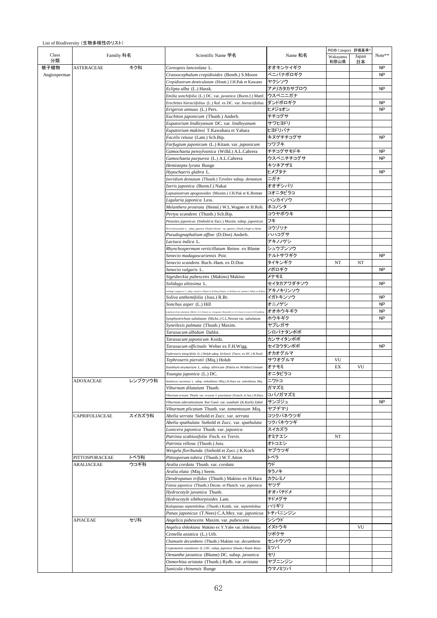|              |                       |         |                                                                                                          |            | RDB Category 評価基準® |       |           |
|--------------|-----------------------|---------|----------------------------------------------------------------------------------------------------------|------------|--------------------|-------|-----------|
|              | Familiy 科名            |         | Scientific Name 学名                                                                                       | Name 和名    | Wakayama           | Japan | Note**    |
|              |                       |         |                                                                                                          | オオキンケイギク   | 和歌山県               | 日本    | <b>NP</b> |
|              | <b>ASTERACEAE</b>     | キク科     | Coreopsis lanceolata L.                                                                                  |            |                    |       |           |
| Angiospermae |                       |         | Crassocephalum crepidioides (Benth.) S.Moore                                                             | ベニバナボロギク   |                    |       | <b>NP</b> |
|              |                       |         | Crepidiastrum denticulatum (Houtt.) J.H.Pak et Kawano                                                    | ヤクシソウ      |                    |       |           |
|              |                       |         | Eclipta alba (L.) Hassk.                                                                                 | アメリカタカサブロウ |                    |       | NP        |
|              |                       |         | Emilia sonchifolia (L.) DC. var. javanica (Burm.f.) Mattf.                                               | ウスベニニガナ    |                    |       |           |
|              |                       |         | Erechtites hieraciifolius (L.) Raf. ex DC. var. hieraciifolius                                           | ダンドボロギク    |                    |       | <b>NP</b> |
|              |                       |         | Erigeron annuus (L.) Pers.                                                                               | ヒメジョオン     |                    |       | <b>NP</b> |
|              |                       |         | Euchiton japonicum (Thunb.) Anderb.                                                                      | チチコグサ      |                    |       |           |
|              |                       |         | Eupatorium lindleyanum DC. var. lindleyanum                                                              | サワヒヨドリ     |                    |       |           |
|              |                       |         | Eupatorium makinoi T.Kawahara et Yahara                                                                  | ヒヨドリバナ     |                    |       |           |
|              |                       |         | Facelis retusa (Lam.) Sch.Bip.                                                                           | キヌゲチチコグサ   |                    |       | <b>NP</b> |
|              |                       |         | Farfugium japonicum (L.) Kitam. var. japonicum                                                           | ツワブキ       |                    |       |           |
|              |                       |         | Gamochaeta pensylvanica (Willd.) A.L.Cabrera                                                             | チチコグサモドキ   |                    |       | <b>NP</b> |
|              |                       |         | Gamochaeta purpurea (L.) A.L.Cabrera                                                                     | ウスベニチチコグサ  |                    |       | NP        |
|              |                       |         |                                                                                                          | キツネアザミ     |                    |       |           |
|              |                       |         | Hemistepta lyrata Bunge                                                                                  | ヒメブタナ      |                    |       | NP        |
|              |                       |         | Hypochaeris glabra L.                                                                                    |            |                    |       |           |
|              |                       |         | Ixeridium dentatum (Thunb.) Tzvelev subsp. dentatum                                                      | ニガナ        |                    |       |           |
|              |                       |         | Ixeris japonica (Burm.f.) Nakai                                                                          | オオヂシバリ     |                    |       |           |
|              |                       |         | Lapsanastrum apogonoides (Maxim.) J.H.Pak et K.Bremer                                                    | コオニタビラコ    |                    |       |           |
|              |                       |         | Ligularia japonica Less.                                                                                 | ハンカイソウ     |                    |       |           |
|              |                       |         | Melanthera prostrata (Hemsl.) W.L.Wagner et H.Rob.                                                       | ネコノシタ      |                    |       |           |
|              |                       |         | Pertya scandens (Thunb.) Sch.Bip.                                                                        | コウヤボウキ     |                    |       |           |
|              |                       |         | Petasites japonicus (Siebold et Zucc.) Maxim. subsp. japonicus                                           | フキ         |                    |       |           |
|              |                       |         | Yicris hieracioides L. subsp. japonica (Thunb.) Krylov var. japonica (Thunb.) Regel ex Herder            | コウゾリナ      |                    |       |           |
|              |                       |         | Pseudognaphalium affine (D.Don) Anderb.                                                                  | ハハコグサ      |                    |       |           |
|              |                       |         | Lactuca indica L.                                                                                        | アキノノゲシ     |                    |       |           |
|              |                       |         | Rhynchospermum verticillatum Reinw. ex Blume                                                             | シュウブンソウ    |                    |       |           |
|              |                       |         | Senecio madagascariensis Poir.                                                                           | ナルトサワギク    |                    |       | <b>NP</b> |
|              |                       |         | Senecio scandens Buch.-Ham. ex D.Don                                                                     | タイキンギク     | NT                 | NT    |           |
|              |                       |         |                                                                                                          | ノボロギク      |                    |       | NP        |
|              |                       |         | Senecio vulgaris L.                                                                                      |            |                    |       |           |
|              |                       |         | Sigesbeckia pubescens (Makino) Makino                                                                    | メナモミ       |                    |       | <b>NP</b> |
|              |                       |         | Solidago altissima L.                                                                                    | セイタカアワダチソウ |                    |       |           |
|              |                       |         | olidago virgaurea L. subsp. asiatica (Nakai ex H.Hara) Kitam. ex H.Hara var. asiatica Nakai ex H.Hara    | アキノキリンソウ   |                    |       |           |
|              |                       |         | Soliva anthemifolia (Juss.) R.Br.                                                                        | イガトキンソウ    |                    |       | <b>NP</b> |
|              |                       |         | Sonchus asper (L.) Hill                                                                                  | オニノゲシ      |                    |       | <b>NP</b> |
|              |                       |         | uphyotrichum subulatum (Michx.) G.L.Nesom var. elongatum (Bosserdet ex A.G.Jones et Lowry) S.D.Sunc      | オオホウキギク    |                    |       | NP        |
|              |                       |         | Symphyotrichum subulatum (Michx.) G.L.Nesom var. subulatum                                               | ホウキギク      |                    |       | <b>NP</b> |
|              |                       |         | Syneilesis palmata (Thunb.) Maxim.                                                                       | ヤブレガサ      |                    |       |           |
|              |                       |         | Taraxacum albidum Dahlst.                                                                                | シロバナタンポポ   |                    |       |           |
|              |                       |         | Taraxacum japonicum Koidz.                                                                               | カンサイタンポポ   |                    |       |           |
|              |                       |         | Taraxacum officinale Weber ex F.H.Wigg.                                                                  | セイヨウタンポポ   |                    |       | <b>NP</b> |
|              |                       |         | Tephroseris integrifolia (L.) Holub subsp. kirilowii (Turcz. ex DC.) B.Nord.                             | オカオグルマ     |                    |       |           |
|              |                       |         | <i>Tephroseris pierotii (</i> Miq.) Holub                                                                | サワオグルマ     | VU                 |       |           |
|              |                       |         | Xanthium strumarium L. subsp. sibiricum (Patrin ex Widder) Greuter                                       | オナモミ       | EX                 | VU    |           |
|              |                       |         | Youngia japonica (L.) DC.                                                                                | オニタビラコ     |                    |       |           |
|              | <b>ADOXACEAE</b>      |         |                                                                                                          | ニワトコ       |                    |       |           |
|              |                       | レンプクソウ科 | Sambucus racemosa L. subsp. sieboldiana (Miq.) H.Hara var. sieboldiana Miq.<br>Viburnum dilatatum Thunb. | ガマズミ       |                    |       |           |
|              |                       |         |                                                                                                          |            |                    |       |           |
|              |                       |         | Viburnum erosum Thunb. var. erosum f. punctatum (Franch. et Sav.) H.Hara                                 | コバノガマズミ    |                    |       |           |
|              |                       |         | Viburnum odoratissimum Ker Gawl. var. awabuki (K.Koch) Zabel                                             | サンゴジュ      |                    |       | <b>NP</b> |
|              |                       |         | Viburnum plicatum Thunb. var. tomentosum Miq.                                                            | ヤブデマリ      |                    |       |           |
|              | <b>CAPRIFOLIACEAE</b> | スイカズラ科  | Abelia serrata Siebold et Zucc. var. serrata                                                             | コツクバネウツギ   |                    |       |           |
|              |                       |         | Abelia spathulata Siebold et Zucc. var. spathulata                                                       | ツクバネウツギ    |                    |       |           |
|              |                       |         | Lonicera japonica Thunb. var. japonica                                                                   | スイカズラ      |                    |       |           |
|              |                       |         | Patrinia scabiosifolia Fisch. ex Trevir.                                                                 | オミナエシ      | NT                 |       |           |
|              |                       |         | Patrinia villosa (Thunb.) Juss.                                                                          | オトコエシ      |                    |       |           |
|              |                       |         | Weigela floribunda (Siebold et Zucc.) K.Koch                                                             | ヤブウツギ      |                    |       |           |
|              | PITTOSPORACEAE        | トベラ科    | Pittosporum tobira (Thunb.) W.T.Aiton                                                                    | トベラ        |                    |       |           |
|              | ARALIACEAE            | ウコギ科    | Aralia cordata Thunb. var. cordata                                                                       | ウド         |                    |       |           |
|              |                       |         | Aralia elata (Miq.) Seem.                                                                                | タラノキ       |                    |       |           |
|              |                       |         | Dendropanax trifidus (Thunb.) Makino ex H.Hara                                                           | カクレミノ      |                    |       |           |
|              |                       |         | Fatsia japonica (Thunb.) Decne. et Planch. var. japonica                                                 | ヤツデ        |                    |       |           |
|              |                       |         | <i>Hydrocotyle javanica Thunb.</i>                                                                       | オオバチドメ     |                    |       |           |
|              |                       |         | Hydrocotyle sibthorpioides Lam.                                                                          | チドメグサ      |                    |       |           |
|              |                       |         |                                                                                                          | ハリギリ       |                    |       |           |
|              |                       |         | Kalopanax septemlobus (Thunb.) Koidz. var. septemlobus                                                   |            |                    |       |           |
|              |                       |         | Panax japonicus (T.Nees) C.A.Mey. var. japonicus                                                         | トチバニンジン    |                    |       |           |
|              | <b>APIACEAE</b>       | セリ科     | Angelica pubescens Maxim. var. pubescens                                                                 | シシウド       |                    |       |           |
|              |                       |         | Angelica shikokiana Makino ex Y.Yabe var. shikokiana                                                     | イヌトウキ      |                    | VU    |           |
|              |                       |         | <i>Centella asiatica</i> (L.) Urb.                                                                       | ツボクサ       |                    |       |           |
|              |                       |         | Chamaele decumbens (Thunb.) Makino var. decumbens                                                        | セントウソウ     |                    |       |           |
|              |                       |         | Cryptotaenia canadensis (L.) DC. subsp. japonica (Hassk.) Hand.-Mazz.                                    | ミツバ        |                    |       |           |
|              |                       |         | Oenanthe javanica (Blume) DC. subsp. javanica                                                            | セリ         |                    |       |           |
|              |                       |         | Osmorhiza aristata (Thunb.) Rydb. var. aristata                                                          | ヤブニンジン     |                    |       |           |
|              |                       |         | Sanicula chinensis Bunge                                                                                 | ウマノミツバ     |                    |       |           |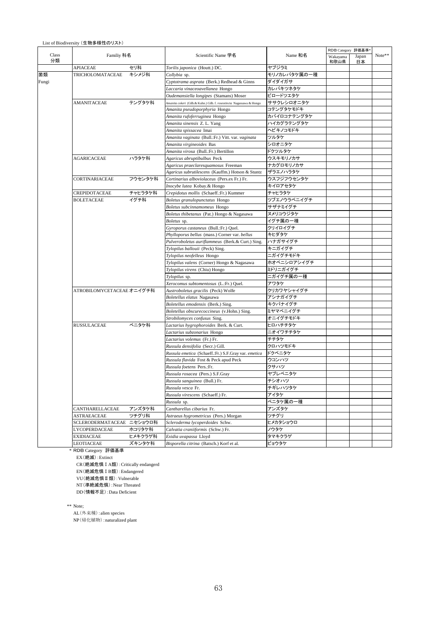|             |                           |         |                                                                      |                  | RDB Category 評価基準* |             |        |
|-------------|---------------------------|---------|----------------------------------------------------------------------|------------------|--------------------|-------------|--------|
| Class<br>分類 | Familiy 科名                |         | Scientific Name 学名                                                   | Name 和名          | Wakayama<br>和歌山県   | Japan<br>日本 | Note** |
|             | <b>APIACEAE</b>           | セリ科     | Torilis japonica (Houtt.) DC.                                        | ヤブジラミ            |                    |             |        |
| 菌類          | TRICHOLOMATACEAE          | キシメジ科   | Collybia sp.                                                         | モリノカレバタケ属の一種     |                    |             |        |
| Fungi       |                           |         | Cyptotrama asprata (Berk.) Redhead & Ginns                           | ダイダイガサ           |                    |             |        |
|             |                           |         | Laccaria vinaceoavellanea Hongo                                      | カレバキツネタケ         |                    |             |        |
|             |                           |         | Oudemansiella longipes (Stamans) Moser                               | ビロードツエタケ         |                    |             |        |
|             | AMANITACEAE               | テングタケ科  | Amanita cokeri (Gilb.& Kuhn.) Gilb. f. roseotincta Nagassawa & Hongo | ササクレシロオニタケ       |                    |             |        |
|             |                           |         | Amanita pseudoporphyria Hongo                                        | コテングタケモドキ        |                    |             |        |
|             |                           |         | Amanita rufoferruginea Hongo                                         | カバイロコナテングタケ      |                    |             |        |
|             |                           |         | Amanita sinensis Z. L. Yang                                          | ハイカグラテングタケ       |                    |             |        |
|             |                           |         | Amanita spissacea Imai                                               | ヘビキノコモドキ         |                    |             |        |
|             |                           |         | Amanita vaginata (Bull.:Fr.) Vitt. var. vaginata                     | ツルタケ             |                    |             |        |
|             |                           |         | Amanita virgineoides Bas                                             | シロオニタケ           |                    |             |        |
|             |                           |         | Amanita virosa (Bull.:Fr.) Bertillon                                 | ドクツルタケ           |                    |             |        |
|             | <b>AGARICACEAE</b>        | ハラタケ科   | Agaricus abruptibulbus Peck                                          | ウスキモリノカサ         |                    |             |        |
|             |                           |         | Agaricus praeclaresquamosus Freeman                                  | ナカグロモリノカサ        |                    |             |        |
|             |                           |         | Agaricus subrutilescens (Kauffm.) Hotson & Stuntz                    | ザラエノハラタケ         |                    |             |        |
|             | CORTINARIACEAE            | フウセンタケ科 | Cortinarius alboviolaceus (Pers.ex Fr.) Fr.                          | ウスフジフウセンタケ       |                    |             |        |
|             |                           |         | Inocybe lutea Kobay.& Hongo                                          | キイロアセタケ          |                    |             |        |
|             | CREPIDOTACEAE             | チャヒラタケ科 | Crepidotus mollis (Schaeff.:Fr.) Kummer                              | チャヒラタケ           |                    |             |        |
|             | <b>BOLETACEAE</b>         | イグチ科    | Boletus granulopunctatus Hongo                                       | ツブエノウラベニイグチ      |                    |             |        |
|             |                           |         | Boletus subcinnamomeus Hongo                                         | サザナミイグチ          |                    |             |        |
|             |                           |         | Boletus thibetanus (Pat.) Hongo & Nagasawa                           | ヌメリコウジタケ         |                    |             |        |
|             |                           |         | Boletus sp.                                                          | イグチ属の一種          |                    |             |        |
|             |                           |         | Gyroporus castaneus (Bull.:Fr.) Quel.                                | クリイロイグチ          |                    |             |        |
|             |                           |         | Phylloporus bellus (mass.) Corner var. bellus                        | キヒダタケ            |                    |             |        |
|             |                           |         | Pulveroboletus auriflammeus (Berk.& Curt.) Sing.                     | ハナガサイグチ          |                    |             |        |
|             |                           |         | Tylopilus ballouii (Peck) Sing.                                      | キニガイグチ           |                    |             |        |
|             |                           |         | Tylopilus neofelleus Hongo                                           | ニガイグチモドキ         |                    |             |        |
|             |                           |         | Tylopilus valens (Corner) Hongo & Nagasawa                           | ホオベニシロアシイグチ      |                    |             |        |
|             |                           |         | Tylopilus virens (Chiu) Hongo                                        | ミドリニガイグチ         |                    |             |        |
|             |                           |         | Tylopilus sp.                                                        | ニガイグチ属の一種        |                    |             |        |
|             |                           |         | Xerocomus subtomentosus (L.:Fr.) Quel.                               | アワタケ             |                    |             |        |
|             | ATROBILOMYCETACEAE オニイグチ科 |         | Austroboletus gracilis (Peck) Wolfe                                  | クリカワヤシャイグチ       |                    |             |        |
|             |                           |         | Boletellus elatus Nagasawa                                           | アシナガイグチ          |                    |             |        |
|             |                           |         | Boletellus emodensis (Berk.) Sing.                                   | キクバナイグチ          |                    |             |        |
|             |                           |         | Boletellus obscurecoccineus (v.Hohn.) Sing.                          | ミヤマベニイグチ         |                    |             |        |
|             |                           |         | Strobilomyces confusus Sing.                                         | オニイグチモドキ         |                    |             |        |
|             | <b>RUSSULACEAE</b>        | ベニタケ科   | Lactarius hygrophoroides Berk. & Curt.                               | ヒロハチチタケ          |                    |             |        |
|             |                           |         | Lactarius subzonarius Hongo                                          | ニオイワチチタケ         |                    |             |        |
|             |                           |         | Lactarius volemus (Fr.) Fr.                                          | チチタケ             |                    |             |        |
|             |                           |         | Russula densifolia (Secr.) Gill.                                     | クロハツモドキ          |                    |             |        |
|             |                           |         | Russula emetica (Schaeff.:Fr.) S.F.Gray var. emetica                 | ドクベニタケ           |                    |             |        |
|             |                           |         | Russula flavida Fost & Peck apud Peck                                | ウコンハツ            |                    |             |        |
|             |                           |         | Russula foetens Pers.:Fr.                                            | クサハツ<br>ヤブレベニタケ  |                    |             |        |
|             |                           |         | Russula rosacea (Pers.) S.F.Gray                                     |                  |                    |             |        |
|             |                           |         | Russula sanguinea (Bull.) Fr.<br>Russula vesca Fr.                   | チシオハツ<br>チギレハツタケ |                    |             |        |
|             |                           |         | Russula virescens (Schaeff.) Fr.                                     | アイタケ             |                    |             |        |
|             |                           |         | Russula sp.                                                          | ベニタケ属の一種         |                    |             |        |
|             | CANTHARELLACEAE           | アンズタケ科  | Cantharellus cibarius Fr.                                            | アンズタケ            |                    |             |        |
|             | ASTRAEACEAE               | ツチグリ科   | Astraeus hygrometricus (Pers.) Morgan                                | ツチグリ             |                    |             |        |
|             | SCLERODERMATACEAE         | ニセショウロ科 | Scleroderma lycoperdoides Schw.                                      | ヒメカタショウロ         |                    |             |        |
|             | LYCOPERDACEAE             | ホコリタケ科  | Calvatia craniiformis (Schw.) Fr.                                    | ノウタケ             |                    |             |        |
|             | EXIDIACEAE                | ヒメキクラゲ科 | Exidia uvapassa Lloyd                                                | タマキクラゲ           |                    |             |        |
|             | LEOTIACEAE                | ズキンタケ科  | Bisporella citrina (Batsch.) Korf et al.                             | ビョウタケ            |                    |             |        |
|             |                           |         |                                                                      |                  |                    |             |        |

\* RDB Category 評価基準

EX(絶滅): Extinct

CR(絶滅危惧 I A類): Critically endangerd EN(絶滅危惧 I B類):Endangered

VU(絶滅危惧 II 類): Vulnerable

NT(準絶滅危惧): Near Threated

DD(情報不足): Data Deficient

\*\* Note;

AL(外来種): alien species NP(帰化植物):naturalized plant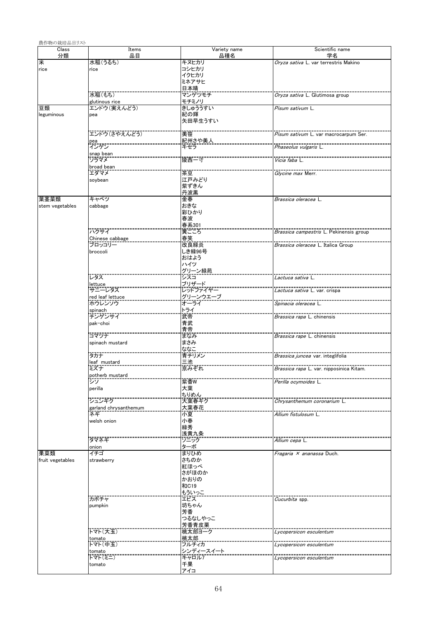| 農作物の栽培品目リスト      |                               |                           |                                                 |
|------------------|-------------------------------|---------------------------|-------------------------------------------------|
| Class<br>分類      | Items<br>品目                   | Variety name<br>品種名       | Scientific name<br>学名                           |
| 米                | 水稲(うるち)                       | キヌヒカリ                     | Oryza sativa L. var terrestris Makino           |
| rice             | rice                          | コシヒカリ<br>イクヒカリ            |                                                 |
|                  |                               | ミネアサヒ                     |                                                 |
|                  |                               | 日本晴                       |                                                 |
|                  | 水稲(もち)                        | マンゲツモチ                    | <i>Oryza sativa</i> L. Glutimosa group          |
| 豆類               | glutinous rice<br>エンドウ(実えんどう) | モチミノリ<br>きしゅううすい          | Pisum sativum L.                                |
| leguminous       | pea                           | 紀の輝                       |                                                 |
|                  |                               | 矢田早生うすい                   |                                                 |
|                  |                               | 美笹                        |                                                 |
|                  | エンドウ(さやえんどう)                  | <u>紀州さや美人</u>             | <i>Pisum sativum</i> L. var macrocarpum Ser.    |
|                  | pea<br>インゲン                   | キセラ                       | Phaseolus vulgaris L                            |
|                  | snap bean<br>ソラマメ             | 陵西一寸                      | .<br><i>Vicia faba</i> L.                       |
|                  | broad bean                    |                           |                                                 |
|                  | エダマメ                          | 茶豆                        | Glycine max Merr.                               |
|                  | soybean                       | 江戸みどり                     |                                                 |
|                  |                               | 紫ずきん<br>丹波黒               |                                                 |
| 葉茎菜類             | キャベツ                          | 金春                        | Brassica oleracea L.                            |
| stem vegetables  | cabbage                       | おきな                       |                                                 |
|                  |                               | 彩ひかり                      |                                                 |
|                  |                               | 春波                        |                                                 |
|                  | ハクサイ                          | - 第301<br>黄ごころ            | Brassica campestris L. Pekinensis group         |
|                  | Chinese cabbage               |                           |                                                 |
|                  | ブロッコリー                        |                           | Brassica oleracea L. Italica Group              |
|                  | broccoli                      | しき緑96号<br>おはよう            |                                                 |
|                  |                               | ハイツ                       |                                                 |
|                  |                               | グリーン緑苑<br>シスコ             |                                                 |
|                  | レタス                           |                           | <i>Lactuca sativa</i> L                         |
|                  | lettuce<br>サニーレタス             | ブリザード<br><br>レッドファイヤー     | <i>Lactuca sativa</i> L. var. crispa            |
|                  | red leaf lettuce<br>ホウレンソウ    | グリーンウエーブ<br>オーライ          |                                                 |
|                  |                               |                           | <br><i>Spinacia oleracea</i> L                  |
|                  | spinach<br>チンゲンサイ             | ・<br>ライ<br>武帝             | <i>Brassica rapa</i> L. chinensis               |
|                  | pak-choi                      | 青武                        |                                                 |
|                  |                               | 青帝                        |                                                 |
|                  | コマツナ                          | まなみ                       | Brassica rape L. chinensis                      |
|                  | spinach mustard               | まさみ<br>ななこ                |                                                 |
|                  | タカナ                           | 青チリメン                     | <i>Brassica juncea</i> var. integlifolia        |
|                  | leaf mustard                  | 三池                        |                                                 |
|                  | ミズナ<br>potherb mustard        | 京みぞれ                      | <i>Brassica rapa</i> L. var. nipposinica Kitam. |
|                  | シソ                            | 紫香W                       | Perilla ocymoides L.                            |
|                  | perilla                       | 大葉                        |                                                 |
|                  | ・・・・・・・・・・・・・                 | ちりめん<br>大葉春ギク             |                                                 |
|                  | garland chrysanthemum         | 大葉春花                      | Chrysanthemum coronarium L.                     |
|                  | ネギ                            | 小夏                        | Allium fistulosum L.                            |
|                  | welsh onion                   | 小春                        |                                                 |
|                  |                               | 緑秀<br>……<br>浅黄九条          |                                                 |
|                  | タマネギ                          | ソニック                      | <i>Allium cepa</i> L.                           |
|                  | onion                         | ターボ                       |                                                 |
| 果菜類              | イチゴ                           | まりひめ<br>さちのか              | Fragaria X ananassa Duch.                       |
| fruit vegetables | strawberry                    | 紅ほっぺ                      |                                                 |
|                  |                               | さがほのか                     |                                                 |
|                  |                               | かおりの                      |                                                 |
|                  |                               | 和C19<br>もういっこ             |                                                 |
|                  | カボチャ                          | エビス                       | <i>Cucurbita</i> spp.                           |
|                  | pumpkin                       | 坊ちゃん                      |                                                 |
|                  |                               | 芳香                        |                                                 |
|                  |                               | つるなしやっこ<br>芳香青皮栗          |                                                 |
|                  | トマト(大玉)                       | 桃太郎ヨーク                    | Lycopersicon esculentum                         |
|                  | tomato                        | 桃太郎                       |                                                 |
|                  | トマト(中玉)                       | フルチィカ                     | Lycopersicon esculentum                         |
|                  | tomato<br>トマト(ミニ)             | <u>シンディースイート</u><br>キャロル7 | Lycopersicon esculentum                         |
|                  | tomato                        | 千果                        |                                                 |
|                  |                               | アイコ                       |                                                 |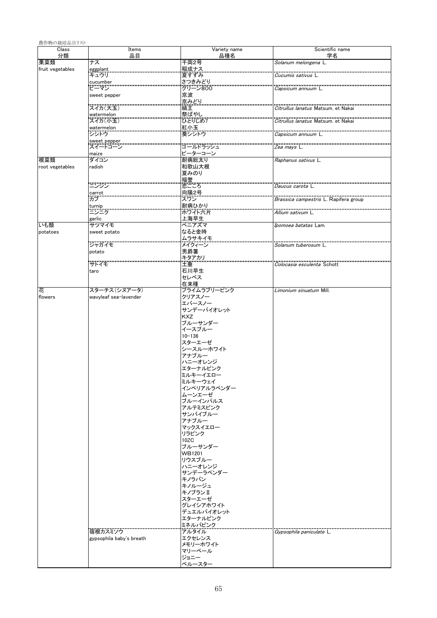| 農作物の栽培品目リスト      |                          |                         |                                              |
|------------------|--------------------------|-------------------------|----------------------------------------------|
| Class            | Items                    | Variety name            | Scientific name                              |
| 分類<br>果菜類        | 品目<br>ナス                 | 品種名<br>千両2号             | 学名<br>Solanum melongena L.                   |
| fruit vegetables |                          | 稲成ナス<br>夏すずみ            |                                              |
|                  | eggplant<br>キュウリ         |                         | <i>Cucumis sativus</i> L                     |
|                  | cucumber<br>ピーマン         | さつきみどり<br>グリーン800       |                                              |
|                  | sweet pepper             | 京波                      | Capsicum annuum L                            |
|                  |                          | 京みどり                    |                                              |
|                  | スイカ(大玉)                  | 縞王                      | Citrullus lanatus Matsum, et Nakai           |
|                  | watermelon               | 祭ばやし                    |                                              |
|                  | スイカ(小玉)                  | ひとりじめす                  | Citrullus lanatus Matsum, et Nakai           |
|                  | watermelon<br>シシトウ       | 紅小玉<br>葵シシトウ            | <i>Capsicum annuum</i> L                     |
|                  | sweet pepper             |                         |                                              |
|                  | スイートコーン                  | ゴールドラッシュ                | <i>Zea mays</i> L.                           |
| 根菜類              | maize<br>ダイコン            | ピーターコーン<br>耐病総太り        | Raphanus sativus L.                          |
| root vegetables  | radish                   | 和歌山大根                   |                                              |
|                  |                          | 夏みのり                    |                                              |
|                  | ニンジン                     | .<br>福誉<br>恋ごころ         |                                              |
|                  |                          | 向陽2号                    | Daucus carota L                              |
|                  | carrot<br>カブ             | スウン                     | <i>Brassica campestris</i> L. Rapifera group |
|                  | turnip<br>ニンニク           | 耐病ひかり                   |                                              |
|                  |                          | ポウイト六片                  | <i>Allium sativum</i> L                      |
| いも類              | garlic<br>サツマイモ          | 上海早生<br>ベニアズマ           | Ipomoea batatas Lam.                         |
| potatoes         | sweet potato             | なると金時                   |                                              |
|                  |                          | ムラサキイモ                  |                                              |
|                  | ジャガイモ                    | メイクィーン                  | Solanum tuberosum L.                         |
|                  | potato                   | 男爵薯                     |                                              |
|                  | サトイモ                     | キタアカリ<br>土垂             | <i>Colocasia esculenta</i> Schott            |
|                  | taro                     | 石川早生                    |                                              |
|                  |                          | セレベス                    |                                              |
| 花                | スターチス(シヌアータ)             | 在来種<br>プライムラブリーピンク      | Limonium sinuatum Mill.                      |
| flowers          | wavyleaf sea-lavender    | クリアスノー                  |                                              |
|                  |                          | エバースノー                  |                                              |
|                  |                          | サンデーバイオレット              |                                              |
|                  |                          | <b>KXZ</b><br>ブルーサンダー   |                                              |
|                  |                          | イースブルー                  |                                              |
|                  |                          | $10 - 136$              |                                              |
|                  |                          | スターエーゼ<br>シースルーホワイト     |                                              |
|                  |                          | アナブルー                   |                                              |
|                  |                          | ハニーオレンジ                 |                                              |
|                  |                          | エターナルビンク                |                                              |
|                  |                          | ミルキーイエロー<br>ミルキーウェイ     |                                              |
|                  |                          | インペリアルラベンダー             |                                              |
|                  |                          | ムーンエーゼ                  |                                              |
|                  |                          | ブルーインパルス                |                                              |
|                  |                          | アルテミスピンク<br>サンバイブルー     |                                              |
|                  |                          | アナブルー                   |                                              |
|                  |                          | マックスイエロー                |                                              |
|                  |                          | リラピンク                   |                                              |
|                  |                          | 10ZC<br>ブルーサンダー         |                                              |
|                  |                          | <b>WB1201</b>           |                                              |
|                  |                          | リウスブルー                  |                                              |
|                  |                          | ハニーオレンジ<br>サンデーラベンダー    |                                              |
|                  |                          | キノラバン                   |                                              |
|                  |                          | キノルージュ                  |                                              |
|                  |                          | キノブランⅡ                  |                                              |
|                  |                          | スターエーゼ                  |                                              |
|                  |                          | グレイシアホワイト<br>デュエルバイオレット |                                              |
|                  |                          | エターナルピンク                |                                              |
|                  |                          | ミネルバピンク                 |                                              |
|                  | 宿根カスミソウ                  | アルタイル                   | <i>Gypsophila paniculate</i> L.              |
|                  | gypsophila baby's breath | エクセレンス<br>メモリーホワイト      |                                              |
|                  |                          | マリーベール                  |                                              |
|                  |                          | ジョニー                    |                                              |
|                  |                          | ベルースター                  |                                              |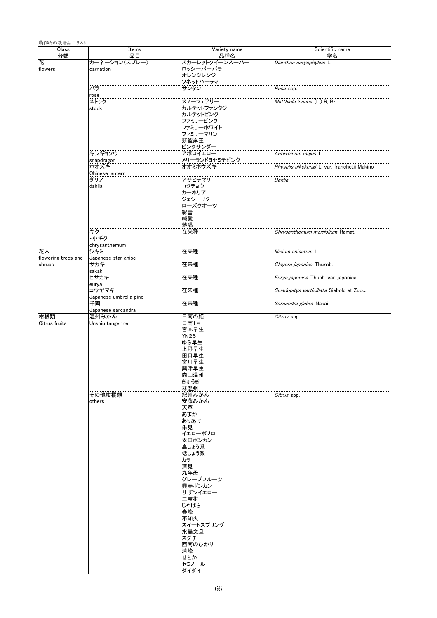| 農作物の栽培品目リスト                   |                                 |                                                                                                                                                                                                                                      |                                                     |
|-------------------------------|---------------------------------|--------------------------------------------------------------------------------------------------------------------------------------------------------------------------------------------------------------------------------------|-----------------------------------------------------|
| Class<br>分類                   | Items<br>品目                     | Variety name<br>品種名                                                                                                                                                                                                                  | Scientific name<br>学名                               |
| 花<br>flowers                  | カーネーション(スプレー)<br>carnation      | スカーレットクイーンスーパー<br>ロッシーバーバラ<br>オレンジレンジ<br>ソネットハーティ                                                                                                                                                                                    | Dianthus caryophyllus L.                            |
|                               | バラ                              | サンタン                                                                                                                                                                                                                                 | Rosa ssp.                                           |
|                               | rose<br>ストック                    |                                                                                                                                                                                                                                      | <i>Matthiola incana</i> (L.) R. Br.                 |
|                               | stock                           | カルテットファンタジー<br>カルテットピンク<br>ファミリーピンク<br>ファミリーホワイト<br>ファミリーマリン<br>新彼岸王<br>ピンクサンダー                                                                                                                                                      |                                                     |
|                               | キンギョソウ                          | アポロイエロー                                                                                                                                                                                                                              | <i>Antirrhinum majus</i> L.                         |
|                               | snapdragon<br>ホオズキ              | メリーランドヨセミテピンク<br>オオミホウズキ                                                                                                                                                                                                             | <i>Physalis alkekengi</i> L. var. franchetii Makino |
|                               | Chinese lantern<br>ダリア          | アサヒテマリ                                                                                                                                                                                                                               |                                                     |
|                               | dahlia                          | コクチョウ<br>カーネリア<br>ジェシーリタ<br>ローズクオーツ<br>彩雪<br>純愛<br>熱唱                                                                                                                                                                                | Dahlia                                              |
|                               | キク<br>・小ギク<br>chrysanthemum     | 在来種                                                                                                                                                                                                                                  | Chrysanthemum morifolium Ramat.                     |
| 花木                            | シキミ                             | 在来種                                                                                                                                                                                                                                  | <i>Illicium anisatum L.</i>                         |
| flowering trees and<br>shrubs | Japanese star anise<br>サカキ      | 在来種                                                                                                                                                                                                                                  | Cleyera japonica Thumb.                             |
|                               | sakaki<br>ヒサカキ<br>eurya         | 在来種                                                                                                                                                                                                                                  | Eurya japonica Thunb. var. japonica                 |
|                               | コウヤマキ<br>Japanese umbrella pine | 在来種                                                                                                                                                                                                                                  | Sciadopitys verticillata Siebold et Zucc.           |
|                               | 千両<br>Japanese sarcandra        | 在来種                                                                                                                                                                                                                                  | Sarcandra glabra Nakai                              |
| 柑橘類<br>Citrus fruits          | 温州みかん<br>Unshiu tangerine       | 日南の姫<br>日南1号<br>宮本早生<br><b>YN26</b><br>ゆら早生<br>上野早生<br>田口早生<br>宮川早生<br>興津早生<br>向山温州<br>きゅうき<br>林温州                                                                                                                                   | Citrus spp.                                         |
|                               | その他柑橘類<br>others                | 紀州みかん<br>安藤みかん<br>天草<br>あまか<br>ありあけ<br>朱見<br>イエローポメロ<br>太田ポンカン<br>高しょう系<br>低しょう系<br>カラ<br>清見<br>九年母<br>グレープフルーツ<br>興春ポンカン<br>サザンイエロー<br>三宝柑<br>じゃばら<br>春峰<br>不知火<br>スイートスプリング<br>水晶文旦<br>スダチ<br>西南のひかり<br>清峰<br>せとか<br>セミノール<br>ダイダイ | Citrus spp.                                         |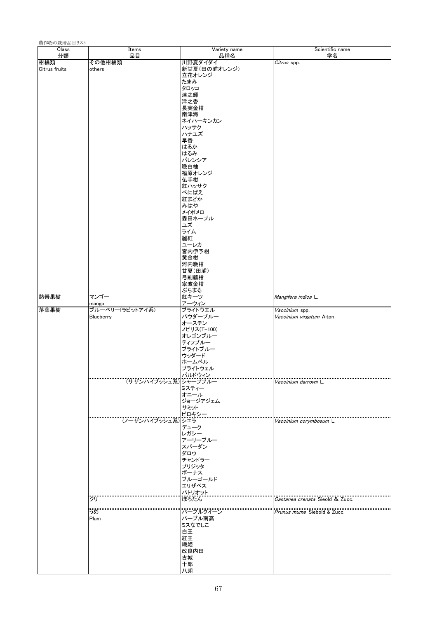| 農作物の栽培品目リスト   |                          |                   |                                 |
|---------------|--------------------------|-------------------|---------------------------------|
| Class         | Items                    | Variety name      | Scientific name                 |
| 分類<br>柑橘類     | 品目<br>その他柑橘類             | 品種名<br>川野夏ダイダイ    | 学名<br>Citrus spp.               |
| Citrus fruits | others                   | 新甘夏(田の浦オレンジ)      |                                 |
|               |                          | 立花オレンジ            |                                 |
|               |                          | たまみ               |                                 |
|               |                          | タロッコ              |                                 |
|               |                          | 津之輝               |                                 |
|               |                          | 津之香<br>長実金柑       |                                 |
|               |                          | 南津海               |                                 |
|               |                          | ネイハーキンカン          |                                 |
|               |                          | ハッサク              |                                 |
|               |                          | ハナユズ              |                                 |
|               |                          | 早香                |                                 |
|               |                          | はるか<br>はるみ        |                                 |
|               |                          | バレンシア             |                                 |
|               |                          | 晩白柚               |                                 |
|               |                          | 福原オレンジ            |                                 |
|               |                          | 仏手柑               |                                 |
|               |                          | 紅ハッサク<br>べにばえ     |                                 |
|               |                          | 紅まどか              |                                 |
|               |                          | みはや               |                                 |
|               |                          | メイポメロ             |                                 |
|               |                          | 森田ネーブル            |                                 |
|               |                          | ュズ                |                                 |
|               |                          | ライム<br>麗紅         |                                 |
|               |                          | ユーレカ              |                                 |
|               |                          | 宮内伊予柑             |                                 |
|               |                          | 黄金柑               |                                 |
|               |                          | 河内晚柑              |                                 |
|               |                          | 甘夏(田浦)<br>弓削瓢柑    |                                 |
|               |                          | 寧波金柑              |                                 |
|               |                          | ぷちまる              |                                 |
| 熱帯果樹          | マンゴー                     | 紅キーツ              | Mangifera indica L.             |
| 落葉果樹          | mango<br>ブルーベリー(ラビットアイ系) | アーウィン<br>ブライトウエル  | Vaccinium spp.                  |
|               | Blueberry                | パウダーブルー           | Vaccinium virgatum Aiton        |
|               |                          | オースチン             |                                 |
|               |                          | ノビリス(T-100)       |                                 |
|               |                          | オレゴンブルー           |                                 |
|               |                          | ティフブルー<br>ブライトブルー |                                 |
|               |                          | ウッダード             |                                 |
|               |                          | ホームベル             |                                 |
|               |                          | フライトウェル           |                                 |
|               |                          | バルドウィン            |                                 |
|               | (サザンハイブッシュ系) シャープブル-     | ミスティー             | <i>Vaccinium darrowii</i> L     |
|               |                          |                   |                                 |
|               |                          | オニール<br>ジョージアジェム  |                                 |
|               |                          | サミット              |                                 |
|               |                          | ピロキシー             |                                 |
|               | (ノーザンハイブッシュ系) シエラ        |                   | Vaccinium corymbosum L.         |
|               |                          | デューク<br>レガシー      |                                 |
|               |                          | アーリーブルー           |                                 |
|               |                          | スパーダン             |                                 |
|               |                          | ダロウ               |                                 |
|               |                          | チャンドラー            |                                 |
|               |                          | ブリジッタ             |                                 |
|               |                          | ボーナス<br>ブルーゴールド   |                                 |
|               |                          | エリザベス             |                                 |
|               |                          | パトリオット            |                                 |
|               | クリ                       | ぽろたん              | Castanea crenata Sieold & Zucc. |
|               | うめ                       | バーブルクイーン          | Prunus mume Siebold & Zucc.     |
|               | Plum                     | パープル南高            |                                 |
|               |                          | ミスなでしこ            |                                 |
|               |                          | 白王                |                                 |
|               |                          | 紅王                |                                 |
|               |                          | 織姫<br>改良内田        |                                 |
|               |                          | 古城                |                                 |
|               |                          | 十郎                |                                 |
|               |                          | 八朗                |                                 |